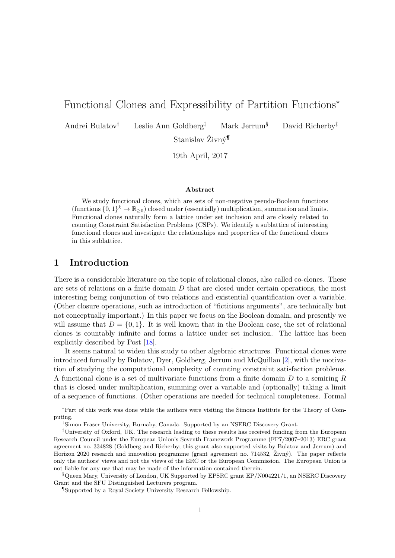# Functional Clones and Expressibility of Partition Functions<sup>∗</sup>

Andrei Bulatov† Leslie Ann Goldberg‡ Mark Jerrum§ David Richerby‡

Stanislav Živný<sup>¶</sup>

19th April, 2017

#### Abstract

We study functional clones, which are sets of non-negative pseudo-Boolean functions (functions  $\{0,1\}^k \to \mathbb{R}_{\geq 0}$ ) closed under (essentially) multiplication, summation and limits. Functional clones naturally form a lattice under set inclusion and are closely related to counting Constraint Satisfaction Problems (CSPs). We identify a sublattice of interesting functional clones and investigate the relationships and properties of the functional clones in this sublattice.

## 1 Introduction

There is a considerable literature on the topic of relational clones, also called co-clones. These are sets of relations on a finite domain  $D$  that are closed under certain operations, the most interesting being conjunction of two relations and existential quantification over a variable. (Other closure operations, such as introduction of "fictitious arguments", are technically but not conceptually important.) In this paper we focus on the Boolean domain, and presently we will assume that  $D = \{0, 1\}$ . It is well known that in the Boolean case, the set of relational clones is countably infinite and forms a lattice under set inclusion. The lattice has been explicitly described by Post [\[18\]](#page-38-0).

It seems natural to widen this study to other algebraic structures. Functional clones were introduced formally by Bulatov, Dyer, Goldberg, Jerrum and McQuillan [\[2\]](#page-37-0), with the motivation of studying the computational complexity of counting constraint satisfaction problems. A functional clone is a set of multivariate functions from a finite domain D to a semiring R that is closed under multiplication, summing over a variable and (optionally) taking a limit of a sequence of functions. (Other operations are needed for technical completeness. Formal

<sup>∗</sup>Part of this work was done while the authors were visiting the Simons Institute for the Theory of Computing.

<sup>†</sup>Simon Fraser University, Burnaby, Canada. Supported by an NSERC Discovery Grant.

<sup>‡</sup>University of Oxford, UK. The research leading to these results has received funding from the European Research Council under the European Union's Seventh Framework Programme (FP7/2007–2013) ERC grant agreement no. 334828 (Goldberg and Richerby; this grant also supported visits by Bulatov and Jerrum) and Horizon 2020 research and innovation programme (grant agreement no. 714532,  $\tilde{Z}ivn\acute{v}$ ). The paper reflects only the authors' views and not the views of the ERC or the European Commission. The European Union is not liable for any use that may be made of the information contained therein.

<sup>§</sup>Queen Mary, University of London, UK Supported by EPSRC grant EP/N004221/1, an NSERC Discovery Grant and the SFU Distinguished Lecturers program.

<sup>¶</sup>Supported by a Royal Society University Research Fellowship.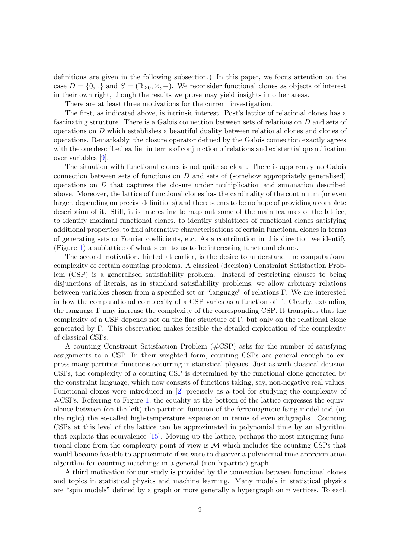definitions are given in the following subsection.) In this paper, we focus attention on the case  $D = \{0, 1\}$  and  $S = (\mathbb{R}_{\geq 0}, \times, +)$ . We reconsider functional clones as objects of interest in their own right, though the results we prove may yield insights in other areas.

There are at least three motivations for the current investigation.

The first, as indicated above, is intrinsic interest. Post's lattice of relational clones has a fascinating structure. There is a Galois connection between sets of relations on D and sets of operations on D which establishes a beautiful duality between relational clones and clones of operations. Remarkably, the closure operator defined by the Galois connection exactly agrees with the one described earlier in terms of conjunction of relations and existential quantification over variables [\[9\]](#page-38-1).

The situation with functional clones is not quite so clean. There is apparently no Galois connection between sets of functions on  $D$  and sets of (somehow appropriately generalised) operations on  $D$  that captures the closure under multiplication and summation described above. Moreover, the lattice of functional clones has the cardinality of the continuum (or even larger, depending on precise definitions) and there seems to be no hope of providing a complete description of it. Still, it is interesting to map out some of the main features of the lattice, to identify maximal functional clones, to identify sublattices of functional clones satisfying additional properties, to find alternative characterisations of certain functional clones in terms of generating sets or Fourier coefficients, etc. As a contribution in this direction we identify (Figure [1\)](#page-8-0) a sublattice of what seem to us to be interesting functional clones.

The second motivation, hinted at earlier, is the desire to understand the computational complexity of certain counting problems. A classical (decision) Constraint Satisfaction Problem (CSP) is a generalised satisfiability problem. Instead of restricting clauses to being disjunctions of literals, as in standard satisfiability problems, we allow arbitrary relations between variables chosen from a specified set or "language" of relations Γ. We are interested in how the computational complexity of a CSP varies as a function of  $\Gamma$ . Clearly, extending the language  $\Gamma$  may increase the complexity of the corresponding CSP. It transpires that the complexity of a CSP depends not on the fine structure of  $\Gamma$ , but only on the relational clone generated by Γ. This observation makes feasible the detailed exploration of the complexity of classical CSPs.

A counting Constraint Satisfaction Problem (#CSP) asks for the number of satisfying assignments to a CSP. In their weighted form, counting CSPs are general enough to express many partition functions occurring in statistical physics. Just as with classical decision CSPs, the complexity of a counting CSP is determined by the functional clone generated by the constraint language, which now consists of functions taking, say, non-negative real values. Functional clones were introduced in [\[2\]](#page-37-0) precisely as a tool for studying the complexity of  $\#\text{CSPs.}$  Referring to Figure [1,](#page-8-0) the equality at the bottom of the lattice expresses the equivalence between (on the left) the partition function of the ferromagnetic Ising model and (on the right) the so-called high-temperature expansion in terms of even subgraphs. Counting CSPs at this level of the lattice can be approximated in polynomial time by an algorithm that exploits this equivalence [\[15\]](#page-38-2). Moving up the lattice, perhaps the most intriguing functional clone from the complexity point of view is  $M$  which includes the counting CSPs that would become feasible to approximate if we were to discover a polynomial time approximation algorithm for counting matchings in a general (non-bipartite) graph.

A third motivation for our study is provided by the connection between functional clones and topics in statistical physics and machine learning. Many models in statistical physics are "spin models" defined by a graph or more generally a hypergraph on  $n$  vertices. To each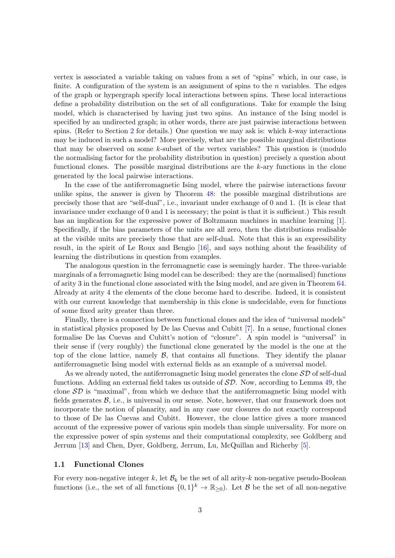vertex is associated a variable taking on values from a set of "spins" which, in our case, is finite. A configuration of the system is an assignment of spins to the  $n$  variables. The edges of the graph or hypergraph specify local interactions between spins. These local interactions define a probability distribution on the set of all configurations. Take for example the Ising model, which is characterised by having just two spins. An instance of the Ising model is specified by an undirected graph; in other words, there are just pairwise interactions between spins. (Refer to Section [2](#page-5-0) for details.) One question we may ask is: which  $k$ -way interactions may be induced in such a model? More precisely, what are the possible marginal distributions that may be observed on some  $k$ -subset of the vertex variables? This question is (modulo the normalising factor for the probability distribution in question) precisely a question about functional clones. The possible marginal distributions are the k-ary functions in the clone generated by the local pairwise interactions.

In the case of the antiferromagnetic Ising model, where the pairwise interactions favour unlike spins, the answer is given by Theorem [48:](#page-21-0) the possible marginal distributions are precisely those that are "self-dual", i.e., invariant under exchange of 0 and 1. (It is clear that invariance under exchange of 0 and 1 is necessary; the point is that it is sufficient.) This result has an implication for the expressive power of Boltzmann machines in machine learning [\[1\]](#page-37-1). Specifically, if the bias parameters of the units are all zero, then the distributions realisable at the visible units are precisely those that are self-dual. Note that this is an expressibility result, in the spirit of Le Roux and Bengio [\[16\]](#page-38-3), and says nothing about the feasibility of learning the distributions in question from examples.

The analogous question in the ferromagnetic case is seemingly harder. The three-variable marginals of a ferromagnetic Ising model can be described: they are the (normalised) functions of arity 3 in the functional clone associated with the Ising model, and are given in Theorem [64.](#page-35-0) Already at arity 4 the elements of the clone become hard to describe. Indeed, it is consistent with our current knowledge that membership in this clone is undecidable, even for functions of some fixed arity greater than three.

Finally, there is a connection between functional clones and the idea of "universal models" in statistical physics proposed by De las Cuevas and Cubitt [\[7\]](#page-37-2). In a sense, functional clones formalise De las Cuevas and Cubitt's notion of "closure". A spin model is "universal" in their sense if (very roughly) the functional clone generated by the model is the one at the top of the clone lattice, namely  $\mathcal{B}$ , that contains all functions. They identify the planar antiferromagnetic Ising model with external fields as an example of a universal model.

As we already noted, the antiferromagnetic Ising model generates the clone  $\mathcal{SD}$  of self-dual functions. Adding an external field takes us outside of  $SD$ . Now, according to Lemma [49,](#page-22-0) the clone  $\mathcal{SD}$  is "maximal", from which we deduce that the antiferromagnetic Ising model with fields generates  $\mathcal{B}$ , i.e., is universal in our sense. Note, however, that our framework does not incorporate the notion of planarity, and in any case our closures do not exactly correspond to those of De las Cuevas and Cubitt. However, the clone lattice gives a more nuanced account of the expressive power of various spin models than simple universality. For more on the expressive power of spin systems and their computational complexity, see Goldberg and Jerrum [\[13\]](#page-38-4) and Chen, Dyer, Goldberg, Jerrum, Lu, McQuillan and Richerby [\[5\]](#page-37-3).

#### <span id="page-2-0"></span>1.1 Functional Clones

For every non-negative integer k, let  $\mathcal{B}_k$  be the set of all arity-k non-negative pseudo-Boolean functions (i.e., the set of all functions  $\{0,1\}^k \to \mathbb{R}_{\geq 0}$ ). Let B be the set of all non-negative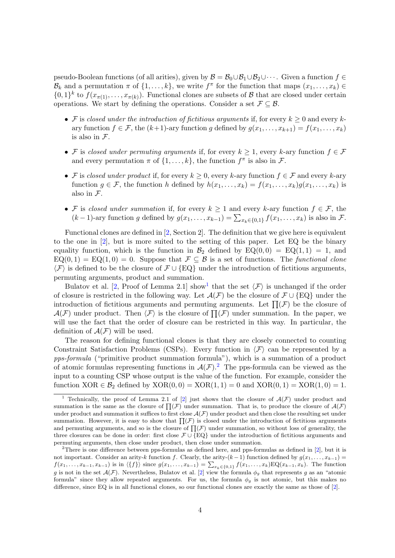pseudo-Boolean functions (of all arities), given by  $\mathcal{B} = \mathcal{B}_0 \cup \mathcal{B}_1 \cup \mathcal{B}_2 \cup \cdots$ . Given a function  $f \in$  $\mathcal{B}_k$  and a permutation  $\pi$  of  $\{1,\ldots,k\}$ , we write  $f^{\pi}$  for the function that maps  $(x_1,\ldots,x_k) \in$  $\{0,1\}^k$  to  $f(x_{\pi(1)},\ldots,x_{\pi(k)})$ . Functional clones are subsets of  $\beta$  that are closed under certain operations. We start by defining the operations. Consider a set  $\mathcal{F} \subseteq \mathcal{B}$ .

- F is closed under the introduction of fictitious arguments if, for every  $k \geq 0$  and every kary function  $f \in \mathcal{F}$ , the  $(k+1)$ -ary function g defined by  $g(x_1, \ldots, x_{k+1}) = f(x_1, \ldots, x_k)$ is also in  $\mathcal{F}.$
- F is closed under permuting arguments if, for every  $k \geq 1$ , every k-ary function  $f \in \mathcal{F}$ and every permutation  $\pi$  of  $\{1, \ldots, k\}$ , the function  $f^{\pi}$  is also in  $\mathcal{F}$ .
- F is closed under product if, for every  $k > 0$ , every k-ary function  $f \in \mathcal{F}$  and every k-ary function  $g \in \mathcal{F}$ , the function h defined by  $h(x_1, \ldots, x_k) = f(x_1, \ldots, x_k)g(x_1, \ldots, x_k)$  is also in  $\mathcal{F}.$
- F is closed under summation if, for every  $k \geq 1$  and every k-ary function  $f \in \mathcal{F}$ , the  $(k-1)$ -ary function g defined by  $g(x_1, \ldots, x_{k-1}) = \sum_{x_k \in \{0,1\}} f(x_1, \ldots, x_k)$  is also in F.

Functional clones are defined in [\[2,](#page-37-0) Section 2]. The definition that we give here is equivalent to the one in [\[2\]](#page-37-0), but is more suited to the setting of this paper. Let EQ be the binary equality function, which is the function in  $\mathcal{B}_2$  defined by  $EQ(0,0) = EQ(1,1) = 1$ , and  $EQ(0,1) = EQ(1,0) = 0$ . Suppose that  $\mathcal{F} \subseteq \mathcal{B}$  is a set of functions. The functional clone  $\langle \mathcal{F} \rangle$  is defined to be the closure of  $\mathcal{F} \cup \{EQ\}$  under the introduction of fictitious arguments, permuting arguments, product and summation.

Bulatov et al. [\[2,](#page-37-0) Proof of Lemma 2.[1](#page-3-0)] show<sup>1</sup> that the set  $\langle \mathcal{F} \rangle$  is unchanged if the order of closure is restricted in the following way. Let  $\mathcal{A}(\mathcal{F})$  be the closure of  $\mathcal{F} \cup {\text{EQ}}$  under the introduction of fictitious arguments and permuting arguments. Let  $\Pi(\mathcal{F})$  be the closure of  $\mathcal{A}(\mathcal{F})$  under product. Then  $\langle \mathcal{F} \rangle$  is the closure of  $\Pi(\mathcal{F})$  under summation. In the paper, we will use the fact that the order of closure can be restricted in this way. In particular, the definition of  $\mathcal{A}(\mathcal{F})$  will be used.

The reason for defining functional clones is that they are closely connected to counting Constraint Satisfaction Problems (CSPs). Every function in  $\langle F \rangle$  can be represented by a pps-formula ("primitive product summation formula"), which is a summation of a product of atomic formulas representing functions in  $\mathcal{A}(\mathcal{F})$ .<sup>[2](#page-3-1)</sup> The pps-formula can be viewed as the input to a counting CSP whose output is the value of the function. For example, consider the function  $XOR \in \mathcal{B}_2$  defined by  $XOR(0,0) = XOR(1,1) = 0$  and  $XOR(0,1) = XOR(1,0) = 1$ .

<span id="page-3-0"></span><sup>&</sup>lt;sup>1</sup> Technically, the proof of Lemma 2.1 of [\[2\]](#page-37-0) just shows that the closure of  $\mathcal{A}(\mathcal{F})$  under product and summation is the same as the closure of  $\Pi(\mathcal{F})$  under summation. That is, to produce the closure of  $\mathcal{A}(\mathcal{F})$ under product and summation it suffices to first close  $\mathcal{A}(\mathcal{F})$  under product and then close the resulting set under summation. However, it is easy to show that  $\Pi(\mathcal{F})$  is closed under the introduction of fictitious arguments and permuting arguments, and so is the closure of  $\P(\mathcal{F})$  under summation, so without loss of generality, the three closures can be done in order: first close  $\mathcal{F} \cup \{EQ\}$  under the introduction of fictitious arguments and permuting arguments, then close under product, then close under summation.

<span id="page-3-1"></span><sup>2</sup>There is one difference between pps-formulas as defined here, and pps-formulas as defined in [\[2\]](#page-37-0), but it is not important. Consider an arity-k function f. Clearly, the arity-(k – 1) function defined by  $g(x_1, \ldots, x_{k-1}) =$  $f(x_1, \ldots, x_{k-1}, x_{k-1})$  is in  $\langle \{f\} \rangle$  since  $g(x_1, \ldots, x_{k-1}) = \sum_{x_k \in \{0,1\}} f(x_1, \ldots, x_k)EQ(x_{k-1}, x_k)$ . The function g is not in the set  $\mathcal{A}(\mathcal{F})$ . Nevertheless, Bulatov et al. [\[2\]](#page-37-0) view the formula  $\phi_g$  that represents g as an "atomic formula" since they allow repeated arguments. For us, the formula  $\phi_g$  is not atomic, but this makes no difference, since EQ is in all functional clones, so our functional clones are exactly the same as those of [\[2\]](#page-37-0).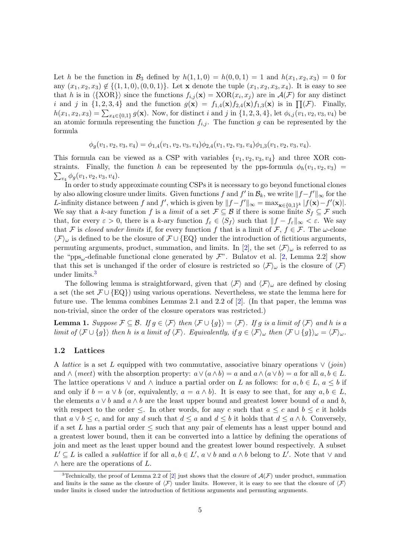Let h be the function in  $\mathcal{B}_3$  defined by  $h(1,1,0) = h(0,0,1) = 1$  and  $h(x_1, x_2, x_3) = 0$  for any  $(x_1, x_2, x_3) \notin \{(1, 1, 0), (0, 0, 1)\}.$  Let x denote the tuple  $(x_1, x_2, x_3, x_4)$ . It is easy to see that h is in  $\langle \{\text{XOR}\}\rangle$  since the functions  $f_{i,j}(\mathbf{x}) = \text{XOR}(x_i, x_j)$  are in  $\mathcal{A}(\mathcal{F})$  for any distinct i and j in  $\{1, 2, 3, 4\}$  and the function  $g(\mathbf{x}) = f_{1,4}(\mathbf{x})f_{2,4}(\mathbf{x})f_{1,3}(\mathbf{x})$  is in  $\prod(\mathcal{F})$ . Finally,  $h(x_1, x_2, x_3) = \sum_{x_4 \in \{0,1\}} g(\mathbf{x})$ . Now, for distinct i and j in  $\{1, 2, 3, 4\}$ , let  $\phi_{i,j}(v_1, v_2, v_3, v_4)$  be an atomic formula representing the function  $f_{i,j}$ . The function g can be represented by the formula

$$
\phi_g(v_1, v_2, v_3, v_4) = \phi_{1,4}(v_1, v_2, v_3, v_4)\phi_{2,4}(v_1, v_2, v_3, v_4)\phi_{1,3}(v_1, v_2, v_3, v_4).
$$

This formula can be viewed as a CSP with variables  $\{v_1, v_2, v_3, v_4\}$  and three XOR constraints. Finally, the function h can be represented by the pps-formula  $\phi_h(v_1, v_2, v_3)$  =  $\sum_{v_4} \phi_g(v_1, v_2, v_3, v_4).$ 

In order to study approximate counting CSPs it is necessary to go beyond functional clones by also allowing closure under limits. Given functions f and f' in  $\mathcal{B}_k$ , we write  $||f-f'||_{\infty}$  for the L-infinity distance between f and f', which is given by  $||f - f'||_{\infty} = \max_{\mathbf{x} \in \{0,1\}^k} |f(\mathbf{x}) - f'(\mathbf{x})|$ . We say that a k-ary function f is a limit of a set  $\mathcal{F} \subseteq \mathcal{B}$  if there is some finite  $S_f \subseteq \mathcal{F}$  such that, for every  $\varepsilon > 0$ , there is a k-ary function  $f_{\varepsilon} \in \langle S_f \rangle$  such that  $||f - f_{\varepsilon}||_{\infty} < \varepsilon$ . We say that F is closed under limits if, for every function f that is a limit of  $\mathcal{F}, f \in \mathcal{F}$ . The  $\omega$ -clone  $\langle F \rangle_{\omega}$  is defined to be the closure of  $\mathcal{F} \cup {\text{EQ}}$  under the introduction of fictitious arguments, permuting arguments, product, summation, and limits. In [\[2\]](#page-37-0), the set  $\langle F \rangle_{\omega}$  is referred to as the "pps<sub>ω</sub>-definable functional clone generated by  $\mathcal{F}$ ". Bulatov et al. [\[2,](#page-37-0) Lemma 2.2] show that this set is unchanged if the order of closure is restricted so  $\langle F \rangle_{\omega}$  is the closure of  $\langle F \rangle$ under limits.[3](#page-4-0)

The following lemma is straightforward, given that  $\langle \mathcal{F} \rangle$  and  $\langle \mathcal{F} \rangle_{\omega}$  are defined by closing a set (the set  $\mathcal{F} \cup {\text{EQ}}$ ) using various operations. Nevertheless, we state the lemma here for future use. The lemma combines Lemmas 2.1 and 2.2 of [\[2\]](#page-37-0). (In that paper, the lemma was non-trivial, since the order of the closure operators was restricted.)

<span id="page-4-1"></span>**Lemma 1.** Suppose  $\mathcal{F} \subseteq \mathcal{B}$ . If  $g \in \langle \mathcal{F} \rangle$  then  $\langle \mathcal{F} \cup \{g\} \rangle = \langle \mathcal{F} \rangle$ . If g is a limit of  $\langle \mathcal{F} \rangle$  and h is a limit of  $\langle \mathcal{F} \cup {\lbrace g \rbrace} \rangle$  then h is a limit of  $\langle \mathcal{F} \rangle$ . Equivalently, if  $g \in \langle \mathcal{F} \rangle_{\omega}$  then  $\langle \mathcal{F} \cup {\lbrace g \rbrace} \rangle_{\omega} = \langle \mathcal{F} \rangle_{\omega}$ .

### 1.2 Lattices

A *lattice* is a set L equipped with two commutative, associative binary operations  $\vee$  (*join*) and  $\wedge$  (meet) with the absorption property:  $a \vee (a \wedge b) = a$  and  $a \wedge (a \vee b) = a$  for all  $a, b \in L$ . The lattice operations  $\vee$  and  $\wedge$  induce a partial order on L as follows: for  $a, b \in L$ ,  $a \leq b$  if and only if  $b = a \vee b$  (or, equivalently,  $a = a \wedge b$ ). It is easy to see that, for any  $a, b \in L$ , the elements  $a \vee b$  and  $a \wedge b$  are the least upper bound and greatest lower bound of a and b, with respect to the order  $\leq$ . In other words, for any c such that  $a \leq c$  and  $b \leq c$  it holds that  $a \vee b \leq c$ , and for any d such that  $d \leq a$  and  $d \leq b$  it holds that  $d \leq a \wedge b$ . Conversely, if a set L has a partial order  $\leq$  such that any pair of elements has a least upper bound and a greatest lower bound, then it can be converted into a lattice by defining the operations of join and meet as the least upper bound and the greatest lower bound respectively. A subset  $L' \subseteq L$  is called a *sublattice* if for all  $a, b \in L'$ ,  $a \vee b$  and  $a \wedge b$  belong to  $L'$ . Note that  $\vee$  and  $\wedge$  here are the operations of  $L$ .

<span id="page-4-0"></span><sup>&</sup>lt;sup>3</sup>Technically, the proof of Lemma 2.2 of [\[2\]](#page-37-0) just shows that the closure of  $\mathcal{A}(\mathcal{F})$  under product, summation and limits is the same as the closure of  $\langle F \rangle$  under limits. However, it is easy to see that the closure of  $\langle F \rangle$ under limits is closed under the introduction of fictitious arguments and permuting arguments.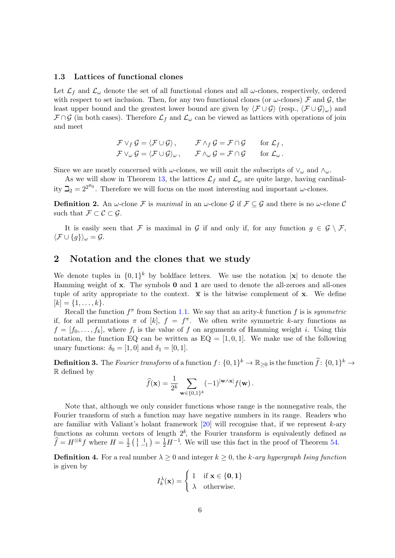### <span id="page-5-2"></span>1.3 Lattices of functional clones

Let  $\mathcal{L}_f$  and  $\mathcal{L}_{\omega}$  denote the set of all functional clones and all  $\omega$ -clones, respectively, ordered with respect to set inclusion. Then, for any two functional clones (or  $\omega$ -clones)  $\mathcal F$  and  $\mathcal G$ , the least upper bound and the greatest lower bound are given by  $\langle \mathcal{F} \cup \mathcal{G} \rangle$  (resp.,  $\langle \mathcal{F} \cup \mathcal{G} \rangle_{\omega}$ ) and  $\mathcal{F} \cap \mathcal{G}$  (in both cases). Therefore  $\mathcal{L}_f$  and  $\mathcal{L}_{\omega}$  can be viewed as lattices with operations of join and meet

$$
\mathcal{F} \vee_f \mathcal{G} = \langle \mathcal{F} \cup \mathcal{G} \rangle, \qquad \mathcal{F} \wedge_f \mathcal{G} = \mathcal{F} \cap \mathcal{G} \qquad \text{for } \mathcal{L}_f,
$$
  

$$
\mathcal{F} \vee_\omega \mathcal{G} = \langle \mathcal{F} \cup \mathcal{G} \rangle_\omega, \qquad \mathcal{F} \wedge_\omega \mathcal{G} = \mathcal{F} \cap \mathcal{G} \qquad \text{for } \mathcal{L}_\omega.
$$

Since we are mostly concerned with  $\omega$ -clones, we will omit the subscripts of  $\vee_{\omega}$  and  $\wedge_{\omega}$ .

As we will show in Theorem [13,](#page-9-0) the lattices  $\mathcal{L}_f$  and  $\mathcal{L}_{\omega}$  are quite large, having cardinality  $\mathbb{Z}_2 = 2^{2^{\aleph_0}}$ . Therefore we will focus on the most interesting and important  $\omega$ -clones.

**Definition 2.** An  $\omega$ -clone F is maximal in an  $\omega$ -clone G if  $\mathcal{F} \subseteq \mathcal{G}$  and there is no  $\omega$ -clone C such that  $\mathcal{F} \subset \mathcal{C} \subset \mathcal{G}$ .

It is easily seen that F is maximal in G if and only if, for any function  $g \in \mathcal{G} \setminus \mathcal{F}$ ,  $\langle \mathcal{F} \cup {\{g\}} \rangle_\omega = \mathcal{G}.$ 

### <span id="page-5-0"></span>2 Notation and the clones that we study

We denote tuples in  $\{0,1\}^k$  by boldface letters. We use the notation |x| to denote the Hamming weight of  $x$ . The symbols  $0$  and  $1$  are used to denote the all-zeroes and all-ones tuple of arity appropriate to the context.  $\bar{x}$  is the bitwise complement of x. We define  $[k] = \{1, \ldots, k\}.$ 

Recall the function  $f^{\pi}$  from Section [1.1.](#page-2-0) We say that an arity-k function f is is symmetric if, for all permutations  $\pi$  of  $[k]$ ,  $f = f^{\pi}$ . We often write symmetric k-ary functions as  $f = [f_0, \ldots, f_k]$ , where  $f_i$  is the value of f on arguments of Hamming weight i. Using this notation, the function EQ can be written as  $EQ = [1, 0, 1]$ . We make use of the following unary functions:  $\delta_0 = [1, 0]$  and  $\delta_1 = [0, 1]$ .

**Definition 3.** The Fourier transform of a function  $f: \{0, 1\}^k \to \mathbb{R}_{\geq 0}$  is the function  $\widehat{f}: \{0, 1\}^k \to \mathbb{R}_{\geq 0}$ R defined by

$$
\widehat{f}(\mathbf{x}) = \frac{1}{2^k} \sum_{\mathbf{w} \in \{0,1\}^k} (-1)^{|\mathbf{w} \wedge \mathbf{x}|} f(\mathbf{w}).
$$

Note that, although we only consider functions whose range is the nonnegative reals, the Fourier transform of such a function may have negative numbers in its range. Readers who are familiar with Valiant's holant framework  $[20]$  will recognise that, if we represent k-ary functions as column vectors of length  $2^k$ , the Fourier transform is equivalently defined as  $\widehat{f} = H^{\otimes k} f$  where  $H = \frac{1}{2}$  $\frac{1}{2}$  $\left(\begin{array}{cc} 1 & 1 \\ 1 & -1 \end{array}\right) = \frac{1}{2}H^{-1}$ . We will use this fact in the proof of Theorem [54.](#page-25-0)

<span id="page-5-1"></span>**Definition 4.** For a real number  $\lambda \geq 0$  and integer  $k \geq 0$ , the k-ary hypergraph Ising function is given by

$$
I_k^{\lambda}(\mathbf{x}) = \begin{cases} 1 & \text{if } \mathbf{x} \in \{0, 1\} \\ \lambda & \text{otherwise.} \end{cases}
$$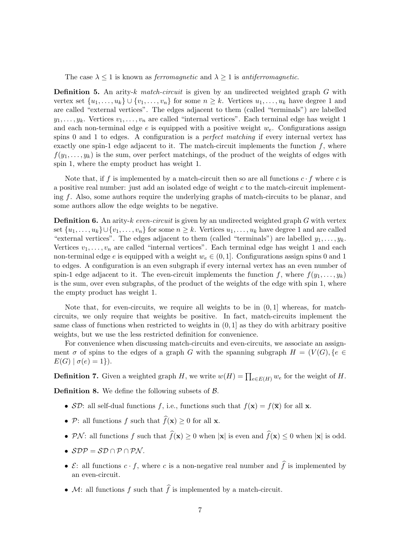The case  $\lambda \leq 1$  is known as *ferromagnetic* and  $\lambda \geq 1$  is *antiferromagnetic*.

<span id="page-6-1"></span>**Definition 5.** An arity-k match-circuit is given by an undirected weighted graph  $G$  with vertex set  $\{u_1, \ldots, u_k\} \cup \{v_1, \ldots, v_n\}$  for some  $n \geq k$ . Vertices  $u_1, \ldots, u_k$  have degree 1 and are called "external vertices". The edges adjacent to them (called "terminals") are labelled  $y_1, \ldots, y_k$ . Vertices  $v_1, \ldots, v_n$  are called "internal vertices". Each terminal edge has weight 1 and each non-terminal edge  $e$  is equipped with a positive weight  $w_e$ . Configurations assign spins 0 and 1 to edges. A configuration is a *perfect matching* if every internal vertex has exactly one spin-1 edge adjacent to it. The match-circuit implements the function  $f$ , where  $f(y_1, \ldots, y_k)$  is the sum, over perfect matchings, of the product of the weights of edges with spin 1, where the empty product has weight 1.

Note that, if f is implemented by a match-circuit then so are all functions  $c \cdot f$  where c is a positive real number: just add an isolated edge of weight  $c$  to the match-circuit implementing f. Also, some authors require the underlying graphs of match-circuits to be planar, and some authors allow the edge weights to be negative.

**Definition 6.** An arity-k even-circuit is given by an undirected weighted graph  $G$  with vertex set  $\{u_1, \ldots, u_k\} \cup \{v_1, \ldots, v_n\}$  for some  $n \geq k$ . Vertices  $u_1, \ldots, u_k$  have degree 1 and are called "external vertices". The edges adjacent to them (called "terminals") are labelled  $y_1, \ldots, y_k$ . Vertices  $v_1, \ldots, v_n$  are called "internal vertices". Each terminal edge has weight 1 and each non-terminal edge e is equipped with a weight  $w_e \in (0, 1]$ . Configurations assign spins 0 and 1 to edges. A configuration is an even subgraph if every internal vertex has an even number of spin-1 edge adjacent to it. The even-circuit implements the function f, where  $f(y_1, \ldots, y_k)$ is the sum, over even subgraphs, of the product of the weights of the edge with spin 1, where the empty product has weight 1.

Note that, for even-circuits, we require all weights to be in  $(0, 1]$  whereas, for matchcircuits, we only require that weights be positive. In fact, match-circuits implement the same class of functions when restricted to weights in  $(0, 1]$  as they do with arbitrary positive weights, but we use the less restricted definition for convenience.

For convenience when discussing match-circuits and even-circuits, we associate an assignment  $\sigma$  of spins to the edges of a graph G with the spanning subgraph  $H = (V(G), \{e \in$  $E(G) | \sigma(e) = 1 \}.$ 

**Definition 7.** Given a weighted graph H, we write  $w(H) = \prod_{e \in E(H)} w_e$  for the weight of H.

<span id="page-6-0"></span>**Definition 8.** We define the following subsets of  $\beta$ .

- SD: all self-dual functions f, i.e., functions such that  $f(\mathbf{x}) = f(\overline{\mathbf{x}})$  for all **x**.
- P: all functions f such that  $\hat{f}(\mathbf{x}) \geq 0$  for all **x**.
- PN: all functions f such that  $\widehat{f}(\mathbf{x}) \ge 0$  when  $|\mathbf{x}|$  is even and  $\widehat{f}(\mathbf{x}) \le 0$  when  $|\mathbf{x}|$  is odd.
- $SDP = SD \cap P \cap PN$ .
- $\mathcal{E}:$  all functions  $c \cdot f$ , where c is a non-negative real number and  $\hat{f}$  is implemented by an even-circuit.
- M: all functions f such that  $\hat{f}$  is implemented by a match-circuit.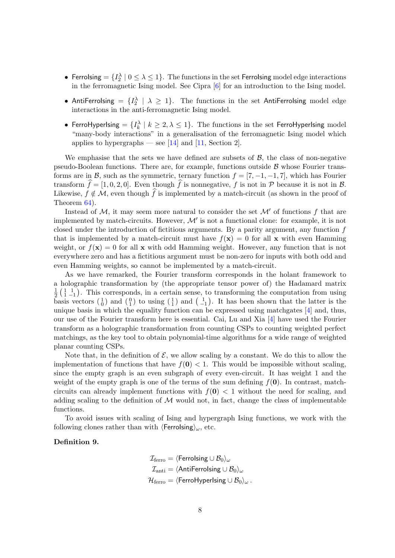- Ferrolsing  $=\{I_2^{\lambda} \mid 0 \leq \lambda \leq 1\}$ . The functions in the set Ferrolsing model edge interactions in the ferromagnetic Ising model. See Cipra [\[6\]](#page-37-4) for an introduction to the Ising model.
- AntiFerrolsing  $=\{I_2^{\lambda} \mid \lambda \geq 1\}$ . The functions in the set AntiFerrolsing model edge interactions in the anti-ferromagnetic Ising model.
- FerroHyperIsing  $=\{I_k^\lambda\mid k\geq 2, \lambda\leq 1\}.$  The functions in the set FerroHyperIsing model "many-body interactions" in a generalisation of the ferromagnetic Ising model which applies to hypergraphs — see [\[14\]](#page-38-6) and [\[11,](#page-38-7) Section 2].

We emphasise that the sets we have defined are subsets of  $\mathcal{B}$ , the class of non-negative pseudo-Boolean functions. There are, for example, functions outside  $\beta$  whose Fourier transforms are in B, such as the symmetric, ternary function  $f = [7, -1, -1, 7]$ , which has Fourier transform  $\hat{f} = [1, 0, 2, 0]$ . Even though  $\hat{f}$  is nonnegative, f is not in P because it is not in B. Likewise,  $f \notin \mathcal{M}$ , even though  $\widehat{f}$  is implemented by a match-circuit (as shown in the proof of Theorem [64\)](#page-35-0).

Instead of  $M$ , it may seem more natural to consider the set  $M'$  of functions f that are implemented by match-circuits. However,  $\mathcal{M}'$  is not a functional clone: for example, it is not closed under the introduction of fictitious arguments. By a parity argument, any function  $f$ that is implemented by a match-circuit must have  $f(\mathbf{x}) = 0$  for all x with even Hamming weight, or  $f(\mathbf{x}) = 0$  for all x with odd Hamming weight. However, any function that is not everywhere zero and has a fictitious argument must be non-zero for inputs with both odd and even Hamming weights, so cannot be implemented by a match-circuit.

As we have remarked, the Fourier transform corresponds in the holant framework to a holographic transformation by (the appropriate tensor power of) the Hadamard matrix  $\frac{1}{2}$   $\left(\begin{array}{cc} 1 & 1 \\ 1 & -1 \end{array}\right)$ . This corresponds, in a certain sense, to transforming the computation from using  $2(1-1)$ . This corresponds, in a certain sense, to transforming the computation from using basis vectors  $\begin{pmatrix} 1 \\ 0 \end{pmatrix}$  and  $\begin{pmatrix} 0 \\ 1 \end{pmatrix}$  and  $\begin{pmatrix} 1 \\ 1 \end{pmatrix}$  and  $\begin{pmatrix} 1 \\ -1 \end{pmatrix}$ . It has been shown that unique basis in which the equality function can be expressed using matchgates [\[4\]](#page-37-5) and, thus, our use of the Fourier transform here is essential. Cai, Lu and Xia [\[4\]](#page-37-5) have used the Fourier transform as a holographic transformation from counting CSPs to counting weighted perfect matchings, as the key tool to obtain polynomial-time algorithms for a wide range of weighted planar counting CSPs.

Note that, in the definition of  $\mathcal{E}$ , we allow scaling by a constant. We do this to allow the implementation of functions that have  $f(0) < 1$ . This would be impossible without scaling, since the empty graph is an even subgraph of every even-circuit. It has weight 1 and the weight of the empty graph is one of the terms of the sum defining  $f(0)$ . In contrast, matchcircuits can already implement functions with  $f(0) < 1$  without the need for scaling, and adding scaling to the definition of  $M$  would not, in fact, change the class of implementable functions.

To avoid issues with scaling of Ising and hypergraph Ising functions, we work with the following clones rather than with  $\langle$ Ferrolsing $\rangle_{\omega}$ , etc.

### <span id="page-7-0"></span>Definition 9.

$$
\mathcal{I}_{\text{ferro}} = \langle \text{Ferrolsing} \cup \mathcal{B}_0 \rangle_{\omega}
$$
\n
$$
\mathcal{I}_{\text{anti}} = \langle \text{AntiFerrolsing} \cup \mathcal{B}_0 \rangle_{\omega}
$$
\n
$$
\mathcal{H}_{\text{ferro}} = \langle \text{Ferrolyperlsing} \cup \mathcal{B}_0 \rangle_{\omega} \, .
$$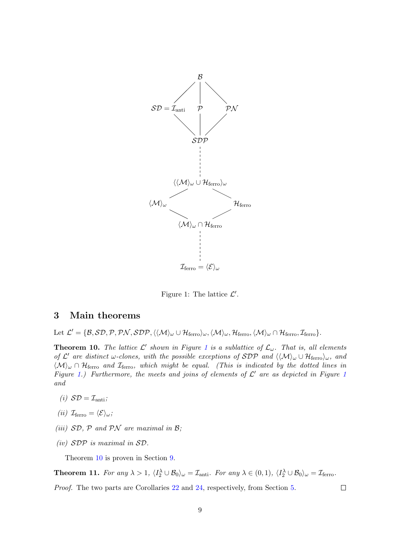

<span id="page-8-0"></span>Figure 1: The lattice  $\mathcal{L}'$ .

### 3 Main theorems

Let  $\mathcal{L}'=\{\mathcal{B},\mathcal{SD},\mathcal{P},\mathcal{PN},\mathcal{SDP},\langle\langle\mathcal{M}\rangle_{\omega}\cup\mathcal{H}_{\mathrm{ferro}}\rangle_{\omega},\langle\mathcal{M}\rangle_{\omega},\mathcal{H}_{\mathrm{ferro}},\langle\mathcal{M}\rangle_{\omega}\cap\mathcal{H}_{\mathrm{ferro}},\mathcal{I}_{\mathrm{ferro}}\}.$ 

<span id="page-8-1"></span>**Theorem [1](#page-8-0)0.** The lattice L' shown in Figure 1 is a sublattice of  $\mathcal{L}_{\omega}$ . That is, all elements of  $\mathcal{L}'$  are distinct  $\omega$ -clones, with the possible exceptions of SDP and  $\langle\langle \mathcal{M}\rangle_{\omega}\cup\mathcal{H}_{\text{ferro}}\rangle_{\omega}$ , and  $\langle \mathcal{M} \rangle_{\omega} \cap \mathcal{H}_{\text{ferro}}$  and  $\mathcal{I}_{\text{ferro}}$ , which might be equal. (This is indicated by the dotted lines in Figure [1.](#page-8-0)) Furthermore, the meets and joins of elements of  $\mathcal{L}'$  are as depicted in Figure [1](#page-8-0) and

- (i)  $SD = \mathcal{I}_{\text{anti}};$
- (*ii*)  $\mathcal{I}_{\text{ferro}} = \langle \mathcal{E} \rangle_{\omega};$
- (iii)  $SD$ ,  $P$  and  $PN$  are maximal in  $B$ ;
- (iv) SDP is maximal in SD.

Theorem [10](#page-8-1) is proven in Section [9.](#page-30-0)

**Theorem 11.** For any  $\lambda > 1$ ,  $\langle I_2^{\lambda} \cup \mathcal{B}_0 \rangle_{\omega} = \mathcal{I}_{\text{anti}}$ . For any  $\lambda \in (0, 1)$ ,  $\langle I_2^{\lambda} \cup \mathcal{B}_0 \rangle_{\omega} = \mathcal{I}_{\text{ferro}}$ .

Proof. The two parts are Corollaries [22](#page-12-0) and [24,](#page-13-0) respectively, from Section [5.](#page-11-0)

 $\Box$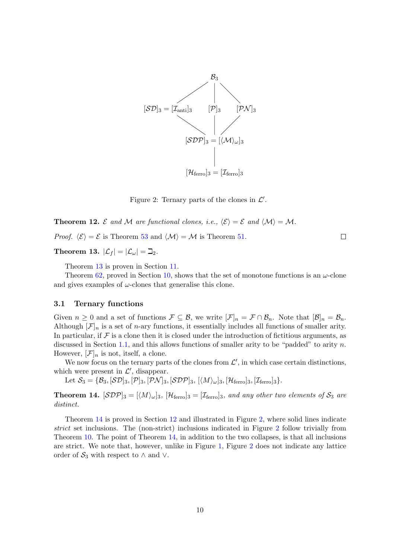

<span id="page-9-2"></span>Figure 2: Ternary parts of the clones in  $\mathcal{L}'$ .

**Theorem 12.** E and M are functional clones, i.e.,  $\langle \mathcal{E} \rangle = \mathcal{E}$  and  $\langle \mathcal{M} \rangle = \mathcal{M}$ .

*Proof.*  $\langle \mathcal{E} \rangle = \mathcal{E}$  is Theorem [53](#page-24-0) and  $\langle \mathcal{M} \rangle = \mathcal{M}$  is Theorem [51.](#page-23-0)

<span id="page-9-0"></span>Theorem 13.  $|\mathcal{L}_f| = |\mathcal{L}_{\omega}| = \mathbb{Z}_2$ .

Theorem [13](#page-9-0) is proven in Section [11.](#page-33-0)

Theorem [62,](#page-31-0) proved in Section [10,](#page-31-1) shows that the set of monotone functions is an  $\omega$ -clone and gives examples of  $\omega$ -clones that generalise this clone.

 $\Box$ 

#### 3.1 Ternary functions

Given  $n \geq 0$  and a set of functions  $\mathcal{F} \subseteq \mathcal{B}$ , we write  $[\mathcal{F}]_n = \mathcal{F} \cap \mathcal{B}_n$ . Note that  $[\mathcal{B}]_n = \mathcal{B}_n$ . Although  $[\mathcal{F}]_n$  is a set of *n*-ary functions, it essentially includes all functions of smaller arity. In particular, if  $\mathcal F$  is a clone then it is closed under the introduction of fictitious arguments, as discussed in Section [1.1,](#page-2-0) and this allows functions of smaller arity to be "padded" to arity  $n$ . However,  $[\mathcal{F}]_n$  is not, itself, a clone.

We now focus on the ternary parts of the clones from  $\mathcal{L}'$ , in which case certain distinctions, which were present in  $\mathcal{L}'$ , disappear.

Let  $\mathcal{S}_3 = {\mathcal{B}_3, [\mathcal{SD}]_3, [\mathcal{PN}]_3, [\mathcal{SDP}]_3, [\langle M \rangle_{\omega}]_3, [\mathcal{H}_{\text{ferro}}]_3, [\mathcal{I}_{\text{ferro}}]_3}.$ 

<span id="page-9-1"></span>**Theorem 14.**  $[\mathcal{SDP}]_3 = [\langle M \rangle_{\omega}]_3$ ,  $[\mathcal{H}_{\text{ferro}}]_3 = [\mathcal{I}_{\text{ferro}}]_3$ , and any other two elements of  $\mathcal{S}_3$  are distinct.

Theorem [14](#page-9-1) is proved in Section [12](#page-35-1) and illustrated in Figure [2,](#page-9-2) where solid lines indicate strict set inclusions. The (non-strict) inclusions indicated in Figure [2](#page-9-2) follow trivially from Theorem [10.](#page-8-1) The point of Theorem [14,](#page-9-1) in addition to the two collapses, is that all inclusions are strict. We note that, however, unlike in Figure [1,](#page-8-0) Figure [2](#page-9-2) does not indicate any lattice order of  $S_3$  with respect to  $\wedge$  and  $\vee$ .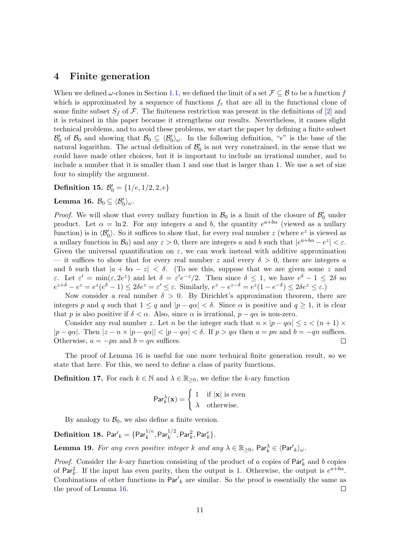## 4 Finite generation

When we defined  $\omega$ -clones in Section [1.1,](#page-2-0) we defined the limit of a set  $\mathcal{F} \subseteq \mathcal{B}$  to be a function f which is approximated by a sequence of functions  $f_{\varepsilon}$  that are all in the functional clone of some finite subset  $S_f$  of  $\mathcal F$ . The finiteness restriction was present in the definitions of [\[2\]](#page-37-0) and it is retained in this paper because it strengthens our results. Nevertheless, it causes slight technical problems, and to avoid these problems, we start the paper by defining a finite subset  $\mathcal{B}'_0$  of  $\mathcal{B}_0$  and showing that  $\mathcal{B}_0 \subseteq \langle \mathcal{B}'_0 \rangle_\omega$ . In the following definition, "e" is the base of the natural logarithm. The actual definition of  $\mathcal{B}'_0$  is not very constrained, in the sense that we could have made other choices, but it is important to include an irrational number, and to include a number that it is smaller than 1 and one that is larger than 1. We use a set of size four to simplify the argument.

Definition 15.  $B'_0 = \{1/e, 1/2, 2, e\}$ 

<span id="page-10-0"></span>Lemma 16.  $\mathcal{B}_0 \subseteq \langle \mathcal{B}'_0 \rangle_\omega$ .

*Proof.* We will show that every nullary function in  $\mathcal{B}_0$  is a limit of the closure of  $\mathcal{B}'_0$  under product. Let  $\alpha = \ln 2$ . For any integers a and b, the quantity  $e^{a+b\alpha}$  (viewed as a nullary function) is in  $\langle \mathcal{B}'_0 \rangle$ . So it suffices to show that, for every real number z (where  $e^z$  is viewed as a nullary function in  $\mathcal{B}_0$  and any  $\varepsilon > 0$ , there are integers a and b such that  $|e^{a+b\alpha} - e^z| < \varepsilon$ . Given the universal quantification on  $\varepsilon$ , we can work instead with additive approximation — it suffices to show that for every real number z and every  $\delta > 0$ , there are integers a and b such that  $|a + b\alpha - z| < \delta$ . (To see this, suppose that we are given some z and ε. Let  $\varepsilon' = \min(\varepsilon, 2e^z)$  and let  $\delta = \varepsilon' e^{-z}/2$ . Then since  $\delta \leq 1$ , we have  $e^{\delta} - 1 \leq 2\delta$  so  $e^{z+\delta} - e^z = e^z(e^{\delta} - 1) \leq 2\delta e^z = \varepsilon' \leq \varepsilon$ . Similarly,  $e^z - e^{z-\delta} = e^z(1 - e^{-\delta}) \leq 2\delta e^z \leq \varepsilon$ .)

Now consider a real number  $\delta > 0$ . By Dirichlet's approximation theorem, there are integers p and q such that  $1 \leq q$  and  $|p - q\alpha| < \delta$ . Since  $\alpha$  is positive and  $q \geq 1$ , it is clear that p is also positive if  $\delta < \alpha$ . Also, since  $\alpha$  is irrational,  $p - q\alpha$  is non-zero.

Consider any real number z. Let n be the integer such that  $n \times |p - q\alpha| \leq z < (n + 1) \times$  $|p - q\alpha|$ . Then  $|z - n \times |p - q\alpha| < |p - q\alpha| < \delta$ . If  $p > q\alpha$  then  $a = pn$  and  $b = -qn$  suffices. Otherwise,  $a = -pn$  and  $b = qn$  suffices.  $\Box$ 

The proof of Lemma [16](#page-10-0) is useful for one more technical finite generation result, so we state that here. For this, we need to define a class of parity functions.

<span id="page-10-1"></span>**Definition 17.** For each  $k \in \mathbb{N}$  and  $\lambda \in \mathbb{R}_{\geq 0}$ , we define the k-ary function

$$
\mathsf{Par}_k^{\lambda}(\mathbf{x}) = \begin{cases} 1 & \text{if } |\mathbf{x}| \text{ is even} \\ \lambda & \text{otherwise.} \end{cases}
$$

By analogy to  $\mathcal{B}_0$ , we also define a finite version.

<span id="page-10-2"></span> $\textbf{Definition 18. Par}_k' = \{\textsf{Par}_k^{1/e}, \textsf{Par}_k^{1/2}, \textsf{Par}_k^2, \textsf{Par}_k^e\}.$ 

<span id="page-10-3"></span>**Lemma 19.** For any even positive integer k and any  $\lambda \in \mathbb{R}_{\geq 0}$ ,  $\text{Par}_k^{\lambda} \in \langle \text{Par}'_k \rangle_{\omega}$ .

*Proof.* Consider the k-ary function consisting of the product of a copies of  $Par_k^e$  and b copies of Par<sub>k</sub>. If the input has even parity, then the output is 1. Otherwise, the output is  $e^{a+b\alpha}$ . Combinations of other functions in  $Par'_{k}$  are similar. So the proof is essentially the same as the proof of Lemma [16.](#page-10-0)  $\Box$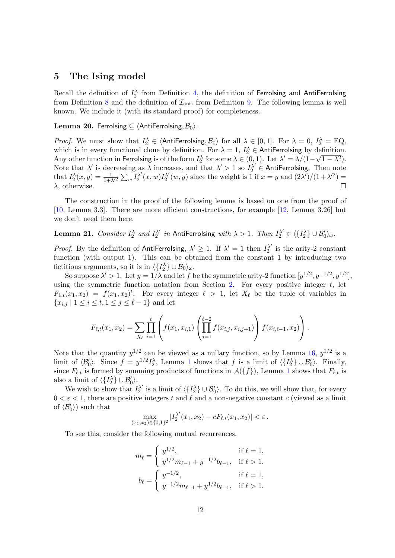## <span id="page-11-0"></span>5 The Ising model

Recall the definition of  $I_2^{\lambda}$  from Definition [4,](#page-5-1) the definition of Ferrolsing and AntiFerrolsing from Definition [8](#page-6-0) and the definition of  $\mathcal{I}_{\text{anti}}$  from Definition [9.](#page-7-0) The following lemma is well known. We include it (with its standard proof) for completeness.

<span id="page-11-2"></span>Lemma 20. Ferrolsing  $\subseteq$   $\langle$  AntiFerrolsing,  $\mathcal{B}_0 \rangle$ .

*Proof.* We must show that  $I_2^{\lambda} \in \langle$  AntiFerrolsing,  $\mathcal{B}_0 \rangle$  for all  $\lambda \in [0, 1]$ . For  $\lambda = 0$ ,  $I_2^{\lambda} = \text{EQ}$ , which is in every functional clone by definition. For  $\lambda = 1$ ,  $I_2^{\lambda} \in$  AntiFerrolsing by definition. Any other function in Ferrolsing is of the form  $I_2^{\lambda}$  for some  $\lambda \in (0,1)$ . Let  $\lambda' = \lambda/(1-\sqrt{1-\lambda^2})$ . Note that  $\lambda'$  is decreasing as  $\lambda$  increases, and that  $\lambda' > 1$  so  $I_2^{\lambda'} \in$  AntiFerrolsing. Then note that  $I_2^{\lambda}(x, y) = \frac{1}{1 + \lambda'^2} \sum_w I_2^{\lambda'}$  $I_2^{\lambda'}(x,w)I_2^{\lambda'}$  $\chi^{\lambda'}(w, y)$  since the weight is 1 if  $x = y$  and  $(2\lambda')/(1 + \lambda'^2) =$  $\lambda$ , otherwise.  $\Box$ 

The construction in the proof of the following lemma is based on one from the proof of [\[10,](#page-38-8) Lemma 3.3]. There are more efficient constructions, for example [\[12,](#page-38-9) Lemma 3.26] but we don't need them here.

<span id="page-11-1"></span>**Lemma 21.** Consider  $I_2^{\lambda}$  and  $I_2^{\lambda'}$  $\mathcal{L}_2^{\lambda'}$  in AntiFerrolsing  $with\; \lambda>1.$  Then  $I_2^{\lambda'}\in\langle\{I_2^\lambda\}\cup\mathcal{B}_0'\rangle_\omega.$ 

*Proof.* By the definition of AntiFerrolsing,  $\lambda' \geq 1$ . If  $\lambda' = 1$  then  $I_2^{\lambda'}$  $\lambda'$  is the arity-2 constant function (with output 1). This can be obtained from the constant 1 by introducing two fictitious arguments, so it is in  $\langle \{I_2^{\lambda}\}\cup \mathcal{B}_0 \rangle_{\omega}$ .

So suppose  $\lambda' > 1$ . Let  $y = 1/\lambda$  and let f be the symmetric arity-2 function  $[y^{1/2}, y^{-1/2}, y^{1/2}]$ , using the symmetric function notation from Section [2.](#page-5-0) For every positive integer  $t$ , let  $F_{1,t}(x_1, x_2) = f(x_1, x_2)^t$ . For every integer  $\ell > 1$ , let  $X_{\ell}$  be the tuple of variables in  ${x_{i,j} | 1 \leq i \leq t, 1 \leq j \leq \ell-1}$  and let

$$
F_{\ell,t}(x_1,x_2) = \sum_{X_{\ell}} \prod_{i=1}^t \left( f(x_1,x_{i,1}) \left( \prod_{j=1}^{\ell-2} f(x_{i,j},x_{i,j+1}) \right) f(x_{i,\ell-1},x_2) \right).
$$

Note that the quantity  $y^{1/2}$  can be viewed as a nullary function, so by Lemma [16,](#page-10-0)  $y^{1/2}$  is a limit of  $\langle \mathcal{B}'_0 \rangle$ . Since  $f = y^{1/2} I_2^{\lambda}$  $f = y^{1/2} I_2^{\lambda}$  $f = y^{1/2} I_2^{\lambda}$ , Lemma 1 shows that f is a limit of  $\langle \{I_2^{\lambda}\} \cup \mathcal{B}'_0 \rangle$ . Finally, since  $F_{\ell,t}$  is formed by summing products of functions in  $\mathcal{A}(\{f\})$ , Lemma [1](#page-4-1) shows that  $F_{\ell,t}$  is also a limit of  $\langle \{I_2^{\lambda}\}\cup \mathcal{B}_0' \rangle$ .

We wish to show that  $I_2^{\lambda'}$  $\mathcal{L}_2^{\lambda'}$  is a limit of  $\langle \{I_2^{\lambda}\}\cup \mathcal{B}_0'\rangle$ . To do this, we will show that, for every  $0 < \varepsilon < 1$ , there are positive integers t and  $\ell$  and a non-negative constant c (viewed as a limit of  $\langle \mathcal{B}'_0 \rangle$ ) such that

$$
\max_{(x_1,x_2)\in\{0,1\}^2} |I_2^{\lambda'}(x_1,x_2)-cF_{\ell,t}(x_1,x_2)| < \varepsilon.
$$

To see this, consider the following mutual recurrences.

$$
\begin{aligned} m_{\ell} &= \left\{ \begin{array}{ll} y^{1/2}, & \mbox{if } \ell=1,\\ y^{1/2}m_{\ell-1}+y^{-1/2}b_{\ell-1}, & \mbox{if } \ell>1. \end{array} \right. \\ b_{\ell} &= \left\{ \begin{array}{ll} y^{-1/2}, & \mbox{if } \ell=1,\\ y^{-1/2}m_{\ell-1}+y^{1/2}b_{\ell-1}, & \mbox{if } \ell>1. \end{array} \right. \end{aligned}
$$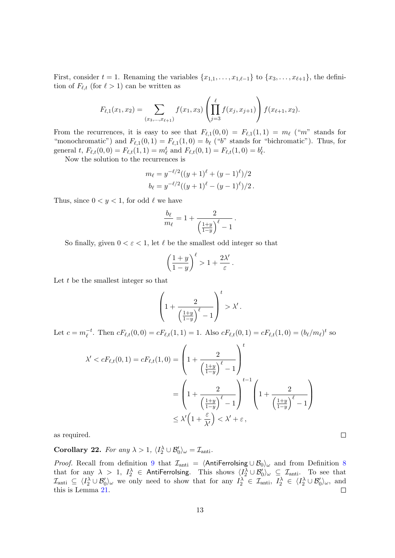First, consider  $t = 1$ . Renaming the variables  $\{x_{1,1}, \ldots, x_{1,\ell-1}\}$  to  $\{x_3, \ldots, x_{\ell+1}\}$ , the definition of  $F_{\ell,t}$  (for  $\ell > 1$ ) can be written as

$$
F_{\ell,1}(x_1, x_2) = \sum_{(x_3,\dots,x_{\ell+1})} f(x_1, x_3) \left( \prod_{j=3}^{\ell} f(x_j, x_{j+1}) \right) f(x_{\ell+1}, x_2).
$$

From the recurrences, it is easy to see that  $F_{\ell,1}(0, 0) = F_{\ell,1}(1, 1) = m_{\ell}$  ("m" stands for "monochromatic") and  $F_{\ell,1}(0, 1) = F_{\ell,1}(1, 0) = b_{\ell}$  ("b" stands for "bichromatic"). Thus, for general t,  $F_{\ell,t}(0,0) = F_{\ell,t}(1,1) = m_{\ell}^t$  and  $F_{\ell,t}(0,1) = F_{\ell,t}(1,0) = b_{\ell}^t$ .

Now the solution to the recurrences is

$$
m_{\ell} = y^{-\ell/2}((y+1)^{\ell} + (y-1)^{\ell})/2
$$
  

$$
b_{\ell} = y^{-\ell/2}((y+1)^{\ell} - (y-1)^{\ell})/2.
$$

Thus, since  $0 < y < 1$ , for odd  $\ell$  we have

$$
\frac{b_{\ell}}{m_{\ell}} = 1 + \frac{2}{\left(\frac{1+y}{1-y}\right)^{\ell} - 1}.
$$

So finally, given  $0 < \varepsilon < 1$ , let  $\ell$  be the smallest odd integer so that

$$
\left(\frac{1+y}{1-y}\right)^{\ell} > 1 + \frac{2\lambda'}{\varepsilon}.
$$

Let  $t$  be the smallest integer so that

$$
\left(1 + \frac{2}{\left(\frac{1+y}{1-y}\right)^{\ell} - 1}\right)^{t} > \lambda'.
$$

Let  $c = m_{\ell}^{-t}$ . Then  $cF_{\ell,t}(0,0) = cF_{\ell,t}(1,1) = 1$ . Also  $cF_{\ell,t}(0,1) = cF_{\ell,t}(1,0) = (b_{\ell}/m_{\ell})^t$  so

$$
\lambda' < cF_{\ell,t}(0,1) = cF_{\ell,t}(1,0) = \left(1 + \frac{2}{\left(\frac{1+y}{1-y}\right)^{\ell} - 1}\right)^{t}
$$
\n
$$
= \left(1 + \frac{2}{\left(\frac{1+y}{1-y}\right)^{\ell} - 1}\right)^{t-1} \left(1 + \frac{2}{\left(\frac{1+y}{1-y}\right)^{\ell} - 1}\right)
$$
\n
$$
\leq \lambda' \left(1 + \frac{\varepsilon}{\lambda'}\right) < \lambda' + \varepsilon,
$$

as required.

<span id="page-12-0"></span>**Corollary 22.** For any  $\lambda > 1$ ,  $\langle I_2^{\lambda} \cup \mathcal{B}'_0 \rangle_{\omega} = \mathcal{I}_{\text{anti}}$ .

*Proof.* Recall from definition [9](#page-7-0) that  $\mathcal{I}_{\text{anti}} = \langle$  AntiFerrolsing  $\cup \mathcal{B}_0\rangle_\omega$  and from Definition [8](#page-6-0) that for any  $\lambda > 1$ ,  $I_2^{\lambda} \in$  AntiFerrolsing. This shows  $\langle I_2^{\lambda} \cup \mathcal{B}'_0 \rangle_{\omega} \subseteq \mathcal{I}_{\text{anti}}$ . To see that  $\mathcal{I}_{\text{anti}} \subseteq \langle I_2^{\lambda} \cup \mathcal{B}'_0 \rangle_{\omega}$  we only need to show that for any  $I_2^{\lambda} \in \mathcal{I}_{\text{anti}}$ ,  $I_2^{\lambda} \in \langle I_2^{\lambda} \cup \mathcal{B}'_0 \rangle_{\omega}$ , and this is Lemma [21.](#page-11-1)  $\Box$ 

 $\Box$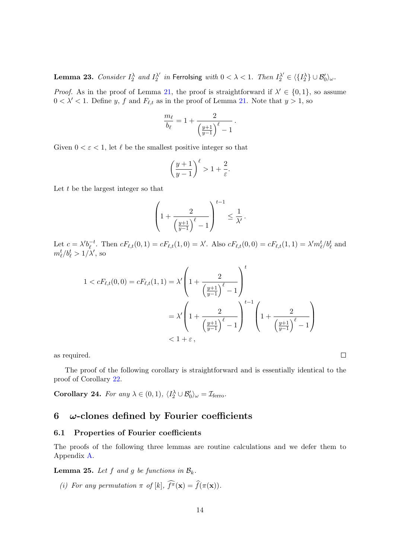**Lemma 23.** Consider  $I_2^{\lambda}$  and  $I_2^{\lambda'}$  $\mathcal{L}_2^{\lambda'}$  in Ferrolsing with  $0 < \lambda < 1$ . Then  $I_2^{\lambda'} \in \langle \{I_2^{\lambda}\} \cup \mathcal{B}_0' \rangle_{\omega}$ .

*Proof.* As in the proof of Lemma [21,](#page-11-1) the proof is straightforward if  $\lambda' \in \{0,1\}$ , so assume  $0 < \lambda' < 1$ . Define y, f and  $F_{\ell,t}$  as in the proof of Lemma [21.](#page-11-1) Note that  $y > 1$ , so

$$
\frac{m_{\ell}}{b_{\ell}} = 1 + \frac{2}{\left(\frac{y+1}{y-1}\right)^{\ell} - 1}.
$$

Given  $0 < \varepsilon < 1$ , let  $\ell$  be the smallest positive integer so that

$$
\left(\frac{y+1}{y-1}\right)^{\ell} > 1 + \frac{2}{\varepsilon}.
$$

Let  $t$  be the largest integer so that

$$
\left(1+\frac{2}{\left(\frac{y+1}{y-1}\right)^\ell-1}\right)^{t-1}\leq \frac{1}{\lambda'}.
$$

Let  $c = \lambda' b^{-t}_{\ell}$  $e^{-t}$ . Then  $cF_{\ell,t}(0,1) = cF_{\ell,t}(1,0) = \lambda'$ . Also  $cF_{\ell,t}(0,0) = cF_{\ell,t}(1,1) = \lambda'm_{\ell}^t/b_{\ell}^t$  and  $m_\ell^t/b_\ell^t > 1/\lambda'$ , so

$$
1 < cF_{\ell,t}(0,0) = cF_{\ell,t}(1,1) = \lambda' \left(1 + \frac{2}{\left(\frac{y+1}{y-1}\right)^{\ell} - 1}\right)^{t}
$$
  
=  $\lambda' \left(1 + \frac{2}{\left(\frac{y+1}{y-1}\right)^{\ell} - 1}\right)^{t-1} \left(1 + \frac{2}{\left(\frac{y+1}{y-1}\right)^{\ell} - 1}\right)$   
< 1 + \varepsilon,

as required.

The proof of the following corollary is straightforward and is essentially identical to the proof of Corollary [22.](#page-12-0)

 $\Box$ 

<span id="page-13-0"></span>**Corollary 24.** For any  $\lambda \in (0,1)$ ,  $\langle I_2^{\lambda} \cup \mathcal{B}'_0 \rangle_{\omega} = \mathcal{I}_{\text{ferro}}$ .

### <span id="page-13-2"></span>6  $\omega$ -clones defined by Fourier coefficients

### 6.1 Properties of Fourier coefficients

The proofs of the following three lemmas are routine calculations and we defer them to Appendix [A.](#page-38-10)

<span id="page-13-1"></span>**Lemma 25.** Let f and g be functions in  $\mathcal{B}_k$ .

(i) For any permutation  $\pi$  of [k],  $\widehat{f^{\pi}}(\mathbf{x}) = \widehat{f}(\pi(\mathbf{x}))$ .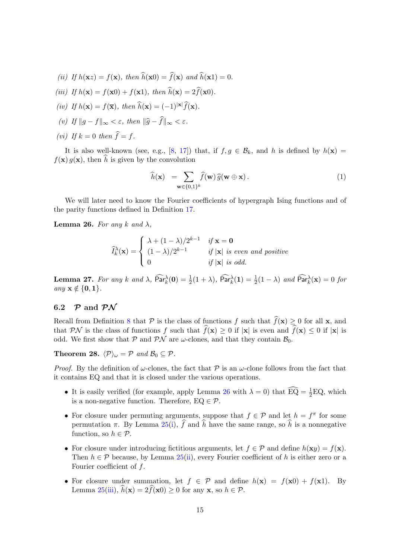- (ii) If  $h(\mathbf{x}z) = f(\mathbf{x})$ , then  $\widehat{h}(\mathbf{x}0) = \widehat{f}(\mathbf{x})$  and  $\widehat{h}(\mathbf{x}1) = 0$ .
- (iii) If  $h(\mathbf{x}) = f(\mathbf{x}0) + f(\mathbf{x}1)$ , then  $\widehat{h}(\mathbf{x}) = 2\widehat{f}(\mathbf{x}0)$ .
- (iv) If  $h(\mathbf{x}) = f(\overline{\mathbf{x}})$ , then  $\widehat{h}(\mathbf{x}) = (-1)^{|\mathbf{x}|} \widehat{f}(\mathbf{x})$ .
- (v) If  $||q f||_{\infty} < \varepsilon$ , then  $||\widehat{q} \widehat{f}||_{\infty} < \varepsilon$ .
- (vi) If  $k = 0$  then  $\hat{f} = f$ .

It is also well-known (see, e.g., [\[8,](#page-37-6) [17\]](#page-38-11)) that, if  $f, g \in \mathcal{B}_k$ , and h is defined by  $h(\mathbf{x}) =$  $f(\mathbf{x}) g(\mathbf{x})$ , then  $\hat{h}$  is given by the convolution

<span id="page-14-2"></span>
$$
\widehat{h}(\mathbf{x}) = \sum_{\mathbf{w} \in \{0,1\}^k} \widehat{f}(\mathbf{w}) \, \widehat{g}(\mathbf{w} \oplus \mathbf{x}). \tag{1}
$$

We will later need to know the Fourier coefficients of hypergraph Ising functions and of the parity functions defined in Definition [17.](#page-10-1)

<span id="page-14-0"></span>**Lemma 26.** For any k and  $\lambda$ ,

$$
\widehat{I}_k^{\lambda}(\mathbf{x}) = \begin{cases}\n\lambda + (1 - \lambda)/2^{k-1} & \text{if } \mathbf{x} = \mathbf{0} \\
(1 - \lambda)/2^{k-1} & \text{if } |\mathbf{x}| \text{ is even and positive} \\
0 & \text{if } |\mathbf{x}| \text{ is odd.}\n\end{cases}
$$

<span id="page-14-3"></span>**Lemma 27.** For any k and  $\lambda$ ,  $\widehat{\text{Par}}_k^{\lambda}(\mathbf{0}) = \frac{1}{2}(1 + \lambda)$ ,  $\widehat{\text{Par}}_k^{\lambda}(\mathbf{1}) = \frac{1}{2}(1 - \lambda)$  and  $\widehat{\text{Par}}_k^{\lambda}(\mathbf{x}) = 0$  for any  $\mathbf{x} \notin \{0,1\}.$ 

### 6.2  $\mathcal{P}$  and  $\mathcal{PN}$

Recall from Definition [8](#page-6-0) that  $P$  is the class of functions f such that  $\hat{f}(\mathbf{x}) \geq 0$  for all x, and that PN is the class of functions f such that  $\hat{f}(\mathbf{x}) > 0$  if  $|\mathbf{x}|$  is even and  $\hat{f}(\mathbf{x}) < 0$  if  $|\mathbf{x}|$  is odd. We first show that  $P$  and  $PN$  are  $\omega$ -clones, and that they contain  $\mathcal{B}_0$ .

<span id="page-14-1"></span>**Theorem 28.**  $\langle \mathcal{P} \rangle_{\omega} = \mathcal{P}$  and  $\mathcal{B}_0 \subseteq \mathcal{P}$ .

*Proof.* By the definition of  $\omega$ -clones, the fact that  $\mathcal P$  is an  $\omega$ -clone follows from the fact that it contains EQ and that it is closed under the various operations.

- It is easily verified (for example, apply Lemma [26](#page-14-0) with  $\lambda = 0$ ) that  $\widehat{EQ} = \frac{1}{2}EQ$ , which is a non-negative function. Therefore,  $EQ \in \mathcal{P}$ .
- For closure under permuting arguments, suppose that  $f \in \mathcal{P}$  and let  $h = f^{\pi}$  for some permutation  $\pi$ . By Lemma [25](#page-13-1)[\(i\)](#page-38-12),  $\hat{f}$  and  $\hat{h}$  have the same range, so  $\hat{h}$  is a nonnegative function, so  $h \in \mathcal{P}$ .
- For closure under introducing fictitious arguments, let  $f \in \mathcal{P}$  and define  $h(\mathbf{x}y) = f(\mathbf{x})$ . Then  $h \in \mathcal{P}$  because, by Lemma [25](#page-13-1)[\(ii\)](#page-38-13), every Fourier coefficient of h is either zero or a Fourier coefficient of f.
- For closure under summation, let  $f \in \mathcal{P}$  and define  $h(\mathbf{x}) = f(\mathbf{x}0) + f(\mathbf{x}1)$ . By Lemma [25](#page-13-1)[\(iii\)](#page-38-14),  $\widehat{h}(\mathbf{x}) = 2\widehat{f}(\mathbf{x}0) \geq 0$  for any **x**, so  $h \in \mathcal{P}$ .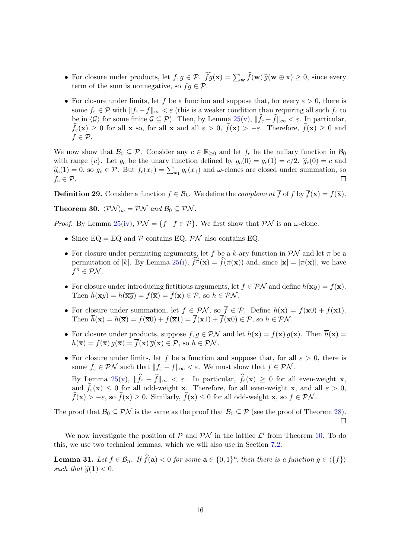- For closure under products, let  $f, g \in \mathcal{P}$ .  $fg(\mathbf{x}) = \sum_{\mathbf{w}} f(\mathbf{w}) \hat{g}(\mathbf{w} \oplus \mathbf{x}) \geq 0$ , since every term of the sum is poppositive so  $f \in \mathcal{P}$ . term of the sum is nonnegative, so  $fg \in \mathcal{P}$ .
- For closure under limits, let f be a function and suppose that, for every  $\varepsilon > 0$ , there is some  $f_{\varepsilon} \in \mathcal{P}$  with  $||f_{\varepsilon} - f||_{\infty} < \varepsilon$  (this is a weaker condition than requiring all such  $f_{\varepsilon}$  to be in  $\langle \mathcal{G} \rangle$  for some finite  $\mathcal{G} \subseteq \mathcal{P}$ ). Then, by Lemma [25\(](#page-13-1)[v\)](#page-38-15),  $\|\widehat{f}_{\varepsilon} - \widehat{f}\|_{\infty} < \varepsilon$ . In particular,  $\hat{f}_{\varepsilon}(\mathbf{x}) \ge 0$  for all **x** so, for all **x** and all  $\varepsilon > 0$ ,  $\hat{f}(\mathbf{x}) > -\varepsilon$ . Therefore,  $\hat{f}(\mathbf{x}) \ge 0$  and  $f \in \mathcal{P}$ .

We now show that  $\mathcal{B}_0 \subseteq \mathcal{P}$ . Consider any  $c \in \mathbb{R}_{\geq 0}$  and let  $f_c$  be the nullary function in  $\mathcal{B}_0$ with range  ${c}$ . Let  $g_c$  be the unary function defined by  $g_c(0) = g_c(1) = c/2$ .  $\hat{g}_c(0) = c$  and  $\widehat{g}_c(1) = 0$ , so  $g_c \in \mathcal{P}$ . But  $f_c(x_1) = \sum_{x_1} g_c(x_1)$  and  $\omega$ -clones are closed under summation, so  $f_c \in \mathcal{P}$ .  $\Box$ 

**Definition 29.** Consider a function  $f \in \mathcal{B}_k$ . We define the *complement*  $\overline{f}$  of f by  $\overline{f}(\mathbf{x}) = f(\overline{\mathbf{x}})$ .

<span id="page-15-1"></span>**Theorem 30.**  $\langle \mathcal{PN} \rangle_{\omega} = \mathcal{PN}$  and  $\mathcal{B}_0 \subseteq \mathcal{PN}$ .

*Proof.* By Lemma [25](#page-13-1)[\(iv\)](#page-38-16),  $\mathcal{PN} = \{f \mid \overline{f} \in \mathcal{P}\}\$ . We first show that  $\mathcal{PN}$  is an  $\omega$ -clone.

- Since  $\overline{EQ} = EQ$  and P contains EQ, PN also contains EQ.
- For closure under permuting arguments, let f be a k-ary function in  $\mathcal{PN}$  and let  $\pi$  be a permutation of [k]. By Lemma [25\(](#page-13-1)[i\)](#page-38-12),  $f^{\pi}(\mathbf{x}) = f(\pi(\mathbf{x}))$  and, since  $|\mathbf{x}| = |\pi(\mathbf{x})|$ , we have  $f^{\pi} \in \mathcal{PN}.$
- For closure under introducing fictitious arguments, let  $f \in \mathcal{PN}$  and define  $h(\mathbf{x}y) = f(\mathbf{x})$ . Then  $\overline{h}(\mathbf{x}y) = h(\overline{\mathbf{x}y}) = f(\overline{\mathbf{x}}) = \overline{f}(\mathbf{x}) \in \mathcal{P}$ , so  $h \in \mathcal{PN}$ .
- For closure under summation, let  $f \in \mathcal{PN}$ , so  $\overline{f} \in \mathcal{P}$ . Define  $h(\mathbf{x}) = f(\mathbf{x}0) + f(\mathbf{x}1)$ . Then  $\overline{h}(\mathbf{x}) = h(\overline{\mathbf{x}}) = f(\overline{\mathbf{x}}0) + f(\overline{\mathbf{x}}1) = \overline{f}(\mathbf{x}1) + \overline{f}(\mathbf{x}0) \in \mathcal{P}$ , so  $h \in \mathcal{PN}$ .
- For closure under products, suppose  $f, g \in \mathcal{PN}$  and let  $h(\mathbf{x}) = f(\mathbf{x}) g(\mathbf{x})$ . Then  $\overline{h}(\mathbf{x}) =$  $h(\overline{\mathbf{x}}) = f(\overline{\mathbf{x}}) g(\overline{\mathbf{x}}) = \overline{f}(\mathbf{x}) \overline{g}(\mathbf{x}) \in \mathcal{P}$ , so  $h \in \mathcal{PN}$ .
- For closure under limits, let f be a function and suppose that, for all  $\varepsilon > 0$ , there is some  $f_{\varepsilon} \in \mathcal{PN}$  such that  $||f_{\varepsilon} - f||_{\infty} < \varepsilon$ . We must show that  $f \in \mathcal{PN}$ . By Lemma [25](#page-13-1)[\(v\)](#page-38-15),  $||f_{\varepsilon} - f||_{\infty} < \varepsilon$ . In particular,  $f_{\varepsilon}(\mathbf{x}) \ge 0$  for all even-weight  $\mathbf{x}$ , and  $f_{\varepsilon}(\mathbf{x}) \leq 0$  for all odd-weight **x**. Therefore, for all even-weight **x**, and all  $\varepsilon > 0$ ,  $\widehat{f}(\mathbf{x}) > -\varepsilon$ , so  $\widehat{f}(\mathbf{x}) \geq 0$ . Similarly,  $\widehat{f}(\mathbf{x}) \leq 0$  for all odd-weight  $\mathbf{x}$ , so  $f \in \mathcal{PN}$ .

The proof that  $\mathcal{B}_0 \subseteq \mathcal{PN}$  is the same as the proof that  $\mathcal{B}_0 \subseteq \mathcal{P}$  (see the proof of Theorem [28\)](#page-14-1).  $\Box$ 

We now investigate the position of  $P$  and  $PN$  in the lattice  $\mathcal{L}'$  from Theorem [10.](#page-8-1) To do this, we use two technical lemmas, which we will also use in Section [7.2.](#page-22-1)

<span id="page-15-0"></span>**Lemma 31.** Let  $f \in \mathcal{B}_n$ . If  $\widehat{f}(\mathbf{a}) < 0$  for some  $\mathbf{a} \in \{0,1\}^n$ , then there is a function  $g \in \langle \{f\} \rangle$ such that  $\hat{q}(1) < 0$ .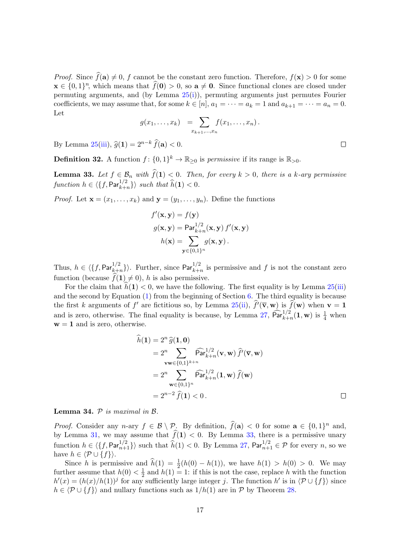*Proof.* Since  $\widehat{f}(\mathbf{a}) \neq 0$ , f cannot be the constant zero function. Therefore,  $f(\mathbf{x}) > 0$  for some  $\mathbf{x} \in \{0,1\}^n$ , which means that  $\widehat{f}(\mathbf{0}) > 0$ , so  $\mathbf{a} \neq \mathbf{0}$ . Since functional clones are closed under permuting arguments, and (by Lemma [25\(](#page-13-1)[i\)](#page-38-12)), permuting arguments just permutes Fourier coefficients, we may assume that, for some  $k \in [n]$ ,  $a_1 = \cdots = a_k = 1$  and  $a_{k+1} = \cdots = a_n = 0$ . Let

$$
g(x_1,\ldots,x_k) = \sum_{x_{k+1},\ldots,x_n} f(x_1,\ldots,x_n).
$$

By Lemma  $25(iii)$  $25(iii)$ ,  $\hat{q}(1) = 2^{n-k} \hat{f}(\mathbf{a}) < 0$ .

<span id="page-16-2"></span>**Definition 32.** A function  $f: \{0,1\}^k \to \mathbb{R}_{\geq 0}$  is *permissive* if its range is  $\mathbb{R}_{> 0}$ .

<span id="page-16-0"></span>**Lemma 33.** Let  $f \in \mathcal{B}_n$  with  $\widehat{f}(1) < 0$ . Then, for every  $k > 0$ , there is a k-ary permissive function  $h \in \langle \{f, \text{Par}_{k+n}^{1/2} \} \rangle$  such that  $\widehat{h}(\mathbf{1}) < 0$ .

*Proof.* Let  $\mathbf{x} = (x_1, \ldots, x_k)$  and  $\mathbf{y} = (y_1, \ldots, y_n)$ . Define the functions

$$
f'(\mathbf{x}, \mathbf{y}) = f(\mathbf{y})
$$
  
\n
$$
g(\mathbf{x}, \mathbf{y}) = \text{Par}_{k+n}^{1/2}(\mathbf{x}, \mathbf{y}) f'(\mathbf{x}, \mathbf{y})
$$
  
\n
$$
h(\mathbf{x}) = \sum_{\mathbf{y} \in \{0, 1\}^n} g(\mathbf{x}, \mathbf{y}).
$$

Thus,  $h \in \langle \{f, \text{Par}_{k+n}^{1/2} \} \rangle$ . Further, since  $\text{Par}_{k+n}^{1/2}$  is permissive and f is not the constant zero function (because  $f(1) \neq 0$ ), h is also permissive.

For the claim that  $\hat{h}(1) < 0$ , we have the following. The first equality is by Lemma [25\(](#page-13-1)[iii\)](#page-38-14) and the second by Equation  $(1)$  from the beginning of Section [6.](#page-13-2) The third equality is because the first k arguments of f' are fictitious so, by Lemma [25\(](#page-13-1)[ii\)](#page-38-13),  $\hat{f}'(\overline{\mathbf{v}}, \mathbf{w})$  is  $\hat{f}(\mathbf{w})$  when  $\mathbf{v} = \mathbf{1}$ and is zero, otherwise. The final equality is because, by Lemma [27,](#page-14-3)  $\widehat{\text{Par}}_{k+n}^{1/2}(\mathbf{1}, \mathbf{w})$  is  $\frac{1}{4}$  when  $w = 1$  and is zero, otherwise.

$$
\hat{h}(\mathbf{1}) = 2^n \hat{g}(\mathbf{1}, \mathbf{0})
$$
\n
$$
= 2^n \sum_{\mathbf{v} \mathbf{w} \in \{0, 1\}^{k+n}} \widehat{\text{Par}}_{k+n}^{1/2}(\mathbf{v}, \mathbf{w}) \hat{f}'(\overline{\mathbf{v}}, \mathbf{w})
$$
\n
$$
= 2^n \sum_{\mathbf{w} \in \{0, 1\}^n} \widehat{\text{Par}}_{k+n}^{1/2}(\mathbf{1}, \mathbf{w}) \hat{f}(\mathbf{w})
$$
\n
$$
= 2^{n-2} \hat{f}(\mathbf{1}) < 0.
$$

<span id="page-16-1"></span>Lemma 34.  $P$  is maximal in  $B$ .

*Proof.* Consider any  $n$ -ary  $f \in \mathcal{B} \setminus \mathcal{P}$ . By definition,  $\widehat{f}(\mathbf{a}) < 0$  for some  $\mathbf{a} \in \{0,1\}^n$  and, by Lemma [31,](#page-15-0) we may assume that  $\widehat{f}(1) < 0$ . By Lemma [33,](#page-16-0) there is a permissive unary function  $h \in \langle \{f, \text{Par}_{n+1}^{1/2}\} \rangle$  such that  $\widehat{h}(1) < 0$ . By Lemma [27,](#page-14-3)  $\text{Par}_{n+1}^{1/2} \in \mathcal{P}$  for every n, so we have  $h \in \langle \mathcal{P} \cup \{f\}\rangle$ .

Since h is permissive and  $\hat{h}(1) = \frac{1}{2}(h(0) - h(1))$ , we have  $h(1) > h(0) > 0$ . We may further assume that  $h(0) < \frac{1}{2}$  $\frac{1}{2}$  and  $h(1) = 1$ : if this is not the case, replace h with the function  $h'(x) = (h(x)/h(1))^j$  for any sufficiently large integer j. The function h' is in  $\langle \mathcal{P} \cup \{f\} \rangle$  since  $h \in \langle \mathcal{P} \cup \{f\} \rangle$  and nullary functions such as  $1/h(1)$  are in P by Theorem [28.](#page-14-1)

 $\Box$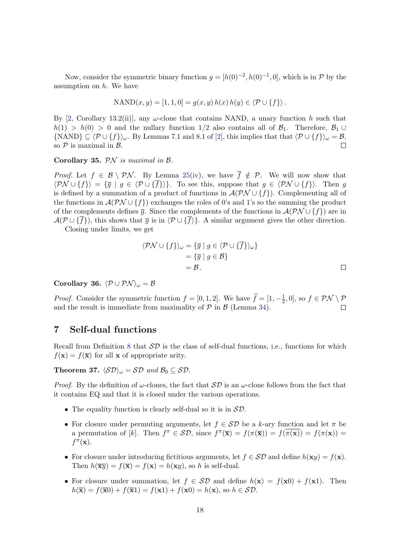Now, consider the symmetric binary function  $g = [h(0)^{-2}, h(0)^{-1}, 0]$ , which is in P by the assumption on  $h$ . We have

$$
\text{NAND}(x, y) = [1, 1, 0] = g(x, y) h(x) h(y) \in \langle \mathcal{P} \cup \{f\} \rangle.
$$

By [\[2,](#page-37-0) Corollary 13.2(ii)], any  $\omega$ -clone that contains NAND, a unary function h such that  $h(1) > h(0) > 0$  and the nullary function 1/2 also contains all of  $\mathcal{B}_1$ . Therefore,  $\mathcal{B}_1 \cup$  ${\text{NAND}} \subseteq \langle \mathcal{P} \cup \{f\}\rangle_\omega$ . By Lemmas 7.1 and 8.1 of [\[2\]](#page-37-0), this implies that that  $\langle \mathcal{P} \cup \{f\}\rangle_\omega = \mathcal{B}$ , so  $P$  is maximal in  $B$ .

<span id="page-17-2"></span>Corollary 35.  $PN$  is maximal in  $B$ .

*Proof.* Let  $f \in \mathcal{B} \setminus \mathcal{PN}$ . By Lemma [25](#page-13-1)[\(iv\)](#page-38-16), we have  $\overline{f} \notin \mathcal{P}$ . We will now show that  $\langle \mathcal{PN} \cup \{f\}\rangle = {\overline{g} \mid g \in \langle \mathcal{P} \cup \{\overline{f}\}\rangle\}.$  To see this, suppose that  $g \in \langle \mathcal{PN} \cup \{f\}\rangle.$  Then g is defined by a summation of a product of functions in  $\mathcal{A}(\mathcal{PN} \cup \{f\})$ . Complementing all of the functions in  $\mathcal{A}(\mathcal{P}N \cup \{f\})$  exchanges the roles of 0's and 1's so the summing the product of the complements defines  $\overline{g}$ . Since the complements of the functions in  $\mathcal{A}(\mathcal{PN} \cup \{f\})$  are in  $\mathcal{A}(\mathcal{P} \cup \{\overline{f}\})$ , this shows that  $\overline{g}$  is in  $\langle \mathcal{P} \cup \{\overline{f}\}\rangle$ . A similar argument gives the other direction. Closing under limits, we get

$$
\langle \mathcal{P} \mathcal{N} \cup \{f\} \rangle_{\omega} = \{ \overline{g} \mid g \in \langle \mathcal{P} \cup \{f\} \rangle_{\omega} \}
$$

$$
= \{ \overline{g} \mid g \in \mathcal{B} \}
$$

$$
= \mathcal{B}.
$$

<span id="page-17-1"></span>Corollary 36.  $\langle \mathcal{P} \cup \mathcal{P} \mathcal{N} \rangle_{\omega} = \mathcal{B}$ 

*Proof.* Consider the symmetric function  $f = [0, 1, 2]$ . We have  $\hat{f} = [1, -\frac{1}{2}]$  $(\frac{1}{2}, 0],$  so  $f \in \mathcal{PN} \setminus \mathcal{P}$ and the result is immediate from maximality of  $P$  in  $B$  (Lemma [34\)](#page-16-1).

## <span id="page-17-3"></span>7 Self-dual functions

Recall from Definition [8](#page-6-0) that  $\mathcal{SD}$  is the class of self-dual functions, i.e., functions for which  $f(\mathbf{x}) = f(\overline{\mathbf{x}})$  for all **x** of appropriate arity.

<span id="page-17-0"></span>**Theorem 37.**  $\langle \mathcal{SD} \rangle_{\omega} = \mathcal{SD}$  and  $\mathcal{B}_0 \subseteq \mathcal{SD}$ .

*Proof.* By the definition of  $\omega$ -clones, the fact that  $\mathcal{SD}$  is an  $\omega$ -clone follows from the fact that it contains EQ and that it is closed under the various operations.

- The equality function is clearly self-dual so it is in  $SD$ .
- For closure under permuting arguments, let  $f \in \mathcal{SD}$  be a k-ary function and let  $\pi$  be a permutation of [k]. Then  $f^{\pi} \in \mathcal{SD}$ , since  $f^{\pi}(\overline{\mathbf{x}}) = f(\pi(\overline{\mathbf{x}})) = f(\overline{\pi(\mathbf{x}})) = f(\pi(\mathbf{x})) =$  $f^{\pi}(\mathbf{x})$ .
- For closure under introducing fictitious arguments, let  $f \in \mathcal{SD}$  and define  $h(\mathbf{x}y) = f(\mathbf{x})$ . Then  $h(\overline{xy}) = f(\overline{x}) = f(x) = h(xy)$ , so h is self-dual.
- For closure under summation, let  $f \in \mathcal{SD}$  and define  $h(\mathbf{x}) = f(\mathbf{x}0) + f(\mathbf{x}1)$ . Then  $h(\overline{\mathbf{x}}) = f(\overline{\mathbf{x}}0) + f(\overline{\mathbf{x}}1) = f(\mathbf{x}1) + f(\mathbf{x}0) = h(\mathbf{x}),$  so  $h \in \mathcal{SD}$ .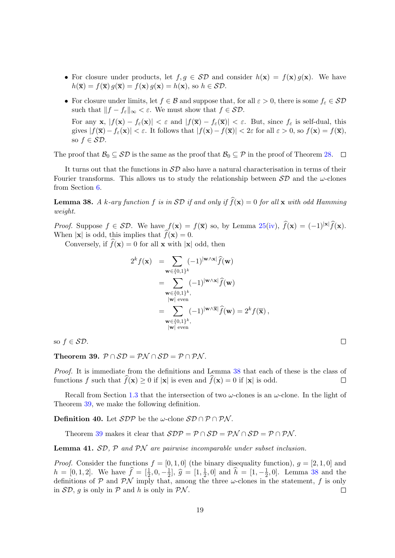- For closure under products, let  $f, g \in \mathcal{SD}$  and consider  $h(\mathbf{x}) = f(\mathbf{x}) g(\mathbf{x})$ . We have  $h(\overline{\mathbf{x}}) = f(\overline{\mathbf{x}}) g(\overline{\mathbf{x}}) = f(\mathbf{x}) g(\mathbf{x}) = h(\mathbf{x}),$  so  $h \in \mathcal{SD}$ .
- For closure under limits, let  $f \in \mathcal{B}$  and suppose that, for all  $\varepsilon > 0$ , there is some  $f_{\varepsilon} \in \mathcal{SD}$ such that  $||f - f_{\varepsilon}||_{\infty} < \varepsilon$ . We must show that  $f \in \mathcal{SD}$ .

For any **x**,  $|f(\mathbf{x}) - f_{\varepsilon}(\mathbf{x})| < \varepsilon$  and  $|f(\overline{\mathbf{x}}) - f_{\varepsilon}(\overline{\mathbf{x}})| < \varepsilon$ . But, since  $f_{\varepsilon}$  is self-dual, this gives  $|f(\overline{\mathbf{x}}) - f_{\varepsilon}(\mathbf{x})| < \varepsilon$ . It follows that  $|f(\mathbf{x}) - f(\overline{\mathbf{x}})| < 2\varepsilon$  for all  $\varepsilon > 0$ , so  $f(\mathbf{x}) = f(\overline{\mathbf{x}})$ , so  $f \in \mathcal{SD}$ .

The proof that  $\mathcal{B}_0 \subseteq \mathcal{SD}$  is the same as the proof that  $\mathcal{B}_0 \subseteq \mathcal{P}$  in the proof of Theorem [28.](#page-14-1)  $\Box$ 

It turns out that the functions in  $\mathcal{SD}$  also have a natural characterisation in terms of their Fourier transforms. This allows us to study the relationship between  $\mathcal{SD}$  and the  $\omega$ -clones from Section [6.](#page-13-2)

<span id="page-18-0"></span>**Lemma 38.** A k-ary function f is in  $\mathcal{SD}$  if and only if  $\widehat{f}(\mathbf{x}) = 0$  for all x with odd Hamming weight.

*Proof.* Suppose  $f \in \mathcal{SD}$ . We have  $f(\mathbf{x}) = f(\overline{\mathbf{x}})$  so, by Lemma [25](#page-13-1)[\(iv\)](#page-38-16),  $\hat{f}(\mathbf{x}) = (-1)^{|\mathbf{x}|} \hat{f}(\mathbf{x})$ . When  $|\mathbf{x}|$  is odd, this implies that  $f(\mathbf{x}) = 0$ .

Conversely, if  $\hat{f}(\mathbf{x}) = 0$  for all x with  $|\mathbf{x}|$  odd, then

$$
2^{k} f(\mathbf{x}) = \sum_{\mathbf{w} \in \{0,1\}^{k}} (-1)^{|\mathbf{w} \wedge \mathbf{x}|} \hat{f}(\mathbf{w})
$$
  
\n
$$
= \sum_{\substack{\mathbf{w} \in \{0,1\}^{k}, \\ |\mathbf{w}| \text{ even}}} (-1)^{|\mathbf{w} \wedge \mathbf{x}|} \hat{f}(\mathbf{w})
$$
  
\n
$$
= \sum_{\substack{\mathbf{w} \in \{0,1\}^{k}, \\ |\mathbf{w}| \text{ even}}} (-1)^{|\mathbf{w} \wedge \overline{\mathbf{x}}|} \hat{f}(\mathbf{w}) = 2^{k} f(\overline{\mathbf{x}}),
$$

so  $f \in \mathcal{SD}$ .

<span id="page-18-1"></span>Theorem 39.  $P \cap SD = P N \cap SD = P \cap PN$ .

Proof. It is immediate from the definitions and Lemma [38](#page-18-0) that each of these is the class of functions f such that  $\hat{f}(\mathbf{x}) \ge 0$  if  $|\mathbf{x}|$  is even and  $\hat{f}(\mathbf{x}) = 0$  if  $|\mathbf{x}|$  is odd. П

Recall from Section [1.3](#page-5-2) that the intersection of two  $\omega$ -clones is an  $\omega$ -clone. In the light of Theorem [39,](#page-18-1) we make the following definition.

**Definition 40.** Let  $SDP$  be the  $\omega$ -clone  $SD \cap P \cap PN$ .

Theorem [39](#page-18-1) makes it clear that  $SDP = P \cap SD = PN \cap SD = P \cap PN$ .

<span id="page-18-2"></span>**Lemma 41.**  $SD$ ,  $P$  and  $PN$  are pairwise incomparable under subset inclusion.

*Proof.* Consider the functions  $f = [0, 1, 0]$  (the binary disequality function),  $g = [2, 1, 0]$  and  $h = [0, 1, 2]$ . We have  $\hat{f} = [\frac{1}{2}, 0, -\frac{1}{2}]$  $\frac{1}{2}$ ,  $\hat{g} = [1, \frac{1}{2}]$  $(\frac{1}{2}, 0]$  and  $\hat{h} = [1, -\frac{1}{2}]$  $\frac{1}{2}$ , 0]. Lemma [38](#page-18-0) and the definitions of  $P$  and  $PN$  imply that, among the three  $\omega$ -clones in the statement, f is only in  $\mathcal{SD}, g$  is only in  $\mathcal{P}$  and h is only in  $\mathcal{PN}$ .  $\Box$ 

 $\Box$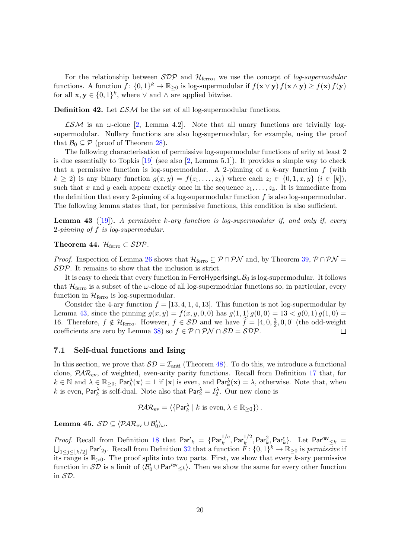For the relationship between  $S\mathcal{D}\mathcal{P}$  and  $\mathcal{H}_{\text{ferro}}$ , we use the concept of log-supermodular functions. A function  $f: \{0,1\}^k \to \mathbb{R}_{\geq 0}$  is log-supermodular if  $f(\mathbf{x} \vee \mathbf{y}) f(\mathbf{x} \wedge \mathbf{y}) \geq f(\mathbf{x}) f(\mathbf{y})$ for all  $\mathbf{x}, \mathbf{y} \in \{0,1\}^k$ , where  $\vee$  and  $\wedge$  are applied bitwise.

**Definition 42.** Let  $LSM$  be the set of all log-supermodular functions.

 $\mathcal{LSM}$  is an  $\omega$ -clone [\[2,](#page-37-0) Lemma 4.2]. Note that all unary functions are trivially logsupermodular. Nullary functions are also log-supermodular, for example, using the proof that  $\mathcal{B}_0 \subset \mathcal{P}$  (proof of Theorem [28\)](#page-14-1).

The following characterisation of permissive log-supermodular functions of arity at least 2 is due essentially to Topkis [\[19\]](#page-38-17) (see also [\[2,](#page-37-0) Lemma 5.1]). It provides a simple way to check that a permissive function is log-supermodular. A 2-pinning of a  $k$ -ary function  $f$  (with  $k \ge 2$ ) is any binary function  $g(x, y) = f(z_1, \ldots, z_k)$  where each  $z_i \in \{0, 1, x, y\}$   $(i \in [k])$ , such that x and y each appear exactly once in the sequence  $z_1, \ldots, z_k$ . It is immediate from the definition that every 2-pinning of a log-supermodular function  $f$  is also log-supermodular. The following lemma states that, for permissive functions, this condition is also sufficient.

<span id="page-19-0"></span>**Lemma 43** ([\[19\]](#page-38-17)). A permissive k-ary function is log-supermodular if, and only if, every 2-pinning of f is log-supermodular.

<span id="page-19-2"></span>Theorem 44.  $\mathcal{H}_{\text{ferro}} \subset \mathcal{SDP}$ .

*Proof.* Inspection of Lemma [26](#page-14-0) shows that  $\mathcal{H}_{\text{ferro}} \subseteq \mathcal{P} \cap \mathcal{PN}$  and, by Theorem [39,](#page-18-1)  $\mathcal{P} \cap \mathcal{PN} =$ SDP. It remains to show that the inclusion is strict.

It is easy to check that every function in FerroHyperIsing $\cup\mathcal{B}_0$  is log-supermodular. It follows that  $\mathcal{H}_{\text{ferro}}$  is a subset of the  $\omega$ -clone of all log-supermodular functions so, in particular, every function in  $\mathcal{H}_{\text{ferro}}$  is log-supermodular.

Consider the 4-ary function  $f = \begin{bmatrix} 13, 4, 1, 4, 13 \end{bmatrix}$ . This function is not log-supermodular by Lemma [43,](#page-19-0) since the pinning  $g(x, y) = f(x, y, 0, 0)$  has  $g(1, 1) g(0, 0) = 13 < g(0, 1) g(1, 0) =$ 16. Therefore,  $f \notin \mathcal{H}_{\text{ferro}}$ . However,  $f \in \mathcal{SD}$  and we have  $\hat{f} = [4, 0, \frac{3}{2}]$  $(\frac{3}{2}, 0, 0]$  (the odd-weight coefficients are zero by Lemma [38\)](#page-18-0) so  $f \in \mathcal{P} \cap \mathcal{PN} \cap \mathcal{SD} = \mathcal{SDP}$ .  $\Box$ 

### 7.1 Self-dual functions and Ising

In this section, we prove that  $\mathcal{SD} = \mathcal{I}_{\text{anti}}$  (Theorem [48\)](#page-21-0). To do this, we introduce a functional clone,  $\mathcal{P}AR_{\rm ev}$ , of weighted, even-arity parity functions. Recall from Definition [17](#page-10-1) that, for  $k \in \mathbb{N}$  and  $\lambda \in \mathbb{R}_{\geq 0}$ ,  $\mathsf{Par}_k^{\lambda}(\mathbf{x}) = 1$  if  $|\mathbf{x}|$  is even, and  $\mathsf{Par}_k^{\lambda}(\mathbf{x}) = \lambda$ , otherwise. Note that, when k is even, Par $_k^{\lambda}$  is self-dual. Note also that Par $_2^{\lambda} = I_2^{\lambda}$ . Our new clone is

$$
\mathcal{PAR}_{ev} = \langle \{ \mathsf{Par}_{k}^{\lambda} \mid k \text{ is even}, \lambda \in \mathbb{R}_{\geq 0} \} \rangle.
$$

<span id="page-19-1"></span>Lemma 45.  $\mathcal{SD} \subseteq \langle \mathcal{PAR}_{\text{ev}} \cup \mathcal{B}'_0 \rangle_\omega$ .

*Proof.* Recall from Definition [18](#page-10-2) that  $Par'_k = \{Par_k^{1/e}, Par_k^{1/2}, Par_k^2, Par_k^e\}$ . Let  $Par'^{ev}_{\leq k}$  $\bigcup_{1 \leq j \leq \lfloor k/2 \rfloor}$  Par<sup> $\prime$ </sup><sub>2j</sub>. Recall from Definition [32](#page-16-2) that a function  $F: \{0,1\}^k \to \mathbb{R}_{\geq 0}$  is permissive if its range is  $\mathbb{R}_{>0}$ . The proof splits into two parts. First, we show that every k-ary permissive function in  $\mathcal{SD}$  is a limit of  $\langle \mathcal{B}'_0 \cup \mathsf{Par}'^{\mathsf{ev}} \leq_k \rangle$ . Then we show the same for every other function in SD.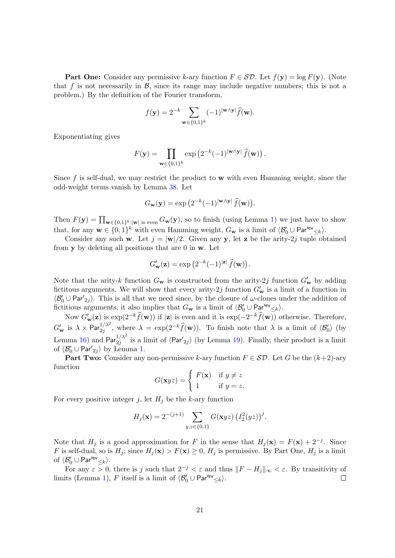**Part One:** Consider any permissive k-ary function  $F \in \mathcal{SD}$ . Let  $f(\mathbf{y}) = \log F(\mathbf{y})$ . (Note that f is not necessarily in  $\mathcal{B}$ , since its range may include negative numbers; this is not a problem.) By the definition of the Fourier transform,

$$
f(\mathbf{y}) = 2^{-k} \sum_{\mathbf{w} \in \{0,1\}^k} (-1)^{|\mathbf{w} \wedge \mathbf{y}|} \widehat{f}(\mathbf{w}).
$$

Exponentiating gives

$$
F(\mathbf{y}) = \prod_{\mathbf{w} \in \{0,1\}^k} \exp\left(2^{-k}(-1)^{|\mathbf{w} \wedge \mathbf{y}|} \hat{f}(\mathbf{w})\right).
$$

Since f is self-dual, we may restrict the product to  $\bf{w}$  with even Hamming weight, since the odd-weight terms vanish by Lemma [38.](#page-18-0) Let

$$
G_{\mathbf{w}}(\mathbf{y}) = \exp\left(2^{-k}(-1)^{|\mathbf{w}\wedge\mathbf{y}|} \widehat{f}(\mathbf{w})\right).
$$

Then  $F(\mathbf{y}) = \prod_{\mathbf{w}\in\{0,1\}^k:|\mathbf{w}| \text{ is even}} G_{\mathbf{w}}(\mathbf{y})$ , so to finish (using Lemma [1\)](#page-4-1) we just have to show that, for any  $\mathbf{w} \in \{0,1\}^k$  with even Hamming weight,  $G_{\mathbf{w}}$  is a limit of  $\langle \mathcal{B}'_0 \cup \mathsf{Par}^{\mathsf{rev}}_{\leq k} \rangle$ .

Consider any such w. Let  $j = |w|/2$ . Given any y, let z be the arity-2j tuple obtained from  $y$  by deleting all positions that are 0 in  $w$ . Let

$$
G'_{\mathbf{w}}(\mathbf{z}) = \exp\left(2^{-k}(-1)^{|\mathbf{z}|} \widehat{f}(\mathbf{w})\right).
$$

Note that the arity-k function  $G_{\mathbf{w}}$  is constructed from the arity-2j function  $G'_{\mathbf{w}}$  by adding fictitous arguments. We will show that every arity-2j function  $G'_{\mathbf{w}}$  is a limit of a function in  $\langle \mathcal{B}'_0 \cup \textsf{Par}'_{2j} \rangle$ . This is all that we need since, by the closure of  $\omega$ -clones under the addition of fictitious arguments, it also implies that  $G_{\mathbf{w}}$  is a limit of  $\langle \mathcal{B}'_0 \cup \text{Par}'^{\text{ev}}_{\leq k} \rangle$ .

Now  $G'_{\mathbf{w}}(\mathbf{z})$  is  $\exp(2^{-k}\widehat{f}(\mathbf{w}))$  if  $|\mathbf{z}|$  is even and it is  $\exp(-2^{-k}\widehat{f}(\mathbf{w}))$  otherwise. Therefore,  $G'_\mathbf{w}$  is  $\lambda \times \text{Par}_{2j}^{1/\lambda^2}$ , where  $\lambda = \exp(2^{-k}\widehat{f}(\mathbf{w}))$ . To finish note that  $\lambda$  is a limit of  $\langle \mathcal{B}'_0 \rangle$  (by Lemma [16\)](#page-10-0) and  $Par_{2j}^{1/\lambda^2}$  is a limit of  $\langle Par'_{2j} \rangle$  (by Lemma [19\)](#page-10-3). Finally, their product is a limit of  $\langle \mathcal{B}'_0 \cup \mathsf{Par}'_{2j} \rangle$  by Lemma [1.](#page-4-1)

**Part Two:** Consider any non-permissive k-ary function  $F \in \mathcal{SD}$ . Let G be the  $(k+2)$ -ary function

$$
G(\mathbf{x}yz) = \begin{cases} F(\mathbf{x}) & \text{if } y \neq z \\ 1 & \text{if } y = z. \end{cases}
$$

For every positive integer j, let  $H_j$  be the k-ary function

$$
H_j(\mathbf{x}) = 2^{-(j+1)} \sum_{y,z \in \{0,1\}} G(\mathbf{x} yz) \left( I_2^2(yz) \right)^j.
$$

Note that  $H_j$  is a good approximation for F in the sense that  $H_j(\mathbf{x}) = F(\mathbf{x}) + 2^{-j}$ . Since F is self-dual, so is  $H_j$ ; since  $H_j(\mathbf{x}) > F(\mathbf{x}) \geq 0$ ,  $H_j$  is permissive. By Part One,  $H_j$  is a limit of  $\langle \mathcal{B}'_0 \cup \mathsf{Par}'^{\mathsf{ev}}_{\leq k} \rangle$ .

For any  $\varepsilon > 0$ , there is j such that  $2^{-j} < \varepsilon$  and thus  $||F - H_j||_{\infty} < \varepsilon$ . By transitivity of limits (Lemma [1\)](#page-4-1), F itself is a limit of  $\langle \mathcal{B}'_0 \cup \text{Par}^{\text{rev}}_{\leq k} \rangle$ .  $\Box$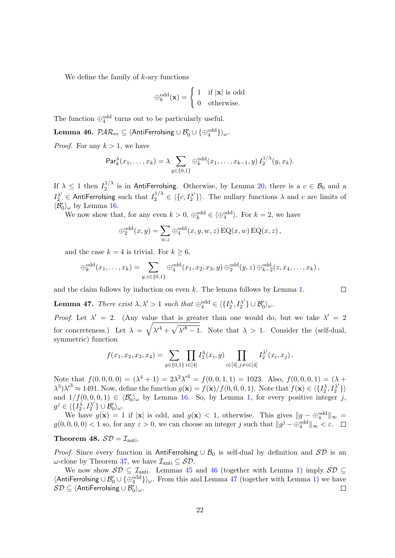We define the family of  $k$ -ary functions

$$
\bigoplus_k^{\text{odd}}(\mathbf{x}) = \begin{cases} 1 & \text{if } |\mathbf{x}| \text{ is odd} \\ 0 & \text{otherwise.} \end{cases}
$$

The function  $\oplus_4^{\text{odd}}$  turns out to be particularly useful.

<span id="page-21-1"></span> ${\bf Lemma~46.}~\mathcal{PAR}_{\rm ev}\subseteq\langle {\sf AntiFerrolsing}\cup\mathcal{B}_0'\cup\{\oplus_4^{\rm odd}\}\rangle_\omega.$ 

*Proof.* For any  $k > 1$ , we have

$$
\text{Par}_k^{\lambda}(x_1,\ldots,x_k) = \lambda \sum_{y \in \{0,1\}} \bigoplus_k^{\text{odd}} (x_1,\ldots,x_{k-1},y) I_2^{1/\lambda}(y,x_k).
$$

If  $\lambda \leq 1$  then  $I_2^{1/\lambda}$  $2^{1/\lambda}$  is in AntiFerrolsing. Otherwise, by Lemma [20,](#page-11-2) there is a  $c \in \mathcal{B}_0$  and a  $I_2^{\lambda'} \in$  AntiFerroIsing such that  $I_2^{1/\lambda} \in \langle \{c, I_2^{\lambda'}\} \rangle$  $\{\lambda'_{2}\}\right)$ . The nullary functions  $\lambda$  and c are limits of  $\langle \mathcal{B}_0' \rangle_\omega$  by Lemma [16.](#page-10-0)

We now show that, for any even  $k > 0$ ,  $\bigoplus_k^{\text{odd}} \in \langle \bigoplus_4^{\text{odd}} \rangle$ . For  $k = 2$ , we have

$$
\bigoplus_2^{\text{odd}}(x,y) = \sum_{w,z} \bigoplus_4^{\text{odd}}(x,y,w,z) \, \text{EQ}(x,w) \, \text{EQ}(x,z) \,,
$$

and the case  $k = 4$  is trivial. For  $k \geq 6$ ,

$$
\oplus_k^{\text{odd}}(x_1,\ldots,x_k) = \sum_{y,z \in \{0,1\}} \oplus_4^{\text{odd}}(x_1,x_2,x_3,y) \oplus_2^{\text{odd}}(y,z) \oplus_{k-2}^{\text{odd}}(z,x_4,\ldots,x_k),
$$

 $\Box$ 

and the claim follows by induction on even  $k$ . The lemma follows by Lemma [1.](#page-4-1)

<span id="page-21-2"></span>**Lemma 47.** There exist  $\lambda, \lambda' > 1$  such that  $\bigoplus_{4}^{\text{odd}} \in \langle \{I_2^{\lambda}, I_2^{\lambda'}\}\rangle$  $\{ \alpha _2 ^{\lambda ^{\prime }} \} \cup \mathcal{B}^{\prime}_{0} \rangle_{\omega}.$ 

*Proof.* Let  $\lambda' = 2$ . (Any value that is greater than one would do, but we take  $\lambda' = 2$ for concreteness.) Let  $\lambda = \sqrt{\lambda'^4 + \sqrt{\lambda'^8 - 1}}$ . Note that  $\lambda > 1$ . Consider the (self-dual, symmetric) function

$$
f(x_1, x_2, x_3, x_4) = \sum_{y \in \{0,1\}} \prod_{i \in [4]} I_2^{\lambda}(x_i, y) \prod_{i \in [4], j \neq i \in [4]} I_2^{\lambda'}(x_i, x_j).
$$

Note that  $f(0,0,0,0) = (\lambda^4 + 1) = 2\lambda^2{\lambda'}^4 = f(0,0,1,1) = 1023$ . Also,  $f(0,0,0,1) = (\lambda +$  $(\lambda^3)$  $\lambda^3 \approx 1491$ . Now, define the function  $g(\mathbf{x}) = f(\mathbf{x})/f(0,0,0,1)$ . Note that  $f(\mathbf{x}) \in \langle \{I_2^{\lambda}, I_2^{\lambda}\}\rangle$  $\begin{matrix} \lambda' \\ 2 \end{matrix} \}$ and  $1/f(0,0,0,1) \in \langle \mathcal{B}_0' \rangle_\omega$  by Lemma [16.](#page-10-0) So, by Lemma [1,](#page-4-1) for every positive integer j,  $g^j \in \langle \{I^\lambda_2,I^\lambda_2$  $\{ \lambda' \} \cup \mathcal{B}_0' \rangle_{\omega}.$ 

We have  $g(\mathbf{x}) = 1$  if  $|\mathbf{x}|$  is odd, and  $g(\mathbf{x}) < 1$ , otherwise. This gives  $||g - \bigoplus_{4}^{\text{odd}}||_{\infty} =$  $g(0,0,0,0) < 1$  so, for any  $\varepsilon > 0$ , we can choose an integer j such that  $||g^{j} - \bigoplus_{4}^{\text{odd}}||_{\infty} < \varepsilon$ .

### <span id="page-21-0"></span>Theorem 48.  $SD = \mathcal{I}_{anti}$ .

*Proof.* Since every function in AntiFerrolsing  $\cup$   $\mathcal{B}_0$  is self-dual by definition and  $\mathcal{SD}$  is an  $ω$ -clone by Theorem [37,](#page-17-0) we have  $\mathcal{I}_{anti} \subseteq \mathcal{SD}$ .

We now show  $S\mathcal{D} \subseteq \mathcal{I}_{anti}$ . Lemmas [45](#page-19-1) and [46](#page-21-1) (together with Lemma [1\)](#page-4-1) imply  $S\mathcal{D} \subseteq$  $\langle$ AntiFerrolsing  $\cup \mathcal{B}'_0 \cup \{\oplus_4^{\text{odd}}\}\rangle_\omega$ . From this and Lemma [47](#page-21-2) (together with Lemma [1\)](#page-4-1) we have  $\mathcal{SD} \subseteq \langle$ AntiFerroIsing  $\cup \, \mathcal{B}'_0 \rangle_\omega.$  $\Box$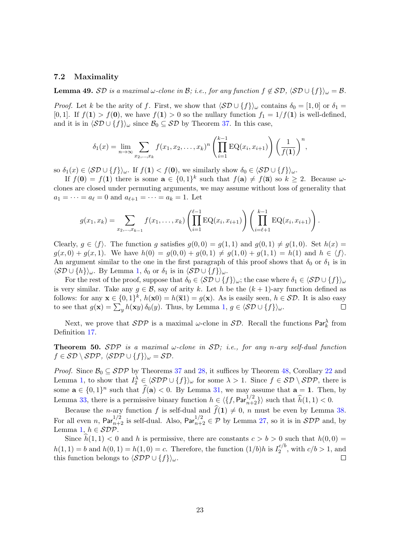#### <span id="page-22-1"></span>7.2 Maximality

<span id="page-22-0"></span>**Lemma 49.** SD is a maximal  $\omega$ -clone in B; i.e., for any function  $f \notin SD$ ,  $\langle SD \cup \{f\}\rangle_{\omega} = B$ .

*Proof.* Let k be the arity of f. First, we show that  $\langle SD \cup \{f\}\rangle_{\omega}$  contains  $\delta_0 = [1, 0]$  or  $\delta_1 =$ [0, 1]. If  $f(1) > f(0)$ , we have  $f(1) > 0$  so the nullary function  $f_1 = 1/f(1)$  is well-defined, and it is in  $\langle \mathcal{SD} \cup \{f\} \rangle_{\omega}$  since  $\mathcal{B}_0 \subseteq \mathcal{SD}$  by Theorem [37.](#page-17-0) In this case,

$$
\delta_1(x) = \lim_{n \to \infty} \sum_{x_2, ..., x_k} f(x_1, x_2, ..., x_k)^n \left( \prod_{i=1}^{k-1} \mathrm{EQ}(x_i, x_{i+1}) \right) \left( \frac{1}{f(1)} \right)^n,
$$

so  $\delta_1(x) \in \langle \mathcal{SD} \cup \{f\}\rangle_{\omega}$ . If  $f(1) < f(0)$ , we similarly show  $\delta_0 \in \langle \mathcal{SD} \cup \{f\}\rangle_{\omega}$ .

If  $f(\mathbf{0}) = f(1)$  there is some  $\mathbf{a} \in \{0,1\}^k$  such that  $f(\mathbf{a}) \neq f(\overline{\mathbf{a}})$  so  $k \geq 2$ . Because  $\omega$ clones are closed under permuting arguments, we may assume without loss of generality that  $a_1 = \cdots = a_\ell = 0$  and  $a_{\ell+1} = \cdots = a_k = 1$ . Let

$$
g(x_1, x_k) = \sum_{x_2, ..., x_{k-1}} f(x_1, ..., x_k) \left( \prod_{i=1}^{\ell-1} \mathrm{EQ}(x_i, x_{i+1}) \right) \left( \prod_{i=\ell+1}^{k-1} \mathrm{EQ}(x_i, x_{i+1}) \right).
$$

Clearly,  $q \in \langle f \rangle$ . The function g satisfies  $q(0, 0) = q(1, 1)$  and  $q(0, 1) \neq q(1, 0)$ . Set  $h(x) =$  $g(x, 0) + g(x, 1)$ . We have  $h(0) = g(0, 0) + g(0, 1) \neq g(1, 0) + g(1, 1) = h(1)$  and  $h \in \langle f \rangle$ . An argument similar to the one in the first paragraph of this proof shows that  $\delta_0$  or  $\delta_1$  is in  $\langle \mathcal{SD} \cup \{h\}\rangle_{\omega}$ . By Lemma [1,](#page-4-1)  $\delta_0$  or  $\delta_1$  is in  $\langle \mathcal{SD} \cup \{f\}\rangle_{\omega}$ .

For the rest of the proof, suppose that  $\delta_0 \in \langle \mathcal{SD} \cup \{f\} \rangle_\omega$ ; the case where  $\delta_1 \in \langle \mathcal{SD} \cup \{f\} \rangle_\omega$ is very similar. Take any  $g \in \mathcal{B}$ , say of arity k. Let h be the  $(k+1)$ -ary function defined as follows: for any  $\mathbf{x} \in \{0,1\}^k$ ,  $h(\mathbf{x}0) = h(\overline{\mathbf{x}}1) = g(\mathbf{x})$ . As is easily seen,  $h \in \mathcal{SD}$ . It is also easy to see that  $g(\mathbf{x}) = \sum_{y} h(\mathbf{x}y) \, \delta_0(y)$ . Thus, by Lemma [1,](#page-4-1)  $g \in \langle \mathcal{SD} \cup \{f\} \rangle_{\omega}$ .

Next, we prove that  $SDP$  is a maximal  $\omega$ -clone in  $SD$ . Recall the functions  $Par_k^{\lambda}$  from Definition [17.](#page-10-1)

<span id="page-22-2"></span>**Theorem 50.** SDP is a maximal w-clone in SD; i.e., for any n-ary self-dual function  $f \in \mathcal{SD} \setminus \mathcal{SDP}, \ \langle \mathcal{SDP} \cup \{f\}\rangle_{\omega} = \mathcal{SD}.$ 

*Proof.* Since  $\mathcal{B}_0 \subseteq \mathcal{SDP}$  by Theorems [37](#page-17-0) and [28,](#page-14-1) it suffices by Theorem [48,](#page-21-0) Corollary [22](#page-12-0) and Lemma [1,](#page-4-1) to show that  $I_2^{\lambda} \in \langle SDP \cup \{f\} \rangle_{\omega}$  for some  $\lambda > 1$ . Since  $f \in SD \setminus SDP$ , there is some  $\mathbf{a} \in \{0,1\}^n$  such that  $\widehat{f}(\mathbf{a}) < 0$ . By Lemma [31,](#page-15-0) we may assume that  $\mathbf{a} = \mathbf{1}$ . Then, by Lemma [33,](#page-16-0) there is a permissive binary function  $h \in \langle \{f, Par_{n+2}^{1/2}\} \rangle$  such that  $\widehat{h}(1, 1) < 0$ .

Because the *n*-ary function f is self-dual and  $\hat{f}(1) \neq 0$ , n must be even by Lemma [38.](#page-18-0) For all even *n*,  $\text{Par}_{n+2}^{1/2}$  is self-dual. Also,  $\text{Par}_{n+2}^{1/2} \in \mathcal{P}$  by Lemma [27,](#page-14-3) so it is in  $\mathcal{SDP}$  and, by Lemma [1,](#page-4-1)  $h \in \mathcal{SDP}$ .

Since  $\hat{h}(1, 1) < 0$  and h is permissive, there are constants  $c > b > 0$  such that  $h(0, 0) =$  $h(1, 1) = b$  and  $h(0, 1) = h(1, 0) = c$ . Therefore, the function  $(1/b)h$  is  $I_2^{c/b}$  $c_2^{c}/\nu$ , with  $c/b > 1$ , and this function belongs to  $\langle SDP \cup \{f\}\rangle_{\omega}$ .  $\Box$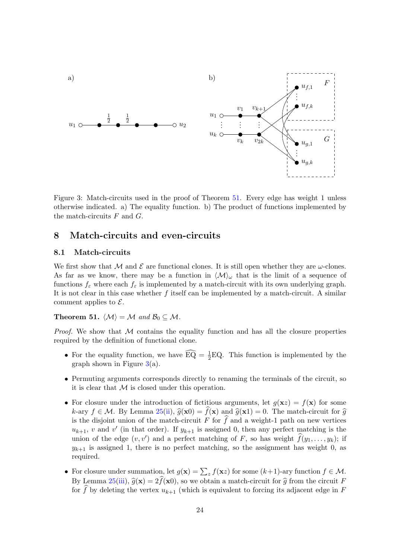

<span id="page-23-1"></span>Figure 3: Match-circuits used in the proof of Theorem [51.](#page-23-0) Every edge has weight 1 unless otherwise indicated. a) The equality function. b) The product of functions implemented by the match-circuits  $F$  and  $G$ .

## 8 Match-circuits and even-circuits

### 8.1 Match-circuits

We first show that M and  $\mathcal E$  are functional clones. It is still open whether they are  $\omega$ -clones. As far as we know, there may be a function in  $\langle \mathcal{M} \rangle_{\omega}$  that is the limit of a sequence of functions  $f_{\varepsilon}$  where each  $f_{\varepsilon}$  is implemented by a match-circuit with its own underlying graph. It is not clear in this case whether  $f$  itself can be implemented by a match-circuit. A similar comment applies to  $\mathcal{E}.$ 

<span id="page-23-0"></span>**Theorem 51.**  $\langle \mathcal{M} \rangle = \mathcal{M}$  and  $\mathcal{B}_0 \subset \mathcal{M}$ .

*Proof.* We show that  $M$  contains the equality function and has all the closure properties required by the definition of functional clone.

- For the equality function, we have  $\widehat{EQ} = \frac{1}{2}EQ$ . This function is implemented by the graph shown in Figure  $3(a)$  $3(a)$ .
- Permuting arguments corresponds directly to renaming the terminals of the circuit, so it is clear that  $M$  is closed under this operation.
- For closure under the introduction of fictitious arguments, let  $q(\mathbf{x}z) = f(\mathbf{x})$  for some k-ary  $f \in \mathcal{M}$ . By Lemma [25](#page-13-1)[\(ii\)](#page-38-13),  $\hat{g}(\mathbf{x}0) = f(\mathbf{x})$  and  $\hat{g}(\mathbf{x}1) = 0$ . The match-circuit for  $\hat{g}$ is the disjoint union of the match-circuit F for  $\hat{f}$  and a weight-1 path on new vertices  $u_{k+1}$ , v and v' (in that order). If  $y_{k+1}$  is assigned 0, then any perfect matching is the union of the edge  $(v, v')$  and a perfect matching of F, so has weight  $\widehat{f}(y_1, \ldots, y_k)$ ; if  $y_{k+1}$  is assigned 1, there is no perfect matching, so the assignment has weight 0, as required.
- For closure under summation, let  $g(\mathbf{x}) = \sum_{z} f(\mathbf{x}z)$  for some  $(k+1)$ -ary function  $f \in \mathcal{M}$ . By Lemma [25\(](#page-13-1)[iii\)](#page-38-14),  $\hat{g}(\mathbf{x}) = 2\hat{f}(\mathbf{x}0)$ , so we obtain a match-circuit for  $\hat{g}$  from the circuit F for  $\widehat{f}$  by deleting the vertex  $u_{k+1}$  (which is equivalent to forcing its adjacent edge in F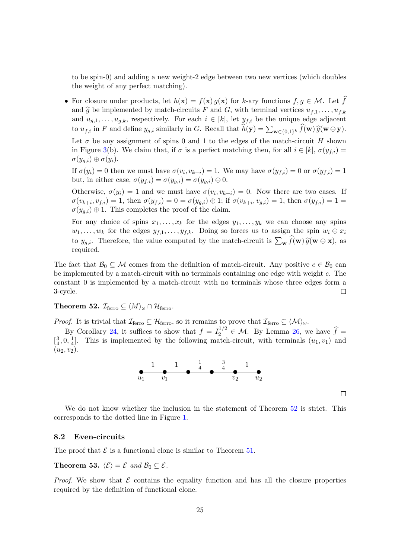to be spin-0) and adding a new weight-2 edge between two new vertices (which doubles the weight of any perfect matching).

• For closure under products, let  $h(\mathbf{x}) = f(\mathbf{x}) g(\mathbf{x})$  for k-ary functions  $f, g \in \mathcal{M}$ . Let  $\widehat{f}$ and  $\hat{g}$  be implemented by match-circuits F and G, with terminal vertices  $u_{f,1}, \ldots, u_{f,k}$ and  $u_{q,1}, \ldots, u_{q,k}$ , respectively. For each  $i \in [k]$ , let  $y_{f,i}$  be the unique edge adjacent to  $u_{f,i}$  in F and define  $y_{g,i}$  similarly in G. Recall that  $h(\mathbf{y}) = \sum_{\mathbf{w} \in \{0,1\}^k} f(\mathbf{w}) \hat{g}(\mathbf{w} \oplus \mathbf{y}).$ Let  $\sigma$  be any assignment of spins 0 and 1 to the edges of the match-circuit H shown in Figure [3\(](#page-23-1)b). We claim that, if  $\sigma$  is a perfect matching then, for all  $i \in [k]$ ,  $\sigma(y_{f,i}) =$  $\sigma(y_{q,i})\oplus \sigma(y_i).$ 

If  $\sigma(y_i) = 0$  then we must have  $\sigma(v_i, v_{k+i}) = 1$ . We may have  $\sigma(y_{f,i}) = 0$  or  $\sigma(y_{f,i}) = 1$ but, in either case,  $\sigma(y_{f,i}) = \sigma(y_{g,i}) = \sigma(y_{g,i}) \oplus 0$ .

Otherwise,  $\sigma(y_i) = 1$  and we must have  $\sigma(v_i, v_{k+i}) = 0$ . Now there are two cases. If  $\sigma(v_{k+i}, v_{f,i}) = 1$ , then  $\sigma(y_{f,i}) = 0 = \sigma(y_{g,i}) \oplus 1$ ; if  $\sigma(v_{k+i}, v_{g,i}) = 1$ , then  $\sigma(y_{f,i}) = 1 =$  $\sigma(y_{g,i}) \oplus 1$ . This completes the proof of the claim.

For any choice of spins  $x_1, \ldots, x_k$  for the edges  $y_1, \ldots, y_k$  we can choose any spins  $w_1, \ldots, w_k$  for the edges  $y_{f,1}, \ldots, y_{f,k}$ . Doing so forces us to assign the spin  $w_i \oplus x_i$ to  $y_{g,i}$ . Therefore, the value computed by the match-circuit is  $\sum_{\mathbf{w}} f(\mathbf{w}) \hat{g}(\mathbf{w} \oplus \mathbf{x})$ , as required.

The fact that  $\mathcal{B}_0 \subseteq \mathcal{M}$  comes from the definition of match-circuit. Any positive  $c \in \mathcal{B}_0$  can be implemented by a match-circuit with no terminals containing one edge with weight c. The constant 0 is implemented by a match-circuit with no terminals whose three edges form a 3-cycle.  $\Box$ 

### <span id="page-24-1"></span>Theorem 52.  $\mathcal{I}_{\text{ferro}} \subseteq \langle M \rangle_{\omega} \cap \mathcal{H}_{\text{ferro}}$ .

*Proof.* It is trivial that  $\mathcal{I}_{\text{ferro}} \subseteq \mathcal{H}_{\text{ferro}}$ , so it remains to prove that  $\mathcal{I}_{\text{ferro}} \subseteq \langle \mathcal{M} \rangle_{\omega}$ .

By Corollary [24,](#page-13-0) it suffices to show that  $f = I_2^{1/2} \in \mathcal{M}$ . By Lemma [26,](#page-14-0) we have  $\hat{f} =$  $\left[\frac{3}{4}\right]$  $\frac{3}{4}$ , 0,  $\frac{1}{4}$  $\frac{1}{4}$ . This is implemented by the following match-circuit, with terminals  $(u_1, v_1)$  and  $(u_2, v_2)$ .



 $\Box$ 

We do not know whether the inclusion in the statement of Theorem [52](#page-24-1) is strict. This corresponds to the dotted line in Figure [1.](#page-8-0)

#### 8.2 Even-circuits

The proof that  $\mathcal E$  is a functional clone is similar to Theorem [51.](#page-23-0)

<span id="page-24-0"></span>**Theorem 53.**  $\langle \mathcal{E} \rangle = \mathcal{E}$  and  $\mathcal{B}_0 \subseteq \mathcal{E}$ .

*Proof.* We show that  $\mathcal E$  contains the equality function and has all the closure properties required by the definition of functional clone.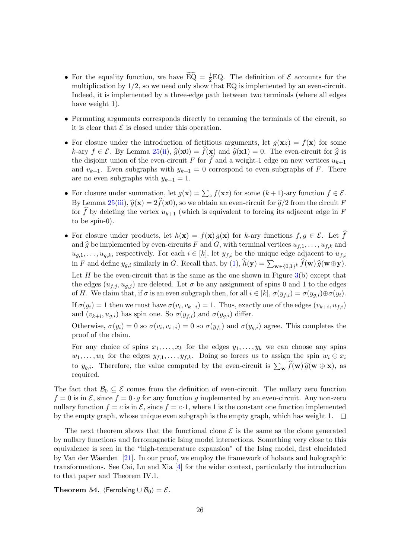- For the equality function, we have  $\widehat{EQ} = \frac{1}{2}EQ$ . The definition of  $\mathcal E$  accounts for the multiplication by 1/2, so we need only show that EQ is implemented by an even-circuit. Indeed, it is implemented by a three-edge path between two terminals (where all edges have weight 1).
- Permuting arguments corresponds directly to renaming the terminals of the circuit, so it is clear that  $\mathcal E$  is closed under this operation.
- For closure under the introduction of fictitious arguments, let  $q(\mathbf{x}z) = f(\mathbf{x})$  for some k-ary  $f \in \mathcal{E}$ . By Lemma [25\(](#page-13-1)[ii\)](#page-38-13),  $\hat{g}(\mathbf{x}0) = \hat{f}(\mathbf{x})$  and  $\hat{g}(\mathbf{x}1) = 0$ . The even-circuit for  $\hat{g}$  is the disjoint union of the even-circuit F for  $\hat{f}$  and a weight-1 edge on new vertices  $u_{k+1}$ and  $v_{k+1}$ . Even subgraphs with  $y_{k+1} = 0$  correspond to even subgraphs of F. There are no even subgraphs with  $y_{k+1} = 1$ .
- For closure under summation, let  $g(\mathbf{x}) = \sum_{z} f(\mathbf{x}z)$  for some  $(k+1)$ -ary function  $f \in \mathcal{E}$ . By Lemma [25\(](#page-13-1)[iii\)](#page-38-14),  $\hat{g}(\mathbf{x}) = 2\hat{f}(\mathbf{x}0)$ , so we obtain an even-circuit for  $\hat{g}/2$  from the circuit F for f by deleting the vertex  $u_{k+1}$  (which is equivalent to forcing its adjacent edge in F to be spin-0).
- For closure under products, let  $h(\mathbf{x}) = f(\mathbf{x}) g(\mathbf{x})$  for k-ary functions  $f, g \in \mathcal{E}$ . Let  $\hat{f}$ and  $\widehat{g}$  be implemented by even-circuits F and G, with terminal vertices  $u_{f,1}, \ldots, u_{f,k}$  and  $u_{g,1}, \ldots, u_{g,k}$ , respectively. For each  $i \in [k]$ , let  $y_{f,i}$  be the unique edge adjacent to  $u_{f,i}$ in F and define  $y_{g,i}$  similarly in G. Recall that, by [\(1\)](#page-14-2),  $h(\mathbf{y}) = \sum_{\mathbf{w} \in \{0,1\}^k} f(\mathbf{w}) \hat{g}(\mathbf{w} \oplus \mathbf{y}).$ Let  $H$  be the even-circuit that is the same as the one shown in Figure  $3(b)$  $3(b)$  except that the edges  $(u_{f,j}, u_{g,j})$  are deleted. Let  $\sigma$  be any assignment of spins 0 and 1 to the edges of H. We claim that, if  $\sigma$  is an even subgraph then, for all  $i \in [k]$ ,  $\sigma(y_{f,i}) = \sigma(y_{g,i}) \oplus \sigma(y_i)$ .

If  $\sigma(y_i) = 1$  then we must have  $\sigma(v_i, v_{k+i}) = 1$ . Thus, exactly one of the edges  $(v_{k+i}, u_{f,i})$ and  $(v_{k+i}, u_{g,i})$  has spin one. So  $\sigma(y_{f,i})$  and  $\sigma(y_{g,i})$  differ.

Otherwise,  $\sigma(y_i) = 0$  so  $\sigma(v_i, v_{i+i}) = 0$  so  $\sigma(y_{f_i})$  and  $\sigma(y_{g,i})$  agree. This completes the proof of the claim.

For any choice of spins  $x_1, \ldots, x_k$  for the edges  $y_1, \ldots, y_k$  we can choose any spins  $w_1, \ldots, w_k$  for the edges  $y_{f,1}, \ldots, y_{f,k}$ . Doing so forces us to assign the spin  $w_i \oplus x_i$ to  $y_{g,i}$ . Therefore, the value computed by the even-circuit is  $\sum_{w} f(w) \hat{g}(w \oplus x)$ , as required.

The fact that  $\mathcal{B}_0 \subseteq \mathcal{E}$  comes from the definition of even-circuit. The nullary zero function  $f = 0$  is in  $\mathcal{E}$ , since  $f = 0 \cdot q$  for any function g implemented by an even-circuit. Any non-zero nullary function  $f = c$  is in  $\mathcal{E}$ , since  $f = c \cdot 1$ , where 1 is the constant one function implemented by the empty graph, whose unique even subgraph is the empty graph, which has weight 1.  $\Box$ 

The next theorem shows that the functional clone  $\mathcal E$  is the same as the clone generated by nullary functions and ferromagnetic Ising model interactions. Something very close to this equivalence is seen in the "high-temperature expansion" of the Ising model, first elucidated by Van der Waerden [\[21\]](#page-38-18). In our proof, we employ the framework of holants and holographic transformations. See Cai, Lu and Xia [\[4\]](#page-37-5) for the wider context, particularly the introduction to that paper and Theorem IV.1.

<span id="page-25-0"></span>Theorem 54.  $\langle$ Ferrolsing  $\cup \mathcal{B}_0 \rangle = \mathcal{E}$ .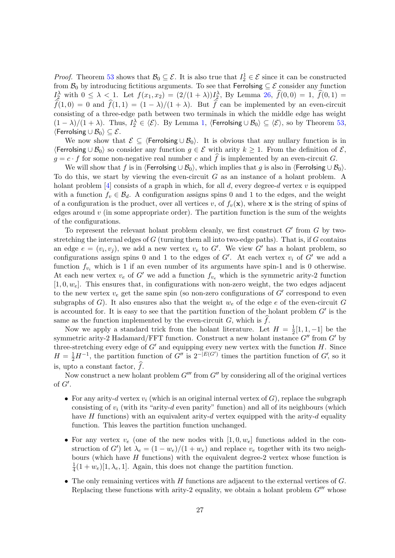*Proof.* Theorem [53](#page-24-0) shows that  $\mathcal{B}_0 \subseteq \mathcal{E}$ . It is also true that  $I_2^1 \in \mathcal{E}$  since it can be constructed from  $\mathcal{B}_0$  by introducing fictitious arguments. To see that Ferrolsing  $\subseteq \mathcal{E}$  consider any function  $I_2^{\lambda}$  with  $0 \leq \lambda \leq 1$ . Let  $f(x_1, x_2) = (2/(1 + \lambda))I_2^{\lambda}$ , By Lemma [26,](#page-14-0)  $f(0, 0) = 1$ ,  $f(0, 1) =$  $\widehat{f}(1, 0) = 0$  and  $\widehat{f}(1, 1) = (1 - \lambda)/(1 + \lambda)$ . But  $\widehat{f}$  can be implemented by an even-circuit consisting of a three-edge path between two terminals in which the middle edge has weight  $(1 - \lambda)/(1 + \lambda)$ . Thus,  $I_2^{\lambda} \in \langle \mathcal{E} \rangle$ . By Lemma [1,](#page-4-1)  $\langle$ Ferrolsing  $\cup \mathcal{B}_0 \rangle \subseteq \langle \mathcal{E} \rangle$ , so by Theorem [53,](#page-24-0)  $\langle$ FerroIsing ∪  $\mathcal{B}_0$  $\rangle \subseteq \mathcal{E}$ .

We now show that  $\mathcal{E} \subseteq \langle$  Ferrolsing ∪  $\mathcal{B}_0$ . It is obvious that any nullary function is in  $\langle$ Ferrolsing ∪  $\mathcal{B}_0$  so consider any function  $g \in \mathcal{E}$  with arity  $k \geq 1$ . From the definition of  $\mathcal{E}$ ,  $g = c \cdot f$  for some non-negative real number c and f is implemented by an even-circuit G.

We will show that f is in  $\langle$ FerroIsing ∪  $\mathcal{B}_0$ , which implies that g is also in  $\langle$ FerroIsing ∪  $\mathcal{B}_0$ . To do this, we start by viewing the even-circuit  $G$  as an instance of a holant problem. A holant problem [\[4\]](#page-37-5) consists of a graph in which, for all d, every degree-d vertex v is equipped with a function  $f_v \in \mathcal{B}_d$ . A configuration assigns spins 0 and 1 to the edges, and the weight of a configuration is the product, over all vertices v, of  $f_v(\mathbf{x})$ , where x is the string of spins of edges around  $v$  (in some appropriate order). The partition function is the sum of the weights of the configurations.

To represent the relevant holant problem cleanly, we first construct  $G'$  from  $G$  by twostretching the internal edges of  $G$  (turning them all into two-edge paths). That is, if  $G$  contains an edge  $e = (v_i, v_j)$ , we add a new vertex  $v_e$  to G'. We view G' has a holant problem, so configurations assign spins 0 and 1 to the edges of  $G'$ . At each vertex  $v_i$  of  $G'$  we add a function  $f_{v_i}$  which is 1 if an even number of its arguments have spin-1 and is 0 otherwise. At each new vertex  $v_e$  of G' we add a function  $f_{v_e}$  which is the symmetric arity-2 function  $[1, 0, w_e]$ . This ensures that, in configurations with non-zero weight, the two edges adjacent to the new vertex  $v_e$  get the same spin (so non-zero configurations of  $G'$  correspond to even subgraphs of G). It also ensures also that the weight  $w_e$  of the edge e of the even-circuit G is accounted for. It is easy to see that the partition function of the holant problem  $G'$  is the same as the function implemented by the even-circuit  $G$ , which is  $\hat{f}$ .

Now we apply a standard trick from the holant literature. Let  $H = \frac{1}{2}$  $\frac{1}{2}[1,1,-1]$  be the symmetric arity-2 Hadamard/FFT function. Construct a new holant instance  $G''$  from  $G'$  by three-stretching every edge of  $G'$  and equipping every new vertex with the function  $H$ . Since  $H = \frac{1}{2}H^{-1}$ , the partition function of G'' is  $2^{-|E(G')|}$  times the partition function of G', so it is, upto a constant factor,  $\hat{f}$ .

Now construct a new holant problem  $G'''$  from  $G''$  by considering all of the original vertices of  $G'$ .

- For any arity-d vertex  $v_i$  (which is an original internal vertex of  $G$ ), replace the subgraph consisting of  $v_i$  (with its "arity-d even parity" function) and all of its neighbours (which have H functions) with an equivalent arity-d vertex equipped with the arity-d equality function. This leaves the partition function unchanged.
- For any vertex  $v_e$  (one of the new nodes with  $[1, 0, w_e]$  functions added in the construction of G') let  $\lambda_e = (1 - w_e)/(1 + w_e)$  and replace  $v_e$  together with its two neighbours (which have  $H$  functions) with the equivalent degree-2 vertex whose function is 1  $\frac{1}{4}(1+w_e)[1,\lambda_e,1]$ . Again, this does not change the partition function.
- The only remaining vertices with  $H$  functions are adjacent to the external vertices of  $G$ . Replacing these functions with arity-2 equality, we obtain a holant problem  $G^{\prime\prime\prime}$  whose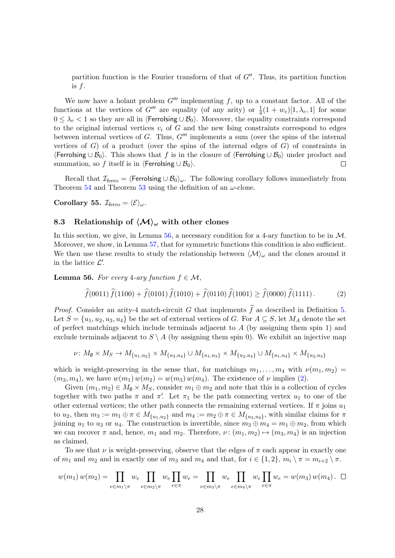partition function is the Fourier transform of that of  $G''$ . Thus, its partition function is  $f$ .

We now have a holant problem  $G^{\prime\prime\prime}$  implementing f, up to a constant factor. All of the functions at the vertices of G''' are equality (of any arity) or  $\frac{1}{4}(1+w_e)[1, \lambda_e, 1]$  for some  $0 \leq \lambda_e < 1$  so they are all in  $\langle$ Ferrolsing ∪  $\mathcal{B}_0$ . Moreover, the equality constraints correspond to the original internal vertices  $v_i$  of G and the new Ising constraints correspond to edges between internal vertices of G. Thus,  $G^{\prime\prime\prime}$  implements a sum (over the spins of the internal vertices of  $G$ ) of a product (over the spins of the internal edges of  $G$ ) of constraints in  $\text{Ferrolsing} \cup \mathcal{B}_0$ . This shows that f is in the closure of  $\text{Ferrolsing} \cup \mathcal{B}_0$  under product and summation, so f itself is in  $\langle$ Ferrolsing ∪  $\mathcal{B}_0$ .  $\Box$ 

Recall that  $\mathcal{I}_{\text{ferro}} = \langle \text{Ferrolsing} \cup \mathcal{B}_0 \rangle_\omega$ . The following corollary follows immediately from Theorem [54](#page-25-0) and Theorem [53](#page-24-0) using the definition of an  $\omega$ -clone.

<span id="page-27-2"></span>Corollary 55.  $\mathcal{I}_{\text{ferro}} = \langle \mathcal{E} \rangle_{\omega}$ .

## 8.3 Relationship of  $\langle \mathcal{M} \rangle_{\omega}$  with other clones

In this section, we give, in Lemma [56,](#page-27-0) a necessary condition for a 4-ary function to be in  $\mathcal{M}$ . Moreover, we show, in Lemma [57,](#page-28-0) that for symmetric functions this condition is also sufficient. We then use these results to study the relationship between  $\langle \mathcal{M} \rangle_{\omega}$  and the clones around it in the lattice  $\mathcal{L}'$ .

<span id="page-27-0"></span>**Lemma 56.** For every 4-ary function  $f \in \mathcal{M}$ ,

<span id="page-27-1"></span>
$$
\widehat{f}(0011)\,\widehat{f}(1100) + \widehat{f}(0101)\,\widehat{f}(1010) + \widehat{f}(0110)\,\widehat{f}(1001) \ge \widehat{f}(0000)\,\widehat{f}(1111). \tag{2}
$$

*Proof.* Consider an arity-4 match-circuit G that implements  $\hat{f}$  as described in Definition [5.](#page-6-1) Let  $S = \{u_1, u_2, u_3, u_4\}$  be the set of external vertices of G. For  $A \subseteq S$ , let  $M_A$  denote the set of perfect matchings which include terminals adjacent to  $A$  (by assigning them spin 1) and exclude terminals adjacent to  $S \setminus A$  (by assigning them spin 0). We exhibit an injective map

$$
\nu \colon M_{\emptyset} \times M_S \to M_{\{u_1, u_2\}} \times M_{\{u_3, u_4\}} \cup M_{\{u_1, u_3\}} \times M_{\{u_2, u_4\}} \cup M_{\{u_1, u_4\}} \times M_{\{u_2, u_3\}}
$$

which is weight-preserving in the sense that, for matchings  $m_1, \ldots, m_4$  with  $\nu(m_1, m_2)$  $(m_3, m_4)$ , we have  $w(m_1) w(m_2) = w(m_3) w(m_4)$ . The existence of  $\nu$  implies [\(2\)](#page-27-1).

Given  $(m_1, m_2) \in M_{\emptyset} \times M_S$ , consider  $m_1 \oplus m_2$  and note that this is a collection of cycles together with two paths  $\pi$  and  $\pi'$ . Let  $\pi_1$  be the path connecting vertex  $u_1$  to one of the other external vertices; the other path connects the remaining external vertices. If  $\pi$  joins  $u_1$ to  $u_2$ , then  $m_3 := m_1 \oplus \pi \in M_{\{u_1, u_2\}}$  and  $m_4 := m_2 \oplus \pi \in M_{\{u_3, u_4\}}$ , with similar claims for  $\pi$ joining  $u_1$  to  $u_3$  or  $u_4$ . The construction is invertible, since  $m_3 \oplus m_4 = m_1 \oplus m_2$ , from which we can recover  $\pi$  and, hence,  $m_1$  and  $m_2$ . Therefore,  $\nu : (m_1, m_2) \mapsto (m_3, m_4)$  is an injection as claimed.

To see that  $\nu$  is weight-preserving, observe that the edges of  $\pi$  each appear in exactly one of  $m_1$  and  $m_2$  and in exactly one of  $m_3$  and  $m_4$  and that, for  $i \in \{1,2\}$ ,  $m_i \setminus \pi = m_{i+2} \setminus \pi$ .

$$
w(m_1) w(m_2) = \prod_{e \in m_1 \setminus \pi} w_e \prod_{e \in m_2 \setminus \pi} w_e \prod_{e \in \pi} w_e = \prod_{e \in m_3 \setminus \pi} w_e \prod_{e \in m_4 \setminus \pi} w_e \prod_{e \in \pi} w_e = w(m_3) w(m_4). \quad \Box
$$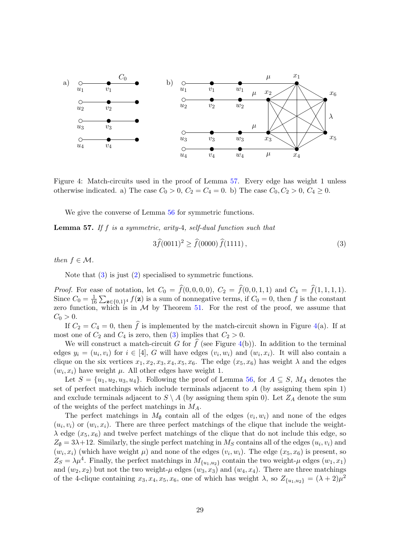

<span id="page-28-2"></span>Figure 4: Match-circuits used in the proof of Lemma [57.](#page-28-0) Every edge has weight 1 unless otherwise indicated. a) The case  $C_0 > 0$ ,  $C_2 = C_4 = 0$ . b) The case  $C_0$ ,  $C_2 > 0$ ,  $C_4 \ge 0$ .

We give the converse of Lemma [56](#page-27-0) for symmetric functions.

<span id="page-28-0"></span>**Lemma 57.** If  $f$  is a symmetric, arity-4, self-dual function such that

<span id="page-28-1"></span>
$$
3\widehat{f}(0011)^2 \ge \widehat{f}(0000)\,\widehat{f}(1111)\,,\tag{3}
$$

then  $f \in \mathcal{M}$ .

Note that  $(3)$  is just  $(2)$  specialised to symmetric functions.

*Proof.* For ease of notation, let  $C_0 = f(0, 0, 0, 0), C_2 = f(0, 0, 1, 1)$  and  $C_4 = f(1, 1, 1, 1).$ Since  $C_0 = \frac{1}{16}$  $\frac{1}{16}\sum_{z\in\{0,1\}^4} f(z)$  is a sum of nonnegative terms, if  $C_0 = 0$ , then f is the constant zero function, which is in  $M$  by Theorem [51.](#page-23-0) For the rest of the proof, we assume that  $C_0 > 0.$ 

If  $C_2 = C_4 = 0$ , then  $\hat{f}$  is implemented by the match-circuit shown in Figure [4\(](#page-28-2)a). If at most one of  $C_2$  and  $C_4$  is zero, then [\(3\)](#page-28-1) implies that  $C_2 > 0$ .

We will construct a match-circuit G for  $f$  (see Figure [4\(](#page-28-2)b)). In addition to the terminal edges  $y_i = (u_i, v_i)$  for  $i \in [4]$ , G will have edges  $(v_i, w_i)$  and  $(w_i, x_i)$ . It will also contain a clique on the six vertices  $x_1, x_2, x_3, x_4, x_5, x_6$ . The edge  $(x_5, x_6)$  has weight  $\lambda$  and the edges  $(w_i, x_i)$  have weight  $\mu$ . All other edges have weight 1.

Let  $S = \{u_1, u_2, u_3, u_4\}$ . Following the proof of Lemma [56,](#page-27-0) for  $A \subseteq S$ ,  $M_A$  denotes the set of perfect matchings which include terminals adjacent to  $A$  (by assigning them spin 1) and exclude terminals adjacent to  $S \setminus A$  (by assigning them spin 0). Let  $Z_A$  denote the sum of the weights of the perfect matchings in  $M_A$ .

The perfect matchings in  $M_{\emptyset}$  contain all of the edges  $(v_i, w_i)$  and none of the edges  $(u_i, v_i)$  or  $(w_i, x_i)$ . There are three perfect matchings of the clique that include the weight- $\lambda$  edge  $(x_5, x_6)$  and twelve perfect matchings of the clique that do not include this edge, so  $Z_{\emptyset} = 3\lambda + 12$ . Similarly, the single perfect matching in  $M_S$  contains all of the edges  $(u_i, v_i)$  and  $(w_i, x_i)$  (which have weight  $\mu$ ) and none of the edges  $(v_i, w_i)$ . The edge  $(x_5, x_6)$  is present, so  $Z_S = \lambda \mu^4$ . Finally, the perfect matchings in  $M_{\{u_1, u_2\}}$  contain the two weight- $\mu$  edges  $(w_1, x_1)$ and  $(w_2, x_2)$  but not the two weight- $\mu$  edges  $(w_3, x_3)$  and  $(w_4, x_4)$ . There are three matchings of the 4-clique containing  $x_3, x_4, x_5, x_6$ , one of which has weight  $\lambda$ , so  $Z_{\{u_1, u_2\}} = (\lambda + 2)\mu^2$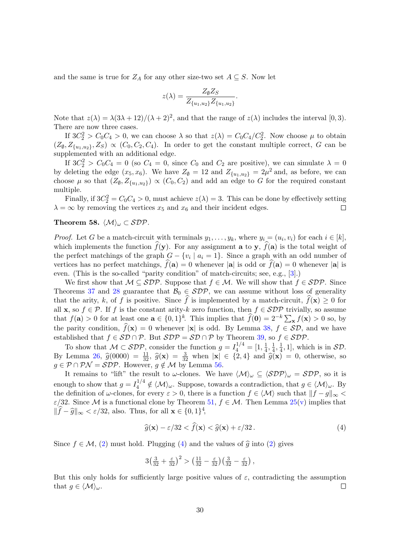and the same is true for  $Z_A$  for any other size-two set  $A \subseteq S$ . Now let

$$
z(\lambda) = \frac{Z_{\emptyset} Z_S}{Z_{\{u_1, u_2\}} Z_{\{u_1, u_2\}}}.
$$

Note that  $z(\lambda) = \lambda(3\lambda + 12)/(\lambda + 2)^2$ , and that the range of  $z(\lambda)$  includes the interval [0, 3]. There are now three cases.

If  $3C_2^2 > C_0C_4 > 0$ , we can choose  $\lambda$  so that  $z(\lambda) = C_0C_4/C_2^2$ . Now choose  $\mu$  to obtain  $(Z_{\emptyset}, Z_{\{u_1, u_2\}}, Z_S) \propto (C_0, C_2, C_4)$ . In order to get the constant multiple correct, G can be supplemented with an additional edge.

If  $3C_2^2 > C_0C_4 = 0$  (so  $C_4 = 0$ , since  $C_0$  and  $C_2$  are positive), we can simulate  $\lambda = 0$ by deleting the edge  $(x_5, x_6)$ . We have  $Z_{\emptyset} = 12$  and  $Z_{\{u_1, u_2\}} = 2\mu^2$  and, as before, we can choose  $\mu$  so that  $(Z_{\emptyset}, Z_{\{u_1, u_2\}}) \propto (C_0, C_2)$  and add an edge to G for the required constant multiple.

Finally, if  $3C_2^2 = C_0C_4 > 0$ , must achieve  $z(\lambda) = 3$ . This can be done by effectively setting  $\lambda = \infty$  by removing the vertices  $x_5$  and  $x_6$  and their incident edges.  $\Box$ 

#### <span id="page-29-1"></span>Theorem 58.  $\langle \mathcal{M} \rangle_{\omega} \subset \mathcal{SDP}$ .

*Proof.* Let G be a match-circuit with terminals  $y_1, \ldots, y_k$ , where  $y_i = (u_i, v_i)$  for each  $i \in [k]$ , which implements the function  $\hat{f}(\mathbf{y})$ . For any assignment **a** to **y**,  $\hat{f}(\mathbf{a})$  is the total weight of the perfect matchings of the graph  $G - \{v_i \mid a_i = 1\}$ . Since a graph with an odd number of vertices has no perfect matchings,  $\hat{f}(\mathbf{a}) = 0$  whenever  $|\mathbf{a}|$  is odd or  $\hat{f}(\mathbf{a}) = 0$  whenever  $|\mathbf{a}|$  is even. (This is the so-called "parity condition" of match-circuits; see, e.g., [\[3\]](#page-37-7).)

We first show that  $M \subseteq SDP$ . Suppose that  $f \in M$ . We will show that  $f \in SDP$ . Since Theorems [37](#page-17-0) and [28](#page-14-1) guarantee that  $\mathcal{B}_0 \in \mathcal{SDP}$ , we can assume without loss of generality that the arity, k, of f is positive. Since  $\hat{f}$  is implemented by a match-circuit,  $\hat{f}(\mathbf{x}) \geq 0$  for all **x**, so  $f \in \mathcal{P}$ . If f is the constant arity-k zero function, then  $f \in \mathcal{SDP}$  trivially, so assume that  $f(\mathbf{a}) > 0$  for at least one  $\mathbf{a} \in \{0,1\}^k$ . This implies that  $\widehat{f}(\mathbf{0}) = 2^{-k} \sum_{\mathbf{x}} f(\mathbf{x}) > 0$  so, by the parity condition,  $f(\mathbf{x}) = 0$  whenever |x| is odd. By Lemma [38,](#page-18-0)  $f \in \mathcal{SD}$ , and we have established that  $f \in \mathcal{SD} \cap \mathcal{P}$ . But  $\mathcal{SDP} = \mathcal{SD} \cap \mathcal{P}$  by Theorem [39,](#page-18-1) so  $f \in \mathcal{SDP}$ .

To show that  $\mathcal{M} \subset \mathcal{SDP}_2$ , consider the function  $g = I_4^{1/4} = [1, \frac{1}{4}]$  $\frac{1}{4}, \frac{1}{4}$  $\frac{1}{4}, \frac{1}{4}$  $\frac{1}{4}$ , 1], which is in  $SD$ . By Lemma [26,](#page-14-0)  $\hat{g}(0000) = \frac{11}{32}$ ,  $\hat{g}(\mathbf{x}) = \frac{3}{32}$  when  $|\mathbf{x}| \in \{2, 4\}$  and  $\hat{g}(\mathbf{x}) = 0$ , otherwise, so  $g \in \mathcal{P} \cap \mathcal{PN} = \mathcal{S} \mathcal{D} \mathcal{P}$ . However,  $g \notin \mathcal{M}$  by Lemma [56.](#page-27-0)

It remains to "lift" the result to  $\omega$ -clones. We have  $\langle \mathcal{M} \rangle_{\omega} \subseteq \langle \mathcal{SDP} \rangle_{\omega} = \mathcal{SDP}$ , so it is enough to show that  $g = I_4^{1/4} \notin \langle \mathcal{M} \rangle_{\omega}$ . Suppose, towards a contradiction, that  $g \in \langle \mathcal{M} \rangle_{\omega}$ . By the definition of  $\omega$ -clones, for every  $\varepsilon > 0$ , there is a function  $f \in \langle \mathcal{M} \rangle$  such that  $||f - g||_{\infty}$  $\varepsilon/32$ . Since M is a functional clone by Theorem [51,](#page-23-0)  $f \in \mathcal{M}$ . Then Lemma [25\(](#page-13-1)[v\)](#page-38-15) implies that  $\|\widehat{f} - \widehat{g}\|_{\infty} < \varepsilon/32$ , also. Thus, for all  $\mathbf{x} \in \{0, 1\}^4$ ,

<span id="page-29-0"></span>
$$
\hat{g}(\mathbf{x}) - \varepsilon/32 < \hat{f}(\mathbf{x}) < \hat{g}(\mathbf{x}) + \varepsilon/32. \tag{4}
$$

Since  $f \in \mathcal{M}$ , [\(2\)](#page-27-1) must hold. Plugging [\(4\)](#page-29-0) and the values of  $\hat{g}$  into (2) gives

$$
3\left(\frac{3}{32} + \frac{\varepsilon}{32}\right)^2 > \left(\frac{11}{32} - \frac{\varepsilon}{32}\right)\left(\frac{3}{32} - \frac{\varepsilon}{32}\right),
$$

But this only holds for sufficiently large positive values of  $\varepsilon$ , contradicting the assumption that  $g \in \langle \mathcal{M} \rangle_{\omega}$ .  $\Box$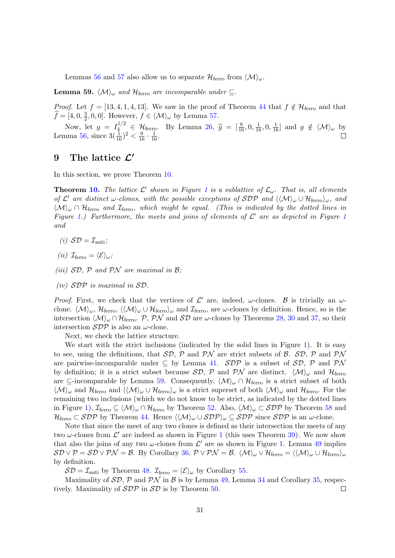Lemmas [56](#page-27-0) and [57](#page-28-0) also allow us to separate  $\mathcal{H}_{\text{ferro}}$  from  $\langle \mathcal{M} \rangle_{\omega}$ .

<span id="page-30-1"></span>**Lemma 59.**  $\langle \mathcal{M} \rangle_{\omega}$  and  $\mathcal{H}_{\text{ferro}}$  are incomparable under  $\subseteq$ .

*Proof.* Let  $f = [13, 4, 1, 4, 13]$ . We saw in the proof of Theorem [44](#page-19-2) that  $f \notin \mathcal{H}_{\text{ferro}}$  and that  $\widehat{f} = [4, 0, \frac{3}{2}]$  $(\frac{3}{2}, 0, 0]$ . However,  $f \in \langle \mathcal{M} \rangle_{\omega}$  by Lemma [57.](#page-28-0)

Now, let  $g = I_4^{1/2} \in \mathcal{H}_{\text{ferro}}$ . By Lemma [26,](#page-14-0)  $\hat{g} = \left[\frac{9}{16}, 0, \frac{1}{16}, 0, \frac{1}{16}\right]$  and  $g \notin \langle \mathcal{M} \rangle_{\omega}$  by Lemma [56,](#page-27-0) since  $3(\frac{1}{16})^2 < \frac{9}{16} \cdot \frac{1}{16}$ .

## <span id="page-30-0"></span>9 The lattice  $\mathcal{L}'$

In this section, we prove Theorem [10.](#page-8-1)

**Theorem [10.](#page-8-1)** The lattice L' shown in Figure [1](#page-8-0) is a sublattice of  $\mathcal{L}_{\omega}$ . That is, all elements of  $\mathcal{L}'$  are distinct  $\omega$ -clones, with the possible exceptions of SDP and  $\langle\langle \mathcal{M}\rangle_{\omega}\cup\mathcal{H}_{\text{ferro}}\rangle_{\omega}$ , and  $\langle \mathcal{M} \rangle_{\omega} \cap \mathcal{H}_{\text{ferro}}$  and  $\mathcal{I}_{\text{ferro}}$ , which might be equal. (This is indicated by the dotted lines in Figure [1.](#page-8-0)) Furthermore, the meets and joins of elements of  $\mathcal{L}'$  are as depicted in Figure [1](#page-8-0) and

- (i)  $SD = \mathcal{I}_{\text{anti}};$
- (*ii*)  $\mathcal{I}_{\text{ferro}} = \langle \mathcal{E} \rangle_{\omega};$
- (iii)  $SD$ ,  $P$  and  $PN$  are maximal in  $B$ ;
- (iv) SDP is maximal in SD.

*Proof.* First, we check that the vertices of  $\mathcal{L}'$  are, indeed,  $\omega$ -clones.  $\beta$  is trivially an  $\omega$ clone.  $\langle \mathcal{M}\rangle_{\omega}$ ,  $\mathcal{H}_{\text{ferro}}$ ,  $\langle\langle \mathcal{M}\rangle_{\omega} \cup \mathcal{H}_{\text{ferro}}\rangle_{\omega}$  and  $\mathcal{I}_{\text{ferro}}$ , are  $\omega$ -clones by definition. Hence, so is the intersection  $\langle \mathcal{M} \rangle_{\omega} \cap \mathcal{H}_{\text{ferro}}$ . P, PN and SD are  $\omega$ -clones by Theorems [28,](#page-14-1) [30](#page-15-1) and [37,](#page-17-0) so their intersection  $S\mathcal{D}\mathcal{P}$  is also an  $\omega$ -clone.

Next, we check the lattice structure.

We start with the strict inclusions (indicated by the solid lines in Figure [1\)](#page-8-0). It is easy to see, using the definitions, that  $SD$ , P and PN are strict subsets of B. SD, P and PN are pairwise-incomparable under  $\subseteq$  by Lemma [41.](#page-18-2) SDP is a subset of SD, P and PN by definition; it is a strict subset because  $SD$ , P and PN are distinct.  $\langle M \rangle_{\omega}$  and  $\mathcal{H}_{\text{ferro}}$ are ⊆-incomparable by Lemma [59.](#page-30-1) Consequently,  $\langle \mathcal{M} \rangle_{\omega} \cap \mathcal{H}_{\text{ferro}}$  is a strict subset of both  $\langle \mathcal{M} \rangle_{\omega}$  and  $\mathcal{H}_{\text{ferro}}$  and  $\langle \langle \mathcal{M} \rangle_{\omega} \cup \mathcal{H}_{\text{ferro}} \rangle_{\omega}$  is a strict superset of both  $\langle \mathcal{M} \rangle_{\omega}$  and  $\mathcal{H}_{\text{ferro}}$ . For the remaining two inclusions (which we do not know to be strict, as indicated by the dotted lines in Figure [1\)](#page-8-0),  $\mathcal{I}_{\text{ferro}} \subseteq \langle \mathcal{M} \rangle_{\omega} \cap \mathcal{H}_{\text{ferro}}$  by Theorem [52.](#page-24-1) Also,  $\langle \mathcal{M} \rangle_{\omega} \subset \mathcal{SDP}$  by Theorem [58](#page-29-1) and  $\mathcal{H}_{\text{ferro}} \subset \mathcal{SDP}$  by Theorem [44.](#page-19-2) Hence  $\langle\langle \mathcal{M}\rangle_{\omega} \cup \mathcal{SDP}\rangle_{\omega} \subseteq \mathcal{SDP}$  since  $\mathcal{SDP}$  is an  $\omega$ -clone.

Note that since the meet of any two clones is defined as their intersection the meets of any two  $\omega$ -clones from  $\mathcal{L}'$  are indeed as shown in Figure [1](#page-8-0) (this uses Theorem [39\)](#page-18-1). We now show that also the joins of any two  $\omega$ -clones from  $\mathcal{L}'$  are as shown in Figure [1.](#page-8-0) Lemma [49](#page-22-0) implies  $S\mathcal{D} \vee \mathcal{P} = S\mathcal{D} \vee \mathcal{P}\mathcal{N} = \mathcal{B}$ . By Corollary [36,](#page-17-1)  $\mathcal{P} \vee \mathcal{P}\mathcal{N} = \mathcal{B}$ .  $\langle \mathcal{M} \rangle_{\omega} \vee \mathcal{H}_{\text{ferro}} = \langle \langle \mathcal{M} \rangle_{\omega} \cup \mathcal{H}_{\text{ferro}} \rangle_{\omega}$ by definition.

 $SD = \mathcal{I}_{\text{anti}}$  by Theorem [48.](#page-21-0)  $\mathcal{I}_{\text{ferro}} = \langle \mathcal{E} \rangle_{\omega}$  by Corollary [55.](#page-27-2)

Maximality of  $\mathcal{SD}, \mathcal{P}$  and  $\mathcal{PN}$  in  $\mathcal{B}$  is by Lemma [49,](#page-22-0) Lemma [34](#page-16-1) and Corollary [35,](#page-17-2) respectively. Maximality of SDP in SD is by Theorem [50.](#page-22-2)  $\Box$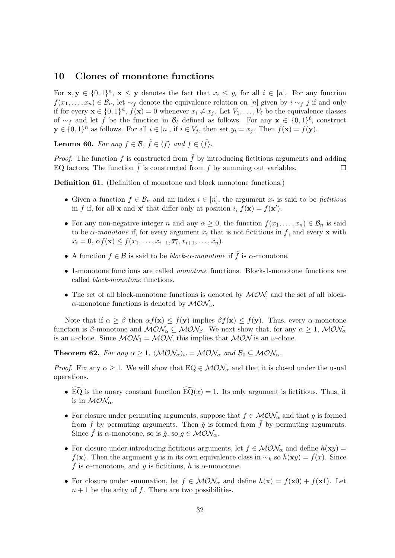## <span id="page-31-1"></span>10 Clones of monotone functions

For  $\mathbf{x}, \mathbf{y} \in \{0,1\}^n$ ,  $\mathbf{x} \leq \mathbf{y}$  denotes the fact that  $x_i \leq y_i$  for all  $i \in [n]$ . For any function  $f(x_1, \ldots, x_n) \in \mathcal{B}_n$ , let  $\sim_f$  denote the equivalence relation on [n] given by  $i \sim_f j$  if and only if for every  $\mathbf{x} \in \{0,1\}^n$ ,  $f(\mathbf{x})=0$  whenever  $x_i \neq x_j$ . Let  $V_1, \ldots, V_\ell$  be the equivalence classes of  $\sim_f$  and let  $\tilde{f}$  be the function in  $\mathcal{B}_\ell$  defined as follows. For any  $\mathbf{x} \in \{0, 1\}^\ell$ , construct  $\mathbf{y} \in \{0,1\}^n$  as follows. For all  $i \in [n]$ , if  $i \in V_j$ , then set  $y_i = x_j$ . Then  $\tilde{f}(\mathbf{x}) = f(\mathbf{y})$ .

**Lemma 60.** For any  $f \in \mathcal{B}$ ,  $\tilde{f} \in \langle f \rangle$  and  $f \in \langle \tilde{f} \rangle$ .

*Proof.* The function f is constructed from  $\tilde{f}$  by introducing fictitious arguments and adding EQ factors. The function  $\tilde{f}$  is constructed from f by summing out variables.  $\Box$ 

Definition 61. (Definition of monotone and block monotone functions.)

- Given a function  $f \in \mathcal{B}_n$  and an index  $i \in [n]$ , the argument  $x_i$  is said to be *fictitious* in f if, for all **x** and **x'** that differ only at position i,  $f(\mathbf{x}) = f(\mathbf{x}')$ .
- For any non-negative integer n and any  $\alpha \geq 0$ , the function  $f(x_1, \ldots, x_n) \in \mathcal{B}_n$  is said to be  $\alpha$ -monotone if, for every argument  $x_i$  that is not fictitious in f, and every x with  $x_i = 0, \, \alpha f(\mathbf{x}) \leq f(x_1, \ldots, x_{i-1}, \overline{x_i}, x_{i+1}, \ldots, x_n).$
- A function  $f \in \mathcal{B}$  is said to be *block-α-monotone* if  $\tilde{f}$  is  $\alpha$ -monotone.
- 1-monotone functions are called monotone functions. Block-1-monotone functions are called block-monotone functions.
- The set of all block-monotone functions is denoted by  $MON$ , and the set of all block- $\alpha$ -monotone functions is denoted by  $\mathcal{MON}_{\alpha}$ .

Note that if  $\alpha \geq \beta$  then  $\alpha f(\mathbf{x}) \leq f(\mathbf{y})$  implies  $\beta f(\mathbf{x}) \leq f(\mathbf{y})$ . Thus, every  $\alpha$ -monotone function is β-monotone and  $MON_{\alpha} \subseteq MON_{\beta}$ . We next show that, for any  $\alpha \geq 1$ ,  $MON_{\alpha}$ is an  $\omega$ -clone. Since  $MON_1 = MON$ , this implies that  $MON$  is an  $\omega$ -clone.

<span id="page-31-0"></span>**Theorem 62.** For any  $\alpha \geq 1$ ,  $\langle \text{MON}_\alpha \rangle_\omega = \text{MON}_\alpha$  and  $\mathcal{B}_0 \subseteq \text{MON}_\alpha$ .

*Proof.* Fix any  $\alpha \geq 1$ . We will show that EQ  $\in \mathcal{MON}_{\alpha}$  and that it is closed under the usual operations.

- EQ is the unary constant function  $EQ(x) = 1$ . Its only argument is fictitious. Thus, it is in  $MON_{\alpha}$ .
- For closure under permuting arguments, suppose that  $f \in \mathcal{MON}_{\alpha}$  and that g is formed from f by permuting arguments. Then  $\tilde{q}$  is formed from  $\tilde{f}$  by permuting arguments. Since  $\tilde{f}$  is  $\alpha$ -monotone, so is  $\tilde{g}$ , so  $g \in \mathcal{MON}_\alpha$ .
- For closure under introducing fictitious arguments, let  $f \in MON_\alpha$  and define  $h(\mathbf{x}y) =$ f(x). Then the argument y is in its own equivalence class in  $\sim_h$  so  $h(xy) = f(x)$ . Since f is  $\alpha$ -monotone, and y is fictitious,  $\tilde{h}$  is  $\alpha$ -monotone.
- For closure under summation, let  $f \in MON_\alpha$  and define  $h(\mathbf{x}) = f(\mathbf{x}0) + f(\mathbf{x}1)$ . Let  $n+1$  be the arity of f. There are two possibilities.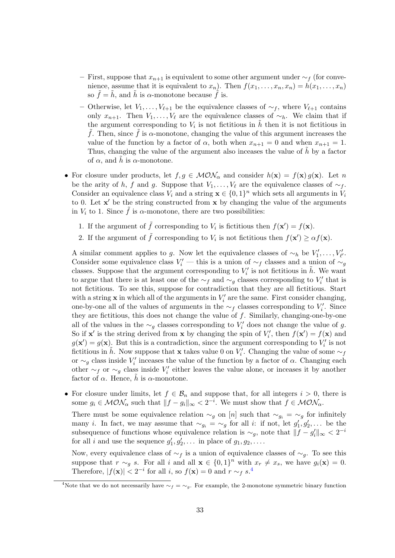- First, suppose that  $x_{n+1}$  is equivalent to some other argument under  $∼<sub>f</sub>$  (for convenience, assume that it is equivalent to  $x_n$ ). Then  $f(x_1, \ldots, x_n, x_n) = h(x_1, \ldots, x_n)$ so  $f = h$ , and h is  $\alpha$ -monotone because f is.
- Otherwise, let  $V_1, \ldots, V_{\ell+1}$  be the equivalence classes of  $\sim_f$ , where  $V_{\ell+1}$  contains only  $x_{n+1}$ . Then  $V_1, \ldots, V_\ell$  are the equivalence classes of ∼<sub>h</sub>. We claim that if the argument corresponding to  $V_i$  is not fictitious in  $\tilde{h}$  then it is not fictitious in f. Then, since f is  $\alpha$ -monotone, changing the value of this argument increases the value of the function by a factor of  $\alpha$ , both when  $x_{n+1} = 0$  and when  $x_{n+1} = 1$ . Thus, changing the value of the argument also inceases the value of  $\bar{h}$  by a factor of  $\alpha$ , and h is  $\alpha$ -monotone.
- For closure under products, let  $f, g \in MON_\alpha$  and consider  $h(\mathbf{x}) = f(\mathbf{x}) g(\mathbf{x})$ . Let n be the arity of h, f and g. Suppose that  $V_1, \ldots, V_\ell$  are the equivalence classes of  $\sim_f$ . Consider an equivalence class  $V_i$  and a string  $\mathbf{x} \in \{0,1\}^n$  which sets all arguments in  $V_i$ to 0. Let  $x'$  be the string constructed from  $x$  by changing the value of the arguments in  $V_i$  to 1. Since  $\tilde{f}$  is  $\alpha$ -monotone, there are two possibilities:
	- 1. If the argument of  $\tilde{f}$  corresponding to  $V_i$  is fictitious then  $f(\mathbf{x}') = f(\mathbf{x})$ .
	- 2. If the argument of  $\tilde{f}$  corresponding to  $V_i$  is not fictitious then  $f(\mathbf{x}') \geq \alpha f(\mathbf{x})$ .

A similar comment applies to g. Now let the equivalence classes of  $\sim_h$  be  $V'_1, \ldots, V'_{\ell'}$ . Consider some equivalence class  $V_i'$  — this is a union of  $\sim_f$  classes and a union of  $\sim_g$ classes. Suppose that the argument corresponding to  $V_i'$  is not fictitious in  $\tilde{h}$ . We want to argue that there is at least one of the  $\sim_f$  and  $\sim_g$  classes corresponding to  $V'_i$  that is not fictitious. To see this, suppose for contradiction that they are all fictitious. Start with a string **x** in which all of the arguments in  $V_i'$  are the same. First consider changing, one-by-one all of the values of arguments in the  $\sim_f$  classes corresponding to  $V'_i$ . Since they are fictitious, this does not change the value of  $f$ . Similarly, changing-one-by-one all of the values in the  $\sim_g$  classes corresponding to  $V'_i$  does not change the value of g. So if **x'** is the string derived from **x** by changing the spin of  $V'_i$ , then  $f(\mathbf{x}') = f(\mathbf{x})$  and  $g(\mathbf{x}') = g(\mathbf{x})$ . But this is a contradiction, since the argument corresponding to  $V_i'$  is not fictitious in  $\tilde{h}$ . Now suppose that x takes value 0 on  $V_i'$ . Changing the value of some  $\sim_f$ or  $\sim_g$  class inside  $V_i'$  inceases the value of the function by a factor of  $\alpha$ . Changing each other  $\sim_f$  or  $\sim_g$  class inside  $V'_i$  either leaves the value alone, or inceases it by another factor of  $\alpha$ . Hence, h is  $\alpha$ -monotone.

• For closure under limits, let  $f \in \mathcal{B}_n$  and suppose that, for all integers  $i > 0$ , there is some  $g_i \in \mathcal{MON}_\alpha$  such that  $||f - g_i||_\infty < 2^{-i}$ . We must show that  $f \in \mathcal{MON}_\alpha$ .

There must be some equivalence relation  $\sim_g$  on [n] such that  $\sim_{g_i} = \sim_g$  for infinitely many *i*. In fact, we may assume that  $\sim_{g_i} = \sim_g$  for all *i*: if not, let  $g'_1, g'_2, \ldots$  be the subsequence of functions whose equivalence relation is  $\sim_g$ , note that  $||f - g'_i||_{\infty} < 2^{-i}$ for all i and use the sequence  $g'_1, g'_2, \ldots$  in place of  $g_1, g_2, \ldots$ .

Now, every equivalence class of  $\sim_f$  is a union of equivalence classes of  $\sim_g$ . To see this suppose that  $r \sim_g s$ . For all i and all  $\mathbf{x} \in \{0,1\}^n$  with  $x_r \neq x_s$ , we have  $g_i(\mathbf{x}) = 0$ . Therefore,  $|f(\mathbf{x})| < 2^{-i}$  for all i, so  $f(\mathbf{x}) = 0$  and  $r \sim_f s^{4}$  $r \sim_f s^{4}$  $r \sim_f s^{4}$ .

<span id="page-32-0"></span><sup>&</sup>lt;sup>4</sup>Note that we do not necessarily have  $\sim_f = \sim_g$ . For example, the 2-monotone symmetric binary function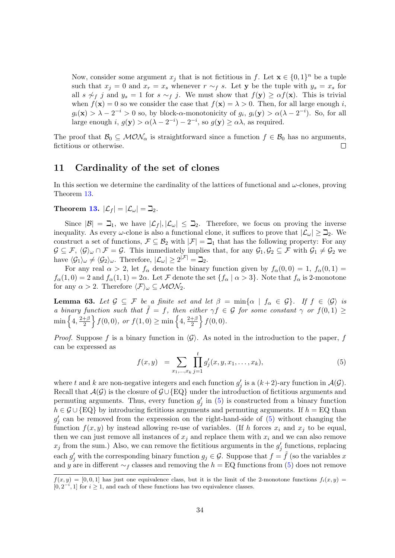Now, consider some argument  $x_j$  that is not fictitious in f. Let  $\mathbf{x} \in \{0,1\}^n$  be a tuple such that  $x_j = 0$  and  $x_r = x_s$  whenever  $r \sim_f s$ . Let y be the tuple with  $y_s = x_s$  for all s  $\gamma_f$  j and  $y_s = 1$  for  $s \sim_f j$ . We must show that  $f(\mathbf{y}) \geq \alpha f(\mathbf{x})$ . This is trivial when  $f(\mathbf{x}) = 0$  so we consider the case that  $f(\mathbf{x}) = \lambda > 0$ . Then, for all large enough i,  $g_i(\mathbf{x}) > \lambda - 2^{-i} > 0$  so, by block- $\alpha$ -monotonicity of  $g_i$ ,  $g_i(\mathbf{y}) > \alpha(\lambda - 2^{-i})$ . So, for all large enough  $i, g(y) > \alpha(\lambda - 2^{-i}) - 2^{-i}$ , so  $g(y) \ge \alpha \lambda$ , as required.

The proof that  $\mathcal{B}_0 \subseteq \mathcal{MON}_\alpha$  is straightforward since a function  $f \in \mathcal{B}_0$  has no arguments, fictitious or otherwise.  $\Box$ 

## <span id="page-33-0"></span>11 Cardinality of the set of clones

In this section we determine the cardinality of the lattices of functional and  $\omega$ -clones, proving Theorem [13.](#page-9-0)

<span id="page-33-2"></span>Theorem [13.](#page-9-0)  $|\mathcal{L}_f| = |\mathcal{L}_{\omega}| = \mathbb{Z}_2$ .

Since  $|\mathcal{B}| = \mathbb{Z}_1$ , we have  $|\mathcal{L}_f|, |\mathcal{L}_{\omega}| \leq \mathbb{Z}_2$ . Therefore, we focus on proving the inverse inequality. As every  $\omega$ -clone is also a functional clone, it suffices to prove that  $|\mathcal{L}_{\omega}| \geq \mathbb{Z}_2$ . We construct a set of functions,  $\mathcal{F} \subseteq \mathcal{B}_2$  with  $|\mathcal{F}| = \mathcal{I}_1$  that has the following property: For any  $\mathcal{G} \subseteq \mathcal{F}, \langle \mathcal{G} \rangle_{\omega} \cap \mathcal{F} = \mathcal{G}.$  This immediately implies that, for any  $\mathcal{G}_1, \mathcal{G}_2 \subseteq \mathcal{F}$  with  $\mathcal{G}_1 \neq \mathcal{G}_2$  we have  $\langle \mathcal{G}_1 \rangle_\omega \neq \langle \mathcal{G}_2 \rangle_\omega$ . Therefore,  $|\mathcal{L}_\omega| \geq 2^{|\mathcal{F}|} = \mathbb{I}_2$ .

For any real  $\alpha > 2$ , let  $f_{\alpha}$  denote the binary function given by  $f_{\alpha}(0,0) = 1$ ,  $f_{\alpha}(0,1) =$  $f_{\alpha}(1,0) = 2$  and  $f_{\alpha}(1,1) = 2\alpha$ . Let F denote the set  $\{f_{\alpha} \mid \alpha > 3\}$ . Note that  $f_{\alpha}$  is 2-monotone for any  $\alpha > 2$ . Therefore  $\langle \mathcal{F} \rangle_{\omega} \subseteq \mathcal{MON}_2$ .

**Lemma 63.** Let  $\mathcal{G} \subseteq \mathcal{F}$  be a finite set and let  $\beta = \min\{\alpha \mid f_\alpha \in \mathcal{G}\}\$ . If  $f \in \langle \mathcal{G} \rangle$  is a binary function such that  $\tilde{f} = f$ , then either  $\gamma f \in \mathcal{G}$  for some constant  $\gamma$  or  $f(0, 1) \geq$  $\min\left\{4, \frac{2+\beta}{2}\right\}$  $\left\{ \frac{+\beta}{2}\right\} f(0,0),\ or\ f(1,0)\geq\min\left\{ 4,\frac{2+\beta}{2}\right\}$  $\frac{+\beta}{2}$   $\Big\} f(0,0).$ 

*Proof.* Suppose f is a binary function in  $\langle \mathcal{G} \rangle$ . As noted in the introduction to the paper, f can be expressed as

<span id="page-33-1"></span>
$$
f(x,y) = \sum_{x_1,\dots,x_k} \prod_{j=1}^t g'_j(x,y,x_1,\dots,x_k),
$$
 (5)

where t and k are non-negative integers and each function  $g'_j$  is a  $(k+2)$ -ary function in  $\mathcal{A}(\mathcal{G})$ . Recall that  $\mathcal{A}(\mathcal{G})$  is the closure of  $\mathcal{G} \cup \{EQ\}$  under the introduction of fictitious arguments and permuting arguments. Thus, every function  $g'_{j}$  in [\(5\)](#page-33-1) is constructed from a binary function  $h \in \mathcal{G} \cup \{EQ\}$  by introducing fictitious arguments and permuting arguments. If  $h = EQ$  than  $g'_j$  can be removed from the expression on the right-hand-side of  $(5)$  without changing the function  $f(x, y)$  by instead allowing re-use of variables. (If h forces  $x_i$  and  $x_j$  to be equal, then we can just remove all instances of  $x_j$  and replace them with  $x_i$  and we can also remove  $x_j$  from the sum.) Also, we can remove the fictitious arguments in the  $g'_j$  functions, replacing each  $g'_j$  with the corresponding binary function  $g_j \in \mathcal{G}$ . Suppose that  $f = \tilde{f}$  (so the variables x and y are in different  $\sim_f$  classes and removing the  $h = EQ$  functions from [\(5\)](#page-33-1) does not remove

 $f(x, y) = [0, 0, 1]$  has just one equivalence class, but it is the limit of the 2-monotone functions  $f_i(x, y) =$  $[0, 2^{-i}, 1]$  for  $i \geq 1$ , and each of these functions has two equivalence classes.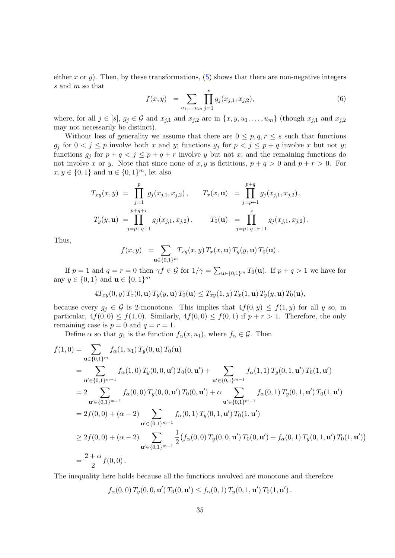either x or y). Then, by these transformations,  $(5)$  shows that there are non-negative integers s and m so that

$$
f(x,y) = \sum_{u_1,\dots,u_m} \prod_{j=1}^s g_j(x_{j,1}, x_{j,2}),
$$
\n(6)

where, for all  $j \in [s]$ ,  $g_j \in \mathcal{G}$  and  $x_{j,1}$  and  $x_{j,2}$  are in  $\{x, y, u_1, \ldots, u_m\}$  (though  $x_{j,1}$  and  $x_{j,2}$ may not necessarily be distinct).

Without loss of generality we assume that there are  $0 \leq p, q, r \leq s$  such that functions  $g_j$  for  $0 < j \leq p$  involve both x and y; functions  $g_j$  for  $p < j \leq p+q$  involve x but not y; functions  $g_j$  for  $p + q < j \leq p + q + r$  involve y but not x; and the remaining functions do not involve x or y. Note that since none of x, y is fictitious,  $p + q > 0$  and  $p + r > 0$ . For  $x, y \in \{0, 1\}$  and  $\mathbf{u} \in \{0, 1\}^m$ , let also

$$
T_{xy}(x,y) = \prod_{j=1}^{p} g_j(x_{j,1}, x_{j,2}), \qquad T_x(x,\mathbf{u}) = \prod_{j=p+1}^{p+q} g_j(x_{j,1}, x_{j,2}),
$$
  

$$
T_y(y,\mathbf{u}) = \prod_{j=p+q+1}^{p+q+r} g_j(x_{j,1}, x_{j,2}), \qquad T_0(\mathbf{u}) = \prod_{j=p+q+r+1}^{s} g_j(x_{j,1}, x_{j,2}).
$$

Thus,

$$
f(x,y) = \sum_{\mathbf{u}\in\{0,1\}^m} T_{xy}(x,y) T_x(x,\mathbf{u}) T_y(y,\mathbf{u}) T_0(\mathbf{u}).
$$

If  $p = 1$  and  $q = r = 0$  then  $\gamma f \in \mathcal{G}$  for  $1/\gamma = \sum_{\mathbf{u} \in \{0,1\}^m} T_0(\mathbf{u})$ . If  $p + q > 1$  we have for any  $y \in \{0, 1\}$  and  $\mathbf{u} \in \{0, 1\}^m$ 

$$
4T_{xy}(0, y) T_x(0, u) T_y(y, u) T_0(u) \le T_{xy}(1, y) T_x(1, u) T_y(y, u) T_0(u),
$$

because every  $g_j \in \mathcal{G}$  is 2-monotone. This implies that  $4f(0, y) \leq f(1, y)$  for all y so, in particular,  $4f(0,0) \leq f(1,0)$ . Similarly,  $4f(0,0) \leq f(0,1)$  if  $p+r>1$ . Therefore, the only remaining case is  $p = 0$  and  $q = r = 1$ .

Define  $\alpha$  so that  $g_1$  is the function  $f_\alpha(x, u_1)$ , where  $f_\alpha \in \mathcal{G}$ . Then

$$
f(1,0) = \sum_{\mathbf{u} \in \{0,1\}^m} f_{\alpha}(1, u_1) T_y(0, \mathbf{u}) T_0(\mathbf{u})
$$
  
\n
$$
= \sum_{\mathbf{u}' \in \{0,1\}^{m-1}} f_{\alpha}(1,0) T_y(0,0, \mathbf{u}') T_0(0, \mathbf{u}') + \sum_{\mathbf{u}' \in \{0,1\}^{m-1}} f_{\alpha}(1,1) T_y(0,1, \mathbf{u}') T_0(1, \mathbf{u}')
$$
  
\n
$$
= 2 \sum_{\mathbf{u}' \in \{0,1\}^{m-1}} f_{\alpha}(0,0) T_y(0,0, \mathbf{u}') T_0(0, \mathbf{u}') + \alpha \sum_{\mathbf{u}' \in \{0,1\}^{m-1}} f_{\alpha}(0,1) T_y(0,1, \mathbf{u}') T_0(1, \mathbf{u}')
$$
  
\n
$$
= 2f(0,0) + (\alpha - 2) \sum_{\mathbf{u}' \in \{0,1\}^{m-1}} f_{\alpha}(0,1) T_y(0,1, \mathbf{u}') T_0(1, \mathbf{u}')
$$
  
\n
$$
\geq 2f(0,0) + (\alpha - 2) \sum_{\mathbf{u}' \in \{0,1\}^{m-1}} \frac{1}{2} (f_{\alpha}(0,0) T_y(0,0, \mathbf{u}') T_0(0, \mathbf{u}') + f_{\alpha}(0,1) T_y(0,1, \mathbf{u}') T_0(1, \mathbf{u}'))
$$
  
\n
$$
= \frac{2 + \alpha}{2} f(0,0).
$$

The inequality here holds because all the functions involved are monotone and therefore

$$
f_{\alpha}(0,0) T_{y}(0,0,\mathbf{u}') T_{0}(0,\mathbf{u}') \le f_{\alpha}(0,1) T_{y}(0,1,\mathbf{u}') T_{0}(1,\mathbf{u}').
$$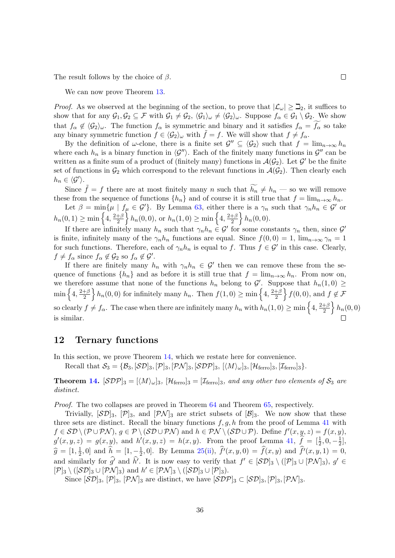The result follows by the choice of  $\beta$ .

We can now prove Theorem [13.](#page-9-0)

*Proof.* As we observed at the beginning of the section, to prove that  $|\mathcal{L}_{\omega}| \geq \mathbb{Z}_2$ , it suffices to show that for any  $\mathcal{G}_1, \mathcal{G}_2 \subseteq \mathcal{F}$  with  $\mathcal{G}_1 \neq \mathcal{G}_2, \langle \mathcal{G}_1 \rangle_\omega \neq \langle \mathcal{G}_2 \rangle_\omega$ . Suppose  $f_\alpha \in \mathcal{G}_1 \setminus \mathcal{G}_2$ . We show that  $f_{\alpha} \notin \langle G_2 \rangle_{\omega}$ . The function  $f_{\alpha}$  is symmetric and binary and it satisfies  $f_{\alpha} = f_{\alpha}$  so take any binary symmetric function  $f \in \langle \mathcal{G}_2 \rangle_\omega$  with  $\tilde{f} = f$ . We will show that  $f \neq f_\alpha$ .

By the definition of  $\omega$ -clone, there is a finite set  $\mathcal{G}'' \subseteq \langle \mathcal{G}_2 \rangle$  such that  $f = \lim_{n \to \infty} h_n$ where each  $h_n$  is a binary function in  $\langle \mathcal{G}'' \rangle$ . Each of the finitely many functions in  $\mathcal{G}''$  can be written as a finite sum of a product of (finitely many) functions in  $\mathcal{A}(\mathcal{G}_2)$ . Let  $\mathcal{G}'$  be the finite set of functions in  $\mathcal{G}_2$  which correspond to the relevant functions in  $\mathcal{A}(\mathcal{G}_2)$ . Then clearly each  $h_n \in \langle \mathcal{G}' \rangle$ .

Since  $\tilde{f} = f$  there are at most finitely many n such that  $\widetilde{h_n} \neq h_n$  — so we will remove these from the sequence of functions  $\{h_n\}$  and of course it is still true that  $f = \lim_{n \to \infty} h_n$ .

Let  $\beta = \min\{\mu \mid f_{\mu} \in \mathcal{G}'\}$ . By Lemma [63,](#page-33-2) either there is a  $\gamma_n$  such that  $\gamma_n h_n \in \mathcal{G}'$  or  $h_n(0,1) \geq \min\left\{4, \frac{2+\beta}{2}\right\}$  $\frac{+\beta}{2}\left\} h_n(0,0), \text{ or } h_n(1,0) \ge \min\left\{4, \frac{2+\beta}{2}\right\}$  $\frac{+\beta}{2}\Big\}\,h_n(0,0).$ 

If there are infinitely many  $h_n$  such that  $\gamma_n h_n \in \mathcal{G}'$  for some constants  $\gamma_n$  then, since  $\mathcal{G}'$ is finite, infinitely many of the  $\gamma_n h_n$  functions are equal. Since  $f(0, 0) = 1$ ,  $\lim_{n\to\infty} \gamma_n = 1$ for such functions. Therefore, each of  $\gamma_n h_n$  is equal to f. Thus  $f \in \mathcal{G}'$  in this case. Clearly,  $f \neq f_{\alpha}$  since  $f_{\alpha} \notin \mathcal{G}_2$  so  $f_{\alpha} \notin \mathcal{G}'$ .

If there are finitely many  $h_n$  with  $\gamma_n h_n \in \mathcal{G}'$  then we can remove these from the sequence of functions  $\{h_n\}$  and as before it is still true that  $f = \lim_{n\to\infty} h_n$ . From now on, we therefore assume that none of the functions  $h_n$  belong to  $\mathcal{G}'$ . Suppose that  $h_n(1,0) \geq$  $\min\left\{4, \frac{2+\beta}{2}\right\}$  $\frac{1+\beta}{2}$   $h_n(0,0)$  for infinitely many  $h_n$ . Then  $f(1,0) \geq \min\left\{4, \frac{2+\beta}{2}\right\}$  $\frac{+\beta}{2}$   $f(0,0)$ , and  $f \notin \mathcal{F}$ so clearly  $f \neq f_{\alpha}$ . The case when there are infinitely many  $h_n$  with  $h_n(1,0) \ge \min\left\{4, \frac{2+\beta}{2}\right\}$  $\frac{+\beta}{2}\Big\}\,h_n(0,0)$ is similar.

## <span id="page-35-1"></span>12 Ternary functions

In this section, we prove Theorem [14,](#page-9-1) which we restate here for convenience.

Recall that  $S_3 = {\mathcal{B}_3, [\mathcal{SD}]_3, [\mathcal{PN}]_3, [\mathcal{SDP}]_3, [\langle M \rangle_{\omega}]_3, [\mathcal{H}_{\text{ferro}}]_3, [\mathcal{I}_{\text{ferro}}]_3\}.$ 

<span id="page-35-0"></span>**Theorem [14.](#page-9-1)**  $[\mathcal{SDP}]_3 = [\langle M \rangle_{\omega}]_3$ ,  $[\mathcal{H}_{\text{ferro}}]_3 = [\mathcal{I}_{\text{ferro}}]_3$ , and any other two elements of  $\mathcal{S}_3$  are distinct.

Proof. The two collapses are proved in Theorem [64](#page-35-0) and Theorem [65,](#page-36-0) respectively.

Trivially,  $[\mathcal{SD}]_3$ ,  $[\mathcal{P}]_3$ , and  $[\mathcal{PN}]_3$  are strict subsets of  $[\mathcal{B}]_3$ . We now show that these three sets are distinct. Recall the binary functions  $f, g, h$  from the proof of Lemma [41](#page-18-2) with  $f \in \mathcal{SD} \setminus (\mathcal{P} \cup \mathcal{PN}), g \in \mathcal{P} \setminus (\mathcal{SD} \cup \mathcal{PN})$  and  $h \in \mathcal{PN} \setminus (\mathcal{SD} \cup \mathcal{P})$ . Define  $f'(x, y, z) = f(x, y)$ ,  $g'(x, y, z) = g(x, y)$ , and  $h'(x, y, z) = h(x, y)$ . From the proof Lemma [41,](#page-18-2)  $\hat{f} = [\frac{1}{2}, 0, -\frac{1}{2}]$  $\frac{1}{2}$ ,  $\widehat{g} = \left[1, \frac{1}{2}\right]$  $(\frac{1}{2}, 0]$  and  $\hat{h} = [1, -\frac{1}{2}]$  $(\frac{1}{2}, 0]$ . By Lemma [25\(](#page-13-1)[ii\)](#page-38-13),  $f'(x, y, 0) = f(x, y)$  and  $f'(x, y, 1) = 0$ , and similarly for  $\hat{g'}$  and  $\hat{h'}$ . It is now easy to verify that  $f' \in [\mathcal{SD}]_3 \setminus ([\mathcal{P}]_3 \cup [\mathcal{PN}]_3)$ ,  $g' \in [\mathcal{P}]_3 \setminus ([\mathcal{P}]_3 \cup [\mathcal{PN}]_3$ .  $[\mathcal{P}]_3 \setminus ([\mathcal{SD}]_3 \cup [\mathcal{PN}]_3)$  and  $h' \in [\mathcal{PN}]_3 \setminus ([\mathcal{SD}]_3 \cup [\mathcal{P}]_3)$ .

Since  $[\mathcal{SD}]_3$ ,  $[\mathcal{P}]\_3$ ,  $[\mathcal{PN}]_3$  are distinct, we have  $[\mathcal{SDP}]_3 \subset [\mathcal{SD}]_3$ ,  $[\mathcal{P}]\_3$ ,  $[\mathcal{PN}]_3$ .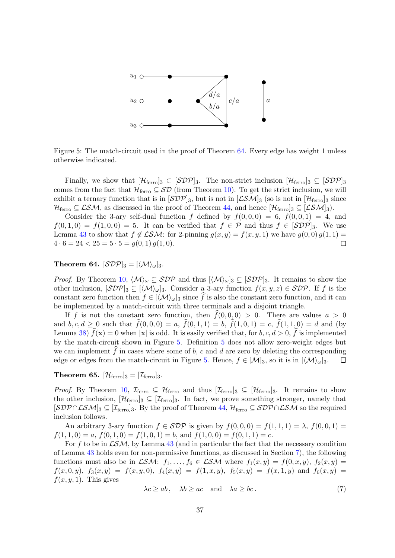

<span id="page-36-1"></span>Figure 5: The match-circuit used in the proof of Theorem [64.](#page-35-0) Every edge has weight 1 unless otherwise indicated.

Finally, we show that  $[\mathcal{H}_{\text{ferro}}]_3 \subset [\mathcal{SDP}]_3$ . The non-strict inclusion  $[\mathcal{H}_{\text{ferro}}]_3 \subseteq [\mathcal{SDP}]_3$ comes from the fact that  $\mathcal{H}_{\text{ferro}} \subseteq \mathcal{SD}$  (from Theorem [10\)](#page-8-1). To get the strict inclusion, we will exhibit a ternary function that is in  $[\mathcal{SDP}]_3$ , but is not in  $[\mathcal{LSM}]_3$  (so is not in  $[\mathcal{H}_{\text{ferro}}]_3$  since  $\mathcal{H}_{\text{ferro}} \subseteq \mathcal{LSM}$ , as discussed in the proof of Theorem [44,](#page-19-2) and hence  $[\mathcal{H}_{\text{ferro}}]_3 \subseteq [\mathcal{LSM}]_3$ .

Consider the 3-ary self-dual function f defined by  $f(0,0,0) = 6$ ,  $f(0,0,1) = 4$ , and  $f(0, 1, 0) = f(1, 0, 0) = 5$ . It can be verified that  $f \in \mathcal{P}$  and thus  $f \in [\mathcal{SDP}]_3$ . We use Lemma [43](#page-19-0) to show that  $f \notin \mathcal{LSM}$ : for 2-pinning  $g(x, y) = f(x, y, 1)$  we have  $g(0, 0) g(1, 1) =$  $4 \cdot 6 = 24 < 25 = 5 \cdot 5 = q(0, 1) q(1, 0).$  $\Box$ 

Theorem 64.  $[\mathcal{SDP}]_3 = [\langle \mathcal{M} \rangle_\omega]_3$ .

*Proof.* By Theorem [10,](#page-8-1)  $\langle \mathcal{M} \rangle_{\omega} \subseteq \mathcal{SDP}$  and thus  $[\langle \mathcal{M} \rangle_{\omega}]_3 \subseteq [\mathcal{SDP}]_3$ . It remains to show the other inclusion,  $[\mathcal{SDP}]_3 \subseteq [\langle \mathcal{M} \rangle_\omega]_3$ . Consider a 3-ary function  $f(x, y, z) \in \mathcal{SDP}$ . If f is the constant zero function then  $f \in [\langle \mathcal{M} \rangle_{\omega}]_3$  since f is also the constant zero function, and it can be implemented by a match-circuit with three terminals and a disjoint triangle.

If f is not the constant zero function, then  $f(0, 0, 0) > 0$ . There are values  $a > 0$ and  $b, c, d \geq 0$  such that  $\hat{f}(0, 0, 0) = a$ ,  $\hat{f}(0, 1, 1) = b$ ,  $\hat{f}(1, 0, 1) = c$ ,  $\hat{f}(1, 1, 0) = d$  and (by Lemma [38\)](#page-18-0)  $\hat{f}(\mathbf{x}) = 0$  when  $|\mathbf{x}|$  is odd. It is easily verified that, for  $b, c, d > 0$ ,  $\hat{f}$  is implemented by the match-circuit shown in Figure [5.](#page-36-1) Definition [5](#page-6-1) does not allow zero-weight edges but we can implement  $\hat{f}$  in cases where some of b, c and d are zero by deleting the corresponding edge or edges from the match-circuit in Figure 5. Hence,  $f \in [\mathcal{M}]_3$ , so it is in  $[\langle \mathcal{M} \rangle_{\omega}]_3$ . edge or edges from the match-circuit in Figure [5.](#page-36-1) Hence,  $f \in [\mathcal{M}]_3$ , so it is in  $[\langle \mathcal{M} \rangle_{\omega}]_3$ .

<span id="page-36-0"></span>**Theorem 65.**  $[\mathcal{H}_{\text{ferro}}]_3 = [\mathcal{I}_{\text{ferro}}]_3$ .

*Proof.* By Theorem [10,](#page-8-1)  $\mathcal{I}_{\text{ferro}} \subseteq \mathcal{H}_{\text{ferro}}$  and thus  $[\mathcal{I}_{\text{ferro}}]_3 \subseteq [\mathcal{H}_{\text{ferro}}]_3$ . It remains to show the other inclusion,  $[\mathcal{H}_{\text{ferro}}]_3 \subseteq [\mathcal{I}_{\text{ferro}}]_3$ . In fact, we prove something stronger, namely that  $[\mathcal{SDP} \cap \mathcal{LSM}]_3 \subseteq [\mathcal{I}_{\text{ferro}}]_3$ . By the proof of Theorem [44,](#page-19-2)  $\mathcal{H}_{\text{ferro}} \subseteq \mathcal{SDP} \cap \mathcal{LSM}$  so the required inclusion follows.

An arbitrary 3-ary function  $f \in SDP$  is given by  $f(0, 0, 0) = f(1, 1, 1) = \lambda$ ,  $f(0, 0, 1) =$  $f(1, 1, 0) = a, f(0, 1, 0) = f(1, 0, 1) = b, \text{ and } f(1, 0, 0) = f(0, 1, 1) = c.$ 

For f to be in  $\mathcal{LSM}$ , by Lemma [43](#page-19-0) (and in particular the fact that the necessary condition of Lemma [43](#page-19-0) holds even for non-permissive functions, as discussed in Section [7\)](#page-17-3), the following functions must also be in  $\mathcal{LSM}$ :  $f_1, \ldots, f_6 \in \mathcal{LSM}$  where  $f_1(x, y) = f(0, x, y)$ ,  $f_2(x, y) = f(x, y)$  $f(x, 0, y), f_3(x, y) = f(x, y, 0), f_4(x, y) = f(1, x, y), f_5(x, y) = f(x, 1, y)$  and  $f_6(x, y) =$  $f(x, y, 1)$ . This gives

<span id="page-36-2"></span>
$$
\lambda c \ge ab, \quad \lambda b \ge ac \quad \text{and} \quad \lambda a \ge bc. \tag{7}
$$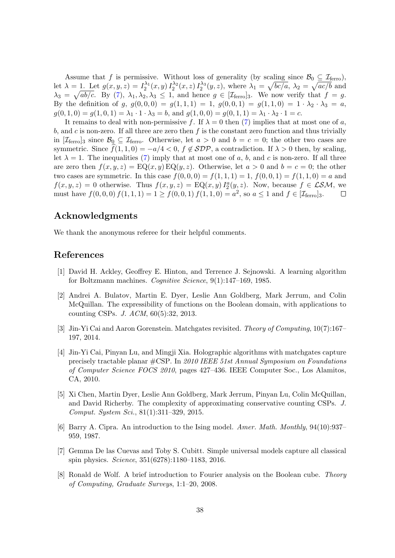Assume that f is permissive. Without loss of generality (by scaling since  $\mathcal{B}_0 \subseteq \mathcal{I}_{\text{ferro}}$ ), let  $\lambda = 1$ . Let  $g(x, y, z) = I_2^{\lambda_1}(x, y) I_2^{\lambda_2}(x, z) I_2^{\lambda_3}(y, z)$ , where  $\lambda_1 = \sqrt{bc/a}, \lambda_2 = \sqrt{ac/b}$  and  $\lambda_3 = \sqrt{ab/c}$ . By [\(7\)](#page-36-2),  $\lambda_1, \lambda_2, \lambda_3 \leq 1$ , and hence  $g \in [\mathcal{I}_{\text{ferro}}]_3$ . We now verify that  $f = g$ . By the definition of g,  $g(0,0,0) = g(1,1,1) = 1$ ,  $g(0,0,1) = g(1,1,0) = 1 \cdot \lambda_2 \cdot \lambda_3 = a$ ,  $g(0, 1, 0) = g(1, 0, 1) = \lambda_1 \cdot 1 \cdot \lambda_3 = b$ , and  $g(1, 0, 0) = g(0, 1, 1) = \lambda_1 \cdot \lambda_2 \cdot 1 = c$ .

It remains to deal with non-permissive f. If  $\lambda = 0$  then [\(7\)](#page-36-2) implies that at most one of a,  $b$ , and  $c$  is non-zero. If all three are zero then  $f$  is the constant zero function and thus trivially in  $[\mathcal{I}_{\text{ferro}}]_3$  since  $\mathcal{B}_0 \subseteq \mathcal{I}_{\text{ferro}}$ . Otherwise, let  $a > 0$  and  $b = c = 0$ ; the other two cases are symmetric. Since  $\widehat{f}(1, 1, 0) = -a/4 < 0$ ,  $f \notin SDP$ , a contradiction. If  $\lambda > 0$  then, by scaling, let  $\lambda = 1$ . The inequalities [\(7\)](#page-36-2) imply that at most one of a, b, and c is non-zero. If all three are zero then  $f(x, y, z) = \mathbb{E}\mathbb{Q}(x, y) \mathbb{E}\mathbb{Q}(y, z)$ . Otherwise, let  $a > 0$  and  $b = c = 0$ ; the other two cases are symmetric. In this case  $f(0, 0, 0) = f(1, 1, 1) = 1$ ,  $f(0, 0, 1) = f(1, 1, 0) = a$  and  $f(x, y, z) = 0$  otherwise. Thus  $f(x, y, z) = EQ(x, y) I_2^a(y, z)$ . Now, because  $f \in \mathcal{LSM}$ , we must have  $f(0,0,0) f(1,1,1) = 1 \ge f(0,0,1) f(1,1,0) = a^2$ , so  $a \le 1$  and  $f \in [\mathcal{I}_{\text{ferro}}]_3$ .  $\Box$ 

## Acknowledgments

We thank the anonymous referee for their helpful comments.

## References

- <span id="page-37-1"></span>[1] David H. Ackley, Geoffrey E. Hinton, and Terrence J. Sejnowski. A learning algorithm for Boltzmann machines. Cognitive Science, 9(1):147–169, 1985.
- <span id="page-37-0"></span>[2] Andrei A. Bulatov, Martin E. Dyer, Leslie Ann Goldberg, Mark Jerrum, and Colin McQuillan. The expressibility of functions on the Boolean domain, with applications to counting CSPs. J. ACM, 60(5):32, 2013.
- <span id="page-37-7"></span>[3] Jin-Yi Cai and Aaron Gorenstein. Matchgates revisited. Theory of Computing, 10(7):167– 197, 2014.
- <span id="page-37-5"></span>[4] Jin-Yi Cai, Pinyan Lu, and Mingji Xia. Holographic algorithms with matchgates capture precisely tractable planar #CSP. In 2010 IEEE 51st Annual Symposium on Foundations of Computer Science FOCS 2010, pages 427–436. IEEE Computer Soc., Los Alamitos, CA, 2010.
- <span id="page-37-3"></span>[5] Xi Chen, Martin Dyer, Leslie Ann Goldberg, Mark Jerrum, Pinyan Lu, Colin McQuillan, and David Richerby. The complexity of approximating conservative counting CSPs. J. Comput. System Sci., 81(1):311–329, 2015.
- <span id="page-37-4"></span>[6] Barry A. Cipra. An introduction to the Ising model. Amer. Math. Monthly, 94(10):937– 959, 1987.
- <span id="page-37-2"></span>[7] Gemma De las Cuevas and Toby S. Cubitt. Simple universal models capture all classical spin physics. Science, 351(6278):1180–1183, 2016.
- <span id="page-37-6"></span>[8] Ronald de Wolf. A brief introduction to Fourier analysis on the Boolean cube. Theory of Computing, Graduate Surveys, 1:1–20, 2008.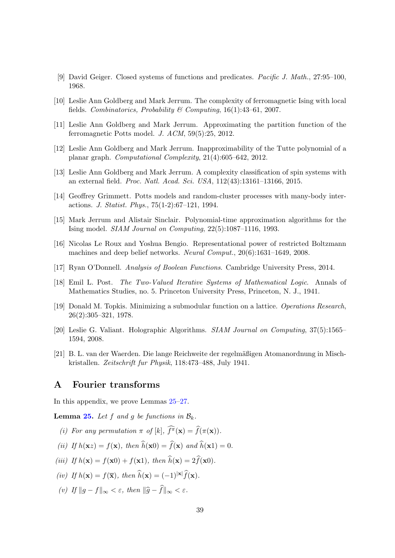- <span id="page-38-1"></span>[9] David Geiger. Closed systems of functions and predicates. Pacific J. Math., 27:95–100, 1968.
- <span id="page-38-8"></span>[10] Leslie Ann Goldberg and Mark Jerrum. The complexity of ferromagnetic Ising with local fields. Combinatorics, Probability & Computing,  $16(1):43-61$ , 2007.
- <span id="page-38-7"></span>[11] Leslie Ann Goldberg and Mark Jerrum. Approximating the partition function of the ferromagnetic Potts model. J. ACM, 59(5):25, 2012.
- <span id="page-38-9"></span>[12] Leslie Ann Goldberg and Mark Jerrum. Inapproximability of the Tutte polynomial of a planar graph. Computational Complexity, 21(4):605–642, 2012.
- <span id="page-38-4"></span>[13] Leslie Ann Goldberg and Mark Jerrum. A complexity classification of spin systems with an external field. Proc. Natl. Acad. Sci. USA, 112(43):13161–13166, 2015.
- <span id="page-38-6"></span>[14] Geoffrey Grimmett. Potts models and random-cluster processes with many-body interactions. J. Statist. Phys., 75(1-2):67–121, 1994.
- <span id="page-38-2"></span>[15] Mark Jerrum and Alistair Sinclair. Polynomial-time approximation algorithms for the Ising model. SIAM Journal on Computing, 22(5):1087–1116, 1993.
- <span id="page-38-3"></span>[16] Nicolas Le Roux and Yoshua Bengio. Representational power of restricted Boltzmann machines and deep belief networks. Neural Comput., 20(6):1631–1649, 2008.
- <span id="page-38-11"></span>[17] Ryan O'Donnell. Analysis of Boolean Functions. Cambridge University Press, 2014.
- <span id="page-38-0"></span>[18] Emil L. Post. The Two-Valued Iterative Systems of Mathematical Logic. Annals of Mathematics Studies, no. 5. Princeton University Press, Princeton, N. J., 1941.
- <span id="page-38-17"></span>[19] Donald M. Topkis. Minimizing a submodular function on a lattice. Operations Research, 26(2):305–321, 1978.
- <span id="page-38-5"></span>[20] Leslie G. Valiant. Holographic Algorithms. SIAM Journal on Computing, 37(5):1565– 1594, 2008.
- <span id="page-38-18"></span>[21] B. L. van der Waerden. Die lange Reichweite der regelmäßigen Atomanordnung in Mischkristallen. Zeitschrift fur Physik, 118:473–488, July 1941.

## <span id="page-38-10"></span>A Fourier transforms

In this appendix, we prove Lemmas [25–](#page-13-1)[27.](#page-14-3)

**Lemma [25.](#page-13-1)** Let f and g be functions in  $\mathcal{B}_k$ .

- <span id="page-38-12"></span>(i) For any permutation  $\pi$  of  $[k]$ ,  $\widehat{f^{\pi}}(\mathbf{x}) = \widehat{f}(\pi(\mathbf{x}))$ .
- <span id="page-38-13"></span>(ii) If  $h(\mathbf{x}z) = f(\mathbf{x})$ , then  $\widehat{h}(\mathbf{x}0) = \widehat{f}(\mathbf{x})$  and  $\widehat{h}(\mathbf{x}1) = 0$ .
- <span id="page-38-14"></span>(iii) If  $h(\mathbf{x}) = f(\mathbf{x}0) + f(\mathbf{x}1)$ , then  $\widehat{h}(\mathbf{x}) = 2\widehat{f}(\mathbf{x}0)$ .
- <span id="page-38-16"></span>(iv) If  $h(\mathbf{x}) = f(\overline{\mathbf{x}})$ , then  $\widehat{h}(\mathbf{x}) = (-1)^{|\mathbf{x}|} \widehat{f}(\mathbf{x})$ .
- <span id="page-38-15"></span>(v) If  $||q - f||_{\infty} < \varepsilon$ , then  $||\hat{q} - \hat{f}||_{\infty} < \varepsilon$ .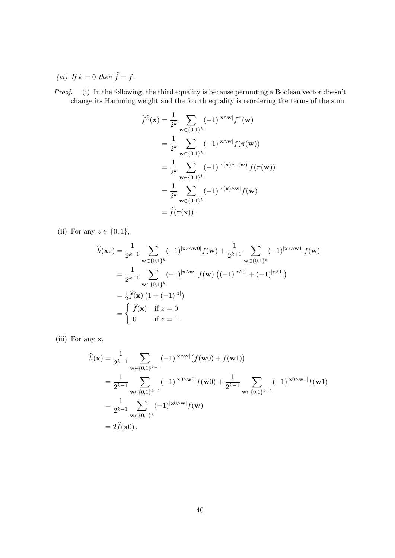(*vi*) If  $k = 0$  then  $\hat{f} = f$ .

Proof. (i) In the following, the third equality is because permuting a Boolean vector doesn't change its Hamming weight and the fourth equality is reordering the terms of the sum.

$$
\widehat{f}^{\pi}(\mathbf{x}) = \frac{1}{2^k} \sum_{\mathbf{w} \in \{0,1\}^k} (-1)^{|\mathbf{x} \wedge \mathbf{w}|} f^{\pi}(\mathbf{w})
$$
\n
$$
= \frac{1}{2^k} \sum_{\mathbf{w} \in \{0,1\}^k} (-1)^{|\mathbf{x} \wedge \mathbf{w}|} f(\pi(\mathbf{w}))
$$
\n
$$
= \frac{1}{2^k} \sum_{\mathbf{w} \in \{0,1\}^k} (-1)^{|\pi(\mathbf{x}) \wedge \pi(\mathbf{w})|} f(\pi(\mathbf{w}))
$$
\n
$$
= \frac{1}{2^k} \sum_{\mathbf{w} \in \{0,1\}^k} (-1)^{|\pi(\mathbf{x}) \wedge \mathbf{w}|} f(\mathbf{w})
$$
\n
$$
= \widehat{f}(\pi(\mathbf{x})).
$$

(ii) For any  $z \in \{0, 1\}$ ,

$$
\hat{h}(\mathbf{x}z) = \frac{1}{2^{k+1}} \sum_{\mathbf{w} \in \{0,1\}^k} (-1)^{|\mathbf{x}z \wedge \mathbf{w}0|} f(\mathbf{w}) + \frac{1}{2^{k+1}} \sum_{\mathbf{w} \in \{0,1\}^k} (-1)^{|\mathbf{x}z \wedge \mathbf{w}1|} f(\mathbf{w})
$$
\n
$$
= \frac{1}{2^{k+1}} \sum_{\mathbf{w} \in \{0,1\}^k} (-1)^{|\mathbf{x} \wedge \mathbf{w}|} f(\mathbf{w}) \left( (-1)^{|z \wedge 0|} + (-1)^{|z \wedge 1|} \right)
$$
\n
$$
= \frac{1}{2} \hat{f}(\mathbf{x}) \left( 1 + (-1)^{|z|} \right)
$$
\n
$$
= \begin{cases} \hat{f}(\mathbf{x}) & \text{if } z = 0 \\ 0 & \text{if } z = 1. \end{cases}
$$

(iii) For any x,

$$
\hat{h}(\mathbf{x}) = \frac{1}{2^{k-1}} \sum_{\mathbf{w} \in \{0,1\}^{k-1}} (-1)^{|\mathbf{x} \wedge \mathbf{w}|} (f(\mathbf{w}0) + f(\mathbf{w}1))
$$
\n
$$
= \frac{1}{2^{k-1}} \sum_{\mathbf{w} \in \{0,1\}^{k-1}} (-1)^{|\mathbf{x}0 \wedge \mathbf{w}0|} f(\mathbf{w}0) + \frac{1}{2^{k-1}} \sum_{\mathbf{w} \in \{0,1\}^{k-1}} (-1)^{|\mathbf{x}0 \wedge \mathbf{w}1|} f(\mathbf{w}1)
$$
\n
$$
= \frac{1}{2^{k-1}} \sum_{\mathbf{w} \in \{0,1\}^k} (-1)^{|\mathbf{x}0 \wedge \mathbf{w}|} f(\mathbf{w})
$$
\n
$$
= 2\hat{f}(\mathbf{x}0).
$$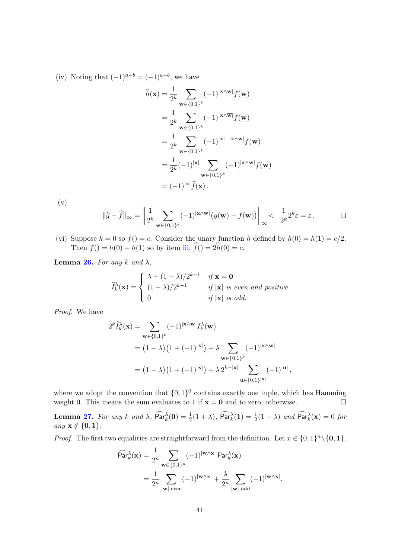(iv) Noting that  $(-1)^{a-b} = (-1)^{a+b}$ , we have

$$
\hat{h}(\mathbf{x}) = \frac{1}{2^k} \sum_{\mathbf{w} \in \{0,1\}^k} (-1)^{|\mathbf{x} \wedge \mathbf{w}|} f(\overline{\mathbf{w}})
$$
\n
$$
= \frac{1}{2^k} \sum_{\mathbf{w} \in \{0,1\}^k} (-1)^{|\mathbf{x} \wedge \overline{\mathbf{w}}|} f(\mathbf{w})
$$
\n
$$
= \frac{1}{2^k} \sum_{\mathbf{w} \in \{0,1\}^k} (-1)^{|\mathbf{x}| - |\mathbf{x} \wedge \mathbf{w}|} f(\mathbf{w})
$$
\n
$$
= \frac{1}{2^k} (-1)^{|\mathbf{x}|} \sum_{\mathbf{w} \in \{0,1\}^k} (-1)^{|\mathbf{x} \wedge \mathbf{w}|} f(\mathbf{w})
$$
\n
$$
= (-1)^{|\mathbf{x}|} \hat{f}(\mathbf{x}).
$$

(v)

$$
\|\widehat{g} - \widehat{f}\|_{\infty} = \left\|\frac{1}{2^k} \sum_{\mathbf{w}\in\{0,1\}^k} (-1)^{|\mathbf{x}\wedge\mathbf{w}|} \big(g(\mathbf{w}) - f(\mathbf{w})\big)\right\|_{\infty} < \frac{1}{2^k} 2^k \varepsilon = \varepsilon.
$$

(vi) Suppose  $k = 0$  so  $f() = c$ . Consider the unary function h defined by  $h(0) = h(1) = c/2$ . Then  $f() = h(0) + h(1)$  so by item [iii,](#page-38-14)  $\hat{f}() = 2\hat{h}(0) = c$ .

**Lemma [26.](#page-14-0)** For any k and  $\lambda$ ,

$$
\widehat{I}_k^{\lambda}(\mathbf{x}) = \begin{cases}\n\lambda + (1 - \lambda)/2^{k-1} & \text{if } \mathbf{x} = \mathbf{0} \\
(1 - \lambda)/2^{k-1} & \text{if } |\mathbf{x}| \text{ is even and positive} \\
0 & \text{if } |\mathbf{x}| \text{ is odd.}\n\end{cases}
$$

Proof. We have

$$
2^{k} \widehat{I}_{k}^{\lambda}(\mathbf{x}) = \sum_{\mathbf{w} \in \{0,1\}^{k}} (-1)^{|\mathbf{x} \wedge \mathbf{w}|} I_{k}^{\lambda}(\mathbf{w})
$$
  
=  $(1 - \lambda) (1 + (-1)^{|\mathbf{x}|}) + \lambda \sum_{\mathbf{w} \in \{0,1\}^{k}} (-1)^{|\mathbf{x} \wedge \mathbf{w}|}$   
=  $(1 - \lambda) (1 + (-1)^{|\mathbf{x}|}) + \lambda 2^{k - |\mathbf{x}|} \sum_{\mathbf{u} \in \{0,1\}^{|\mathbf{x}|}} (-1)^{|\mathbf{u}|},$ 

where we adopt the convention that  $\{0,1\}^0$  contains exactly one tuple, which has Hamming weight 0. This means the sum evaluates to 1 if  $x = 0$  and to zero, otherwise.  $\Box$ 

**Lemma [27.](#page-14-3)** For any k and  $\lambda$ ,  $\widehat{\text{Par}}_k^{\lambda}(\mathbf{0}) = \frac{1}{2}(1 + \lambda)$ ,  $\widehat{\text{Par}}_k^{\lambda}(\mathbf{1}) = \frac{1}{2}(1 - \lambda)$  and  $\widehat{\text{Par}}_k^{\lambda}(\mathbf{x}) = 0$  for any  $\mathbf{x} \notin \{0,1\}.$ 

*Proof.* The first two equalities are straightforward from the definition. Let  $x \in \{0, 1\}^n \setminus \{0, 1\}$ .

$$
\widehat{\text{Par}}_k^{\lambda}(\mathbf{x}) = \frac{1}{2^n} \sum_{\mathbf{w} \in \{0,1\}^n} (-1)^{|\mathbf{w} \wedge \mathbf{x}|} \text{Par}_k^{\lambda}(\mathbf{x})
$$

$$
= \frac{1}{2^n} \sum_{|\mathbf{w}| \text{ even}} (-1)^{|\mathbf{w} \wedge \mathbf{x}|} + \frac{\lambda}{2^n} \sum_{|\mathbf{w}| \text{ odd}} (-1)^{|\mathbf{w} \wedge \mathbf{x}|}.
$$